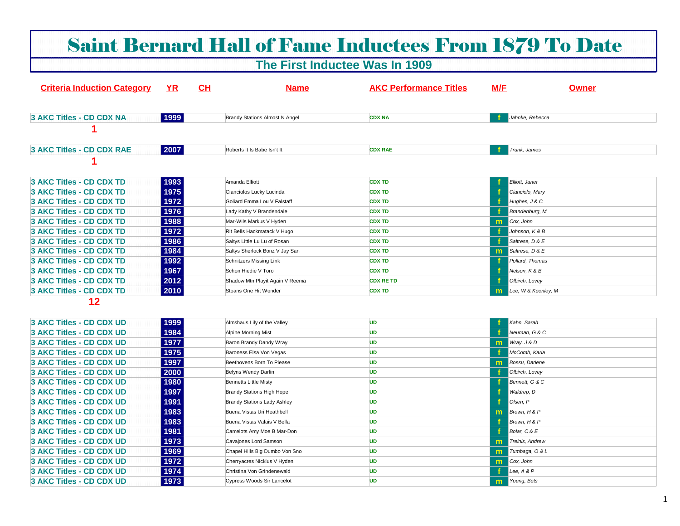# Saint Bernard Hall of Fame Inductees From 1879 To Date

# **The First Inductee Was In 1909**

| <b>Criteria Induction Category</b> | <b>YR</b> | <u>CH</u>                          | <b>Name</b> | <b>AKC Performance Titles</b> | M/F | <b>Owner</b>           |
|------------------------------------|-----------|------------------------------------|-------------|-------------------------------|-----|------------------------|
| 3 AKC Titles - CD CDX NA           | 1999      | Brandy Stations Almost N Angel     |             | <b>CDX NA</b>                 |     | Jahnke, Rebecca        |
|                                    |           |                                    |             |                               |     |                        |
| 3 AKC Titles - CD CDX RAE          | 2007      | Roberts It Is Babe Isn't It        |             | <b>CDX RAE</b>                |     | Trunk, James           |
|                                    |           |                                    |             |                               |     |                        |
| <b>3 AKC Titles - CD CDX TD</b>    | 1993      | Amanda Elliott                     |             | <b>CDX TD</b>                 |     | Elliott, Janet         |
| <b>3 AKC Titles - CD CDX TD</b>    | 1975      | Cianciolos Lucky Lucinda           |             | <b>CDX TD</b>                 |     | Cianciolo, Mary        |
| 3 AKC Titles - CD CDX TD           | 1972      | Goliard Emma Lou V Falstaff        |             | <b>CDX TD</b>                 | -1  | Hughes, J & C          |
| 3 AKC Titles - CD CDX TD           | 1976      | Lady Kathy V Brandendale           |             | <b>CDX TD</b>                 |     | Brandenburg, M         |
| 3 AKC Titles - CD CDX TD           | 1988      | Mar-Wils Markus V Hyden            |             | <b>CDX TD</b>                 | m   | Cox, John              |
| <b>3 AKC Titles - CD CDX TD</b>    | 1972      | Rit Bells Hackmatack V Hugo        |             | <b>CDX TD</b>                 | -1  | Johnson, K & B         |
| 3 AKC Titles - CD CDX TD           | 1986      | Saltys Little Lu Lu of Rosan       |             | <b>CDX TD</b>                 | -1  | Saltrese, D & E        |
| 3 AKC Titles - CD CDX TD           | 1984      | Saltys Sherlock Bonz V Jay San     |             | <b>CDX TD</b>                 | m   | Saltrese, D & E        |
| 3 AKC Titles - CD CDX TD           | 1992      | <b>Schnitzers Missing Link</b>     |             | <b>CDX TD</b>                 |     | Pollard, Thomas        |
| <b>3 AKC Titles - CD CDX TD</b>    | 1967      | Schon Hiedie V Toro                |             | <b>CDX TD</b>                 | Ŧ   | Nelson, K & B          |
| <b>3 AKC Titles - CD CDX TD</b>    | 2012      | Shadow Mtn Playit Again V Reema    |             | <b>CDX RE TD</b>              | f.  | Olbirch, Lovey         |
| <b>3 AKC Titles - CD CDX TD</b>    | 2010      | Stoans One Hit Wonder              |             | <b>CDX TD</b>                 | m   | Lee, W & Keenley, M    |
| $12 \overline{ }$                  |           |                                    |             |                               |     |                        |
| 3 AKC Titles - CD CDX UD           | 1999      | Almshaus Lily of the Valley        |             | <b>UD</b>                     |     | Kahn, Sarah            |
| <b>3 AKC Titles - CD CDX UD</b>    | 1984      | Alpine Morning Mist                |             | <b>UD</b>                     |     | Neuman, G & C          |
| <b>3 AKC Titles - CD CDX UD</b>    | 1977      | Baron Brandy Dandy Wray            |             | <b>UD</b>                     | m   | Wray, J & D            |
| <b>3 AKC Titles - CD CDX UD</b>    | 1975      | Baroness Elsa Von Vegas            |             | <b>UD</b>                     |     | McComb, Karla          |
| 3 AKC Titles - CD CDX UD           | 1997      | Beethovens Born To Please          |             | <b>UD</b>                     | m   | <b>Bossu</b> , Darlene |
| 3 AKC Titles - CD CDX UD           | 2000      | Belyns Wendy Darlin                |             | <b>UD</b>                     |     | Olbirch, Lovey         |
| 3 AKC Titles - CD CDX UD           | 1980      | <b>Bennetts Little Misty</b>       |             | <b>UD</b>                     |     | Bennett, G & C         |
| <b>3 AKC Titles - CD CDX UD</b>    | 1997      | <b>Brandy Stations High Hope</b>   |             | <b>UD</b>                     |     | Waldrep, D             |
| <b>3 AKC Titles - CD CDX UD</b>    | 1991      | <b>Brandy Stations Lady Ashley</b> |             | <b>UD</b>                     |     | Olsen, P               |
| 3 AKC Titles - CD CDX UD           | 1983      | Buena Vistas Uri Heathbell         |             | <b>UD</b>                     | m   | Brown, H & P           |
| 3 AKC Titles - CD CDX UD           | 1983      | Buena Vistas Valais V Bella        |             | <b>UD</b>                     |     | Brown, H & P           |
| 3 AKC Titles - CD CDX UD           | 1981      | Camelots Amy Moe B Mar-Don         |             | <b>UD</b>                     | f   | Bolar, C & E           |
| 3 AKC Titles - CD CDX UD           | 1973      | Cavajones Lord Samson              |             | <b>UD</b>                     | m   | Treinis, Andrew        |
| 3 AKC Titles - CD CDX UD           | 1969      | Chapel Hills Big Dumbo Von Sno     |             | <b>UD</b>                     | m   | Tumbaga, O & L         |
| 3 AKC Titles - CD CDX UD           | 1972      | Cherryacres Nicklus V Hyden        |             | <b>UD</b>                     | m   | Cox, John              |
| <b>3 AKC Titles - CD CDX UD</b>    | 1974      | Christina Von Grindenewald         |             | <b>UD</b>                     |     | Lee, $A & P$           |
| 3 AKC Titles - CD CDX UD           | 1973      | Cypress Woods Sir Lancelot         |             | <b>UD</b>                     | m   | Young, Bets            |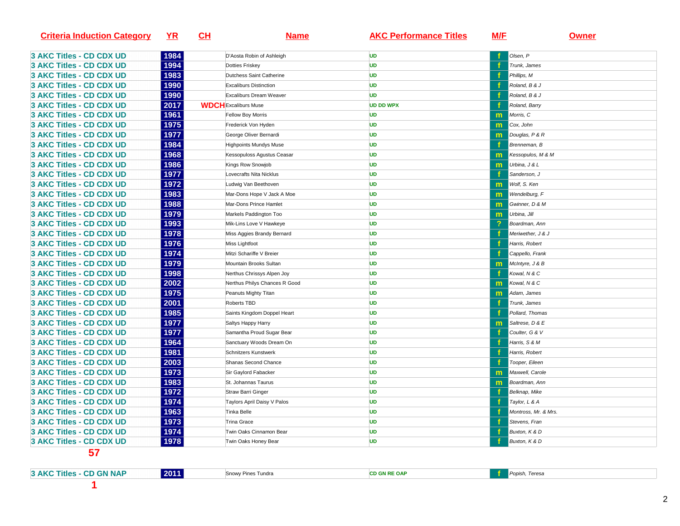| <b>Criteria Induction Category</b> | YR   | CL | <b>Name</b>                   | <b>AKC Performance Titles</b> | M/F | <u>Owner</u>         |
|------------------------------------|------|----|-------------------------------|-------------------------------|-----|----------------------|
| 3 AKC Titles - CD CDX UD           | 1984 |    | D'Aosta Robin of Ashleigh     | UD                            |     | Olsen, P             |
| <b>3 AKC Titles - CD CDX UD</b>    | 1994 |    | Dotties Friskey               | UD                            |     | Trunk, James         |
| <b>3 AKC Titles - CD CDX UD</b>    | 1983 |    | Dutchess Saint Catherine      | <b>UD</b>                     |     | Phillips, M          |
| <b>3 AKC Titles - CD CDX UD</b>    | 1990 |    | <b>Excaliburs Distinction</b> | UD                            |     | Roland, B & J        |
| 3 AKC Titles - CD CDX UD           | 1990 |    | Excaliburs Dream Weaver       | <b>UD</b>                     |     | Roland, B & J        |
| 3 AKC Titles - CD CDX UD           | 2017 |    | <b>WDCH</b> Excaliburs Muse   | <b>UD DD WPX</b>              |     | Roland, Barry        |
| <b>3 AKC Titles - CD CDX UD</b>    | 1961 |    | Fellow Boy Morris             | UD                            | m   | Morris, C            |
| <b>3 AKC Titles - CD CDX UD</b>    | 1975 |    | Frederick Von Hyden           | <b>UD</b>                     | m   | Cox, John            |
| <b>3 AKC Titles - CD CDX UD</b>    | 1977 |    | George Oliver Bernardi        | <b>UD</b>                     | m   | Douglas, P & R       |
| 3 AKC Titles - CD CDX UD           | 1984 |    | <b>Highpoints Mundys Muse</b> | UD                            |     | Brenneman, B         |
| <b>3 AKC Titles - CD CDX UD</b>    | 1968 |    | Kessopuloss Agustus Ceasar    | UD                            | m   | Kessopulos, M & M    |
| 3 AKC Titles - CD CDX UD           | 1986 |    | Kings Row Snowjob             | UD                            | m   | Urbina, J & L        |
| <b>3 AKC Titles - CD CDX UD</b>    | 1977 |    | Lovecrafts Nita Nicklus       | UD                            |     | Sanderson, J         |
| 3 AKC Titles - CD CDX UD           | 1972 |    | Ludwig Van Beethoven          | UD                            | m   | Wolf, S. Ken         |
| <b>3 AKC Titles - CD CDX UD</b>    | 1983 |    | Mar-Dons Hope V Jack A Moe    | UD                            | m   | Wendelburg, F        |
| <b>3 AKC Titles - CD CDX UD</b>    | 1988 |    | Mar-Dons Prince Hamlet        | UD                            | m   | Gwinner, D & M       |
| 3 AKC Titles - CD CDX UD           | 1979 |    | Markels Paddington Too        | UD                            | m   | Urbina, Jill         |
| 3 AKC Titles - CD CDX UD           | 1993 |    | Mik-Lins Love V Hawkeye       | UD                            | ?   | Boardman, Ann        |
| 3 AKC Titles - CD CDX UD           | 1978 |    | Miss Aggies Brandy Bernard    | <b>UD</b>                     |     | Meriwether, J & J    |
| <b>3 AKC Titles - CD CDX UD</b>    | 1976 |    | Miss Lightfoot                | UD                            |     | Harris, Robert       |
| <b>3 AKC Titles - CD CDX UD</b>    | 1974 |    | Mitzi Schariffe V Breier      | UD                            |     | Cappello, Frank      |
| 3 AKC Titles - CD CDX UD           | 1979 |    | Mountain Brooks Sultan        | UD                            | m   | McIntyre, J & B      |
| <b>3 AKC Titles - CD CDX UD</b>    | 1998 |    | Nerthus Chrissys Alpen Joy    | <b>UD</b>                     |     | Kowal, N & C         |
| <b>3 AKC Titles - CD CDX UD</b>    | 2002 |    | Nerthus Philys Chances R Good | <b>UD</b>                     | m   | Kowal, N & C         |
| 3 AKC Titles - CD CDX UD           | 1975 |    | Peanuts Mighty Titan          | UD                            | m   | Adam, James          |
| <b>3 AKC Titles - CD CDX UD</b>    | 2001 |    | <b>Roberts TBD</b>            | <b>UD</b>                     |     | Trunk, James         |
| 3 AKC Titles - CD CDX UD           | 1985 |    | Saints Kingdom Doppel Heart   | <b>UD</b>                     |     | Pollard, Thomas      |
| <b>3 AKC Titles - CD CDX UD</b>    | 1977 |    | Saltys Happy Harry            | <b>UD</b>                     | m   | Saltrese, D & E      |
| 3 AKC Titles - CD CDX UD           | 1977 |    | Samantha Proud Sugar Bear     | UD                            |     | Coulter, G & V       |
| <b>3 AKC Titles - CD CDX UD</b>    | 1964 |    | Sanctuary Woods Dream On      | <b>UD</b>                     |     | Harris, S & M        |
| 3 AKC Titles - CD CDX UD           | 1981 |    | Schnitzers Kunstwerk          | UD                            |     | Harris, Robert       |
| <b>3 AKC Titles - CD CDX UD</b>    | 2003 |    | Shanas Second Chance          | <b>UD</b>                     |     | Tooper, Eileen       |
| <b>3 AKC Titles - CD CDX UD</b>    | 1973 |    | Sir Gaylord Fabacker          | UD                            | m   | Maxwell, Carole      |
| 3 AKC Titles - CD CDX UD           | 1983 |    | St. Johannas Taurus           | <b>UD</b>                     | m   | Boardman, Ann        |
| 3 AKC Titles - CD CDX UD           | 1972 |    | Straw Barri Ginger            | UD                            |     | Belknap, Mike        |
| <b>3 AKC Titles - CD CDX UD</b>    | 1974 |    | Taylors April Daisy V Palos   | <b>UD</b>                     |     | Taylor, L & A        |
| <b>3 AKC Titles - CD CDX UD</b>    | 1963 |    | <b>Tinka Belle</b>            | UD                            |     | Montross, Mr. & Mrs. |
| 3 AKC Titles - CD CDX UD           | 1973 |    | <b>Trina Grace</b>            | <b>UD</b>                     |     | Stevens, Fran        |
| 3 AKC Titles - CD CDX UD           | 1974 |    | Twin Oaks Cinnamon Bear       | <b>UD</b>                     |     | Buxton, K & D        |
| 3 AKC Titles - CD CDX UD           | 1978 |    | Twin Oaks Honey Bear          | <b>UD</b>                     |     | Buxton, K & D        |

**3 AKC Titles - CD GN NAP**

**2011** Snowy Pines Tundra **CD GN RE OAP f** Popish, Teresa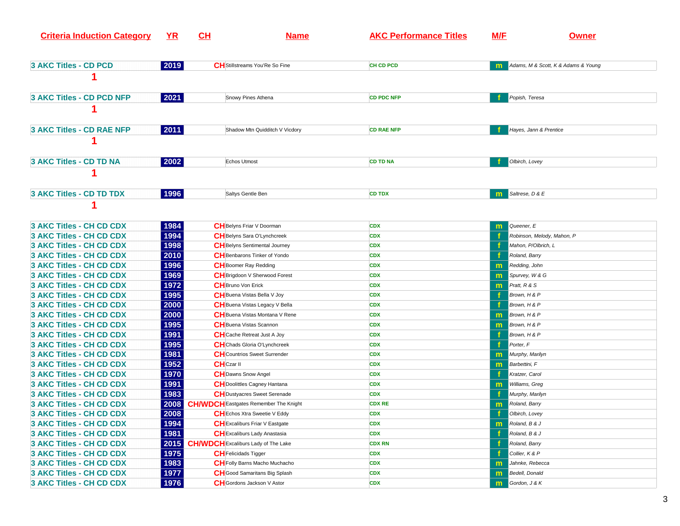| <b>Criteria Induction Category</b> | <u>YR</u> | <u>CH</u> | <b>Name</b>                                  | <b>AKC Performance Titles</b> | <b>M/F</b> | <b>Owner</b>                                   |
|------------------------------------|-----------|-----------|----------------------------------------------|-------------------------------|------------|------------------------------------------------|
|                                    |           |           |                                              |                               |            |                                                |
| 3 AKC Titles - CD PCD              | 2019      |           | <b>CH</b> Stillstreams You'Re So Fine        | <b>CH CD PCD</b>              |            | M Adams, M & Scott, K & Adams & Young          |
|                                    |           |           |                                              |                               |            |                                                |
| 3 AKC Titles - CD PCD NFP          | 2021      |           | Snowy Pines Athena                           | <b>CD PDC NFP</b>             |            | Popish, Teresa                                 |
|                                    |           |           |                                              |                               |            |                                                |
| 3 AKC Titles - CD RAE NFP          | 2011      |           | Shadow Mtn Quidditch V Vicdory               | <b>CD RAE NFP</b>             |            | Hayes, Jann & Prentice                         |
|                                    |           |           |                                              |                               |            |                                                |
| 3 AKC Titles - CD TD NA            | 2002      |           | <b>Echos Utmost</b>                          | <b>CD TD NA</b>               |            | Olbirch, Lovey                                 |
|                                    |           |           |                                              |                               |            |                                                |
| 3 AKC Titles - CD TD TDX           | 1996      |           | Saltys Gentle Ben                            | <b>CD TDX</b>                 | m.         | Saltrese, D & E                                |
|                                    |           |           |                                              |                               |            |                                                |
|                                    |           |           |                                              |                               |            |                                                |
| 3 AKC Titles - CH CD CDX           | 1984      |           | <b>CH</b> Belyns Friar V Doorman             | <b>CDX</b>                    | m          | Queener, E                                     |
| 3 AKC Titles - CH CD CDX           | 1994      |           | <b>CH</b> Belyns Sara O'Lynchcreek           | <b>CDX</b>                    |            | Robinson, Melody, Mahon, P                     |
| <b>3 AKC Titles - CH CD CDX</b>    | 1998      |           | <b>CH</b> Belyns Sentimental Journey         | <b>CDX</b>                    |            | Mahon, P/Olbrich, L                            |
| 3 AKC Titles - CH CD CDX           | 2010      |           | <b>CH</b> Benbarons Tinker of Yondo          | <b>CDX</b>                    |            | Roland, Barry                                  |
| 3 AKC Titles - CH CD CDX           | 1996      |           | <b>CH</b> Boomer Ray Redding                 | <b>CDX</b>                    | m          | Redding, John                                  |
| 3 AKC Titles - CH CD CDX           | 1969      |           | <b>CH</b> Brigdoon V Sherwood Forest         | <b>CDX</b>                    | m          | Spurvey, W & G                                 |
| 3 AKC Titles - CH CD CDX           | 1972      |           | <b>CH</b> Bruno Von Erick                    | <b>CDX</b>                    | m.         | <b>Pratt, R &amp; S</b>                        |
| 3 AKC Titles - CH CD CDX           | 1995      |           | <b>CH</b> Buena Vistas Bella V Joy           | <b>CDX</b>                    |            | Brown, H & P                                   |
| 3 AKC Titles - CH CD CDX           | 2000      |           | CH Buena Vistas Legacy V Bella               | <b>CDX</b>                    |            | Brown, H & P                                   |
| 3 AKC Titles - CH CD CDX           | 2000      |           | <b>CH</b> Buena Vistas Montana V Rene        | <b>CDX</b>                    | m          | Brown, H & P                                   |
| 3 AKC Titles - CH CD CDX           | 1995      |           | <b>CH</b> Buena Vistas Scannon               | <b>CDX</b>                    | m          | Brown, H & P                                   |
| <b>3 AKC Titles - CH CD CDX</b>    | 1991      |           | <b>CH</b> Cache Retreat Just A Joy           | <b>CDX</b>                    |            | Brown, H & P                                   |
| 3 AKC Titles - CH CD CDX           | 1995      |           | <b>CH</b> Chads Gloria O'Lynchcreek          | <b>CDX</b>                    |            | Porter, F                                      |
| 3 AKC Titles - CH CD CDX           | 1981      |           | <b>CH</b> Countrios Sweet Surrender          | <b>CDX</b>                    | m          | Murphy, Marilyn                                |
| 3 AKC Titles - CH CD CDX           | 1952      |           | <b>CH</b> Czar II                            | <b>CDX</b>                    | m          | Barbettini, F                                  |
| 3 AKC Titles - CH CD CDX           | 1970      |           | <b>CH</b> Dawns Snow Angel                   | <b>CDX</b>                    |            | Kratzer, Carol                                 |
| 3 AKC Titles - CH CD CDX           | 1991      |           | <b>CH</b> Doolittles Cagney Hantana          | <b>CDX</b>                    | m          | Williams, Greg                                 |
| 3 AKC Titles - CH CD CDX           | 1983      |           | <b>CH</b> Dustyacres Sweet Serenade          | <b>CDX</b>                    |            | Murphy, Marilyn                                |
| 3 AKC Titles - CH CD CDX           | 2008      |           | <b>CH/WDCH</b> Eastgates Remember The Knight | <b>CDX RE</b>                 | m          | Roland, Barry                                  |
| 3 AKC Titles - CH CD CDX           | 2008      |           | CH Echos Xtra Sweetie V Eddy                 | <b>CDX</b>                    |            | <b>COLLECT COLLECT COLLECT COLLECT COLLECT</b> |
| 3 AKC Titles - CH CD CDX           | 1994      |           | <b>CH</b> Excaliburs Friar V Eastgate        | <b>CDX</b>                    |            | $\mathbf{m}$ Roland, B & J                     |
| 3 AKC Titles - CH CD CDX           | 1981      |           | <b>CH</b> Excaliburs Lady Anastasia          | <b>CDX</b>                    |            | Roland, B & J                                  |
| 3 AKC Titles - CH CD CDX           |           |           | 2015 CH/WDCH Excaliburs Lady of The Lake     | <b>CDX RN</b>                 | f          | Roland, Barry                                  |
| 3 AKC Titles - CH CD CDX           | 1975      |           | <b>CH</b> Felicidads Tigger                  | <b>CDX</b>                    | f          | Collier, K & P                                 |
| 3 AKC Titles - CH CD CDX           | 1983      |           | <b>CH</b> Folly Barns Macho Muchacho         | <b>CDX</b>                    | m          | Jahnke, Rebecca                                |
| 3 AKC Titles - CH CD CDX           | 1977      |           | <b>CH</b> Good Samaritans Big Splash         | <b>CDX</b>                    | m          | Bedell, Donald                                 |
| 3 AKC Titles - CH CD CDX           | 1976      |           | <b>CH</b> Gordons Jackson V Astor            | <b>CDX</b>                    |            | <b>m</b> Gordon, J & K                         |
|                                    |           |           |                                              |                               |            |                                                |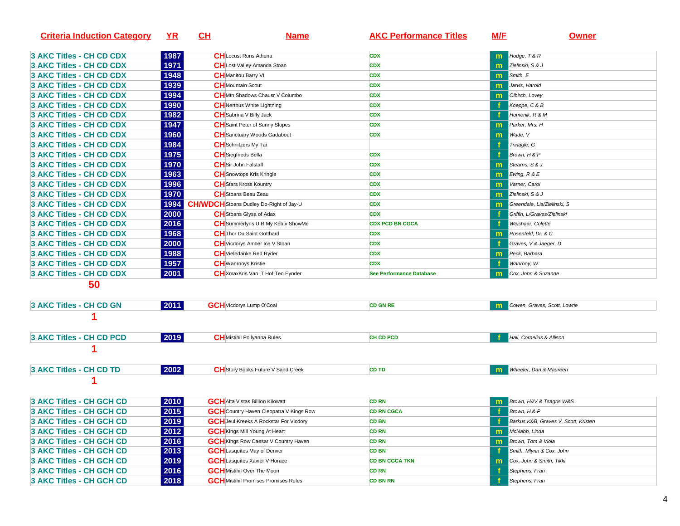| <b>Criteria Induction Category</b> | $YR$ | <u>CH</u>                                      | <u>Name</u>                                    | <b>AKC Performance Titles</b>   | M/F          | <b>Owner</b>                         |
|------------------------------------|------|------------------------------------------------|------------------------------------------------|---------------------------------|--------------|--------------------------------------|
| <b>3 AKC Titles - CH CD CDX</b>    | 1987 | <b>CH</b> Locust Runs Athena                   |                                                | <b>CDX</b>                      | $\mathbf{m}$ | Hodge, $T & R$                       |
| <b>3 AKC Titles - CH CD CDX</b>    | 1971 |                                                | <b>CH</b> Lost Valley Amanda Stoan             | <b>CDX</b>                      | $\mathbf{m}$ | Zielinski, S & J                     |
| <b>3 AKC Titles - CH CD CDX</b>    | 1948 | <b>CH</b> Manitou Barry VI                     |                                                | <b>CDX</b>                      | m            | Smith, E                             |
| <b>3 AKC Titles - CH CD CDX</b>    | 1939 | <b>CH</b> Mountain Scout                       |                                                | <b>CDX</b>                      | m            | Jarvis, Harold                       |
| <b>3 AKC Titles - CH CD CDX</b>    | 1994 |                                                | <b>CH</b> Mtn Shadows Chausr V Columbo         | <b>CDX</b>                      | m            | Olbirch, Lovey                       |
| <b>3 AKC Titles - CH CD CDX</b>    | 1990 |                                                | <b>CH</b> Nerthus White Lightning              | <b>CDX</b>                      |              | Koeppe, C & B                        |
| <b>3 AKC Titles - CH CD CDX</b>    | 1982 | <b>CH</b> Sabrina V Billy Jack                 |                                                | <b>CDX</b>                      |              | Humenik, R & M                       |
| <b>3 AKC Titles - CH CD CDX</b>    | 1947 |                                                | <b>CH</b> Saint Peter of Sunny Slopes          | <b>CDX</b>                      |              | Parker, Mrs. H                       |
| <b>3 AKC Titles - CH CD CDX</b>    | 1960 |                                                | <b>CH</b> Sanctuary Woods Gadabout             | <b>CDX</b>                      | m            | Wade, V                              |
| 3 AKC Titles - CH CD CDX           | 1984 | <b>CH</b> Schnitzers My Tai                    |                                                |                                 |              | Trinagle, G                          |
| <b>3 AKC Titles - CH CD CDX</b>    | 1975 | <b>CH</b> Siegfrieds Bella                     |                                                | <b>CDX</b>                      |              | Brown, H & P                         |
| <b>3 AKC Titles - CH CD CDX</b>    | 1970 | <b>CH</b> Sir John Falstaff                    |                                                | <b>CDX</b>                      | m            | Stearns, S & J                       |
| <b>3 AKC Titles - CH CD CDX</b>    | 1963 | <b>CH</b> Snowtops Kris Kringle                |                                                | <b>CDX</b>                      | m            | Ewing, $R & E$                       |
| <b>3 AKC Titles - CH CD CDX</b>    | 1996 | <b>CH</b> Stars Kross Kountry                  |                                                | <b>CDX</b>                      |              | Varner, Carol                        |
| <b>3 AKC Titles - CH CD CDX</b>    | 1970 | <b>CH</b> Stoans Beau Zeau                     |                                                | <b>CDX</b>                      | m            | Zielinski, S & J                     |
| <b>3 AKC Titles - CH CD CDX</b>    | 1994 | <b>CH/WDCH</b> Stoans Dudley Do-Right of Jay-U |                                                | <b>CDX</b>                      | m            | Greendale, Lia/Zielinski, S          |
| <b>3 AKC Titles - CH CD CDX</b>    | 2000 | <b>CH</b> Stoans Glysa of Adax                 |                                                | <b>CDX</b>                      |              | Griffin, L/Graves/Zielinski          |
| <b>3 AKC Titles - CH CD CDX</b>    | 2016 |                                                | CH Summerlyns U R My Keb v ShowMe              | <b>CDX PCD BN CGCA</b>          |              | Weishaar, Colette                    |
| <b>3 AKC Titles - CH CD CDX</b>    | 1968 | <b>CH</b> Thor Du Saint Gotthard               |                                                | <b>CDX</b>                      | m            | Rosenfeld, Dr. & C                   |
| 3 AKC Titles - CH CD CDX           | 2000 |                                                | <b>CH</b> Vicdorys Amber Ice V Stoan           | <b>CDX</b>                      |              | Graves, V & Jaeger, D                |
| <b>3 AKC Titles - CH CD CDX</b>    | 1988 | <b>CH</b> Vieledanke Red Ryder                 |                                                | <b>CDX</b>                      | m            | Peck, Barbara                        |
| <b>3 AKC Titles - CH CD CDX</b>    | 1957 | <b>CH</b> Wanrooys Kristie                     |                                                | <b>CDX</b>                      |              | Wanrooy, W                           |
| <b>3 AKC Titles - CH CD CDX</b>    | 2001 |                                                | <b>CH</b> XmaxKris Van 'T Hof Ten Eynder       | <b>See Performance Database</b> |              | Cox, John & Suzanne                  |
| 50                                 |      |                                                |                                                |                                 |              |                                      |
| 3 AKC Titles - CH CD GN            | 2011 | <b>GCH</b> Vicdorys Lump O'Coal                |                                                | <b>CD GN RE</b>                 |              | Cowen, Graves, Scott, Lowrie         |
|                                    |      |                                                |                                                |                                 |              |                                      |
| <b>3 AKC Titles - CH CD PCD</b>    | 2019 |                                                | <b>CH</b> Mistihil Pollyanna Rules             | <b>CH CD PCD</b>                |              | Hall, Cornelius & Allison            |
| 1                                  |      |                                                |                                                |                                 |              |                                      |
| 3 AKC Titles - CH CD TD            | 2002 |                                                | <b>CH</b> Story Books Future V Sand Creek      | <b>CD TD</b>                    | m            | Wheeler, Dan & Maureen               |
|                                    |      |                                                |                                                |                                 |              |                                      |
| <b>3 AKC Titles - CH GCH CD</b>    | 2010 | <b>GCH</b> Alta Vistas Billion Kilowatt        |                                                | <b>CD RN</b>                    |              | Brown, H&V & Tsagris W&S             |
| <b>3 AKC Titles - CH GCH CD</b>    | 2015 |                                                | <b>GCH</b> Country Haven Cleopatra V Kings Row | <b>CD RN CGCA</b>               |              | Brown, H & P                         |
| 3 AKC Titles - CH GCH CD           | 2019 |                                                | <b>GCH</b> Jeul Kreeks A Rockstar For Vicdory  | <b>CD BN</b>                    |              | Barkus K&B, Graves V, Scott, Kristen |
| 3 AKC Titles - CH GCH CD           | 2012 | <b>GCH</b> Kings Mill Young At Heart           |                                                | <b>CD RN</b>                    | m            | McNabb, Linda                        |
| 3 AKC Titles - CH GCH CD           | 2016 |                                                | <b>GCH</b> Kings Row Caesar V Country Haven    | <b>CD RN</b>                    | m            | Brown, Tom & Viola                   |
| <b>3 AKC Titles - CH GCH CD</b>    | 2013 | <b>GCH</b> Lasquites May of Denver             |                                                | <b>CD BN</b>                    |              | Smith, Mlynn & Cox, John             |
| 3 AKC Titles - CH GCH CD           | 2019 |                                                | <b>GCH</b> Lasquites Xavier V Horace           | <b>CD BN CGCA TKN</b>           | m            | Cox, John & Smith, Tikki             |
| 3 AKC Titles - CH GCH CD           | 2016 | <b>GCH</b> Mistihil Over The Moon              |                                                | <b>CD RN</b>                    |              | Stephens, Fran                       |
| 3 AKC Titles - CH GCH CD           | 2018 |                                                | <b>GCH</b> Mistihil Promises Promises Rules    | <b>CD BN RN</b>                 |              | Stephens, Fran                       |
|                                    |      |                                                |                                                |                                 |              |                                      |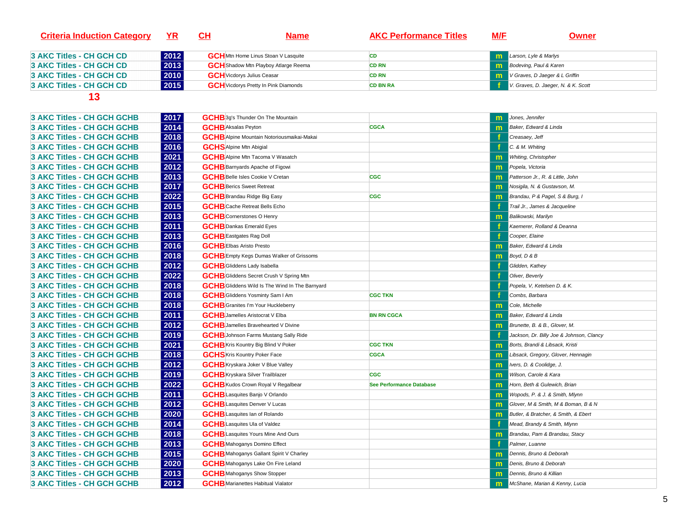| <b>Criteria Induction Category</b> | YR   | <u>CH</u><br><b>Name</b>                    | <b>AKC Performance Titles</b> | <u>M/F</u><br>Owner                     |
|------------------------------------|------|---------------------------------------------|-------------------------------|-----------------------------------------|
| 3 AKC Titles - CH GCH CD           | 2012 | <b>GCH</b> Mtn Home Linus Stoan V Lasquite  | CD                            | <b>m</b> Larson, Lyle & Marlys          |
| 3 AKC Titles - CH GCH CD_          | 2013 | <b>GCH</b> Shadow Mtn Playboy Atlarge Reema | <b>CD RN</b>                  | <b>To Bodeving, Paul &amp; Karen</b>    |
| 3 AKC Titles - CH GCH CD           | 2010 | <b>GCH</b> Vicdorys Julius Ceasar           | <b>CD RN</b>                  | <b>M</b> V Graves, D Jaeger & L Griffin |
| 3 AKC Titles - CH GCH CD           | 2015 | <b>GCH</b> Vicdorys Pretty In Pink Diamonds | <b>CD BN RA</b>               | V. Graves, D. Jaeger, N. & K. Scott     |
|                                    |      |                                             |                               |                                         |

| <b>3 AKC Titles - CH GCH GCHB</b> | 2017 | <b>GCHB</b> 3g's Thunder On The Mountain              |                                 | m            | Jones, Jennifer                          |
|-----------------------------------|------|-------------------------------------------------------|---------------------------------|--------------|------------------------------------------|
| 3 AKC Titles - CH GCH GCHB        | 2014 | <b>GCHB</b> Aksalas Peyton                            | <b>CGCA</b>                     | m            | Baker, Edward & Linda                    |
| 3 AKC Titles - CH GCH GCHB        | 2018 | <b>GCHB</b> Alpine Mountain Notoriousmaikai-Makai     |                                 |              | Creasaey, Jeff                           |
| <b>3 AKC Titles - CH GCH GCHB</b> | 2016 | <b>GCHS</b> Alpine Mtn Abigial                        |                                 |              | C. & M. Whiting                          |
| 3 AKC Titles - CH GCH GCHB        | 2021 | <b>GCHB</b> Alpine Mtn Tacoma V Wasatch               |                                 | m            | Whiting, Christopher                     |
| 3 AKC Titles - CH GCH GCHB        | 2012 | <b>GCHB</b> Barnyards Apache of Figowi                |                                 | $\mathsf{m}$ | Popela, Victoria                         |
| <b>3 AKC Titles - CH GCH GCHB</b> | 2013 | <b>GCHB</b> Belle Isles Cookie V Cretan               | CGC                             | $\mathsf{m}$ | Patterson Jr., R. & Little, John         |
| <b>3 AKC Titles - CH GCH GCHB</b> | 2017 | <b>GCHB</b> Berics Sweet Retreat                      |                                 | m            | Nosigila, N. & Gustavson, M.             |
| 3 AKC Titles - CH GCH GCHB        | 2022 | <b>GCHB</b> Brandau Ridge Big Easy                    | CGC                             | $\mathsf{m}$ | Brandau, P & Pagel, S & Burg, I          |
| 3 AKC Titles - CH GCH GCHB        | 2015 | <b>GCHB</b> Cache Retreat Bells Echo                  |                                 |              | Trail Jr., James & Jacqueline            |
| <b>3 AKC Titles - CH GCH GCHB</b> | 2013 | <b>GCHB</b> Cornerstones O Henry                      |                                 | $\mathbf{m}$ | <b>Balikowski, Marilyn</b>               |
| <b>3 AKC Titles - CH GCH GCHB</b> | 2011 | <b>GCHB</b> Dankas Emerald Eyes                       |                                 |              | Kaemerer, Rolland & Deanna               |
| 3 AKC Titles - CH GCH GCHB        | 2013 | <b>GCHB</b> Eastgates Rag Doll                        |                                 |              | Cooper, Elaine                           |
| 3 AKC Titles - CH GCH GCHB        | 2016 | <b>GCHBEIbas Aristo Presto</b>                        |                                 | $\mathsf{m}$ | Baker, Edward & Linda                    |
| <b>3 AKC Titles - CH GCH GCHB</b> | 2018 | <b>GCHB</b> Empty Kegs Dumas Walker of Grissoms       |                                 | m            | Boyd, D & B                              |
| 3 AKC Titles - CH GCH GCHB        | 2012 | <b>GCHB</b> Gliddens Lady Isabella                    |                                 |              | Glidden, Kathey                          |
| 3 AKC Titles - CH GCH GCHB        | 2022 | <b>GCHB</b> Gliddens Secret Crush V Spring Mtn        |                                 |              | Oliver, Beverly                          |
| <b>3 AKC Titles - CH GCH GCHB</b> | 2018 | <b>GCHB</b> Gliddens Wild Is The Wind In The Barnyard |                                 |              | Popela, V, Ketelsen D. & K.              |
| 3 AKC Titles - CH GCH GCHB        | 2018 | <b>GCHB</b> Gliddens Yosminty Sam I Am                | <b>CGC TKN</b>                  |              | Combs, Barbara                           |
| 3 AKC Titles - CH GCH GCHB        | 2018 | <b>GCHB</b> Granites I'm Your Huckleberry             |                                 | $\mathbf{m}$ | Cole, Michelle                           |
| 3 AKC Titles - CH GCH GCHB        | 2011 | <b>GCHB</b> Jamelles Aristocrat V Elba                | <b>BN RN CGCA</b>               | $\mathbf{m}$ | Baker, Edward & Linda                    |
| 3 AKC Titles - CH GCH GCHB        | 2012 | <b>GCHB</b> Jamelles Bravehearted V Divine            |                                 | m            | Brunette, B. & B., Glover, M.            |
| 3 AKC Titles - CH GCH GCHB        | 2019 | <b>GCHB</b> Johnson Farms Mustang Sally Ride          |                                 |              | Jackson, Dr. Billy Joe & Johnson, Clancy |
| 3 AKC Titles - CH GCH GCHB        | 2021 | <b>GCHB</b> Kris Kountry Big Blind V Poker            | <b>CGC TKN</b>                  | m            | Borts, Brandi & Libsack, Kristi          |
| <b>3 AKC Titles - CH GCH GCHB</b> | 2018 | <b>GCHS</b> Kris Kountry Poker Face                   | <b>CGCA</b>                     | $\mathsf{m}$ | Libsack, Gregory, Glover, Hennagin       |
| 3 AKC Titles - CH GCH GCHB        | 2012 | <b>GCHB</b> Kryskara Joker V Blue Valley              |                                 | $\mathsf{m}$ | Ivers, D. & Coolidge, J.                 |
| 3 AKC Titles - CH GCH GCHB        | 2019 | <b>GCHB</b> Kryskara Silver Trailblazer               | <b>CGC</b>                      | $\mathsf{m}$ | Wilson, Carole & Kara                    |
| 3 AKC Titles - CH GCH GCHB        | 2022 | <b>GCHB</b> Kudos Crown Royal V Regalbear             | <b>See Performance Database</b> | $\mathsf{m}$ | Horn, Beth & Gulewich, Brian             |
| <b>3 AKC Titles - CH GCH GCHB</b> | 2011 | <b>GCHB</b> Lasquites Banjo V Orlando                 |                                 | m            | Wopods, P. & J. & Smith, Mlynn           |
| 3 AKC Titles - CH GCH GCHB        | 2012 | <b>GCHB</b> Lasquites Denver V Lucas                  |                                 | $\mathsf{m}$ | Glover, M & Smith, M & Boman, B & N      |
| 3 AKC Titles - CH GCH GCHB        | 2020 | <b>GCHB</b> Lasquites Ian of Rolando                  |                                 | $\mathsf{m}$ | Butler, & Bratcher, & Smith, & Ebert     |
| <b>3 AKC Titles - CH GCH GCHB</b> | 2014 | <b>GCHB</b> Lasquites Ula of Valdez                   |                                 |              | Mead, Brandy & Smith, Mlynn              |
| 3 AKC Titles - CH GCH GCHB        | 2018 | <b>GCHB</b> Lasquites Yours Mine And Ours             |                                 | m            | Brandau, Pam & Brandau, Stacy            |
| 3 AKC Titles - CH GCH GCHB        | 2013 | <b>GCHB</b> Mahoganys Domino Effect                   |                                 |              | Palmer, Luanne                           |
| 3 AKC Titles - CH GCH GCHB        | 2015 | <b>GCH B</b> Mahoganys Gallant Spirit V Charley       |                                 | $\mathsf{m}$ | Dennis, Bruno & Deborah                  |
| 3 AKC Titles - CH GCH GCHB        | 2020 | <b>GCHB</b> Mahoganys Lake On Fire Leland             |                                 | m            | Denis, Bruno & Deborah                   |
| 3 AKC Titles - CH GCH GCHB        | 2013 | <b>GCHB</b> Mahoganys Show Stopper                    |                                 | m            | Dennis, Bruno & Killian                  |
| 3 AKC Titles - CH GCH GCHB        | 2012 | <b>GCHB</b> Marianettes Habitual Vialator             |                                 | $\mathsf{m}$ | McShane, Marian & Kenny, Lucia           |
|                                   |      |                                                       |                                 |              |                                          |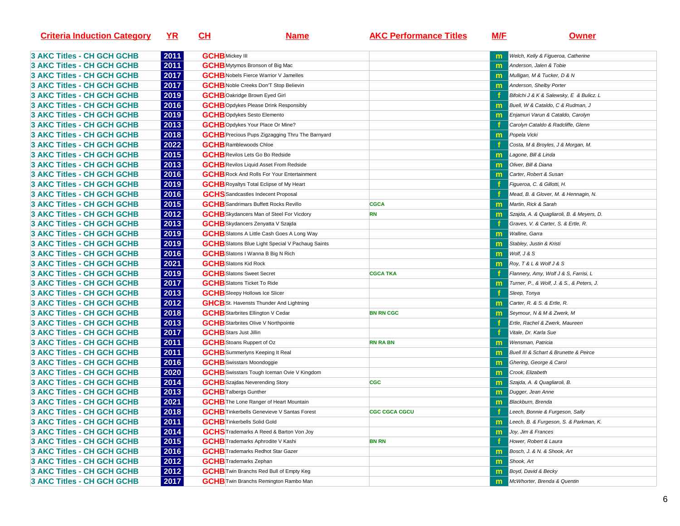| <b>Criteria Induction Category</b> | <u>YR</u> | <u>CH</u>                                               | <u>Name</u>                            | <b>AKC Performance Titles</b> | <u>M/E</u>   | <u>Owner</u>                                             |
|------------------------------------|-----------|---------------------------------------------------------|----------------------------------------|-------------------------------|--------------|----------------------------------------------------------|
| <b>3 AKC Titles - CH GCH GCHB</b>  | 2011      | <b>GCHB</b> Mickey III                                  |                                        |                               |              | Welch, Kelly & Figueroa, Catherine                       |
| <b>3 AKC Titles - CH GCH GCHB</b>  | 2011      |                                                         | <b>GCHB</b> Mytymos Bronson of Big Mac |                               |              | Anderson, Jalen & Tobie                                  |
| <b>3 AKC Titles - CH GCH GCHB</b>  | 2017      | <b>GCH</b> B Nobels Fierce Warrior V Jamelles           |                                        |                               |              | Mulligan, M & Tucker, D & N                              |
| <b>3 AKC Titles - CH GCH GCHB</b>  | 2017      | <b>GCH</b> B Noble Creeks Don'T Stop Believin           |                                        |                               | m            | Anderson, Shelby Porter                                  |
| 3 AKC Titles - CH GCH GCHB         | 2019      | <b>GCHB</b> Oakridge Brown Eyed Girl                    |                                        |                               |              | Bifolchi J & K & Salewsky, E & Bulicz. L                 |
| 3 AKC Titles - CH GCH GCHB         | 2016      | <b>GCH</b> BOpdykes Please Drink Responsibly            |                                        |                               | m            | Buell, W & Cataldo, C & Rudman, J                        |
| <b>3 AKC Titles - CH GCH GCHB</b>  | 2019      | <b>GCHB</b> Opdykes Sesto Elemento                      |                                        |                               | m            | Enjamuri Varun & Cataldo, Carolyn                        |
| <b>3 AKC Titles - CH GCH GCHB</b>  | 2013      | <b>GCHB</b> Opdykes Your Place Or Mine?                 |                                        |                               |              | Carolyn Cataldo & Radcliffe, Glenn                       |
| <b>3 AKC Titles - CH GCH GCHB</b>  | 2018      | <b>GCHB</b> Precious Pups Zigzagging Thru The Barnyard  |                                        |                               | m            | Popela Vicki                                             |
| <b>3 AKC Titles - CH GCH GCHB</b>  | 2022      | <b>GCHB</b> Ramblewoods Chloe                           |                                        |                               |              | Costa, M & Broyles, J & Morgan, M.                       |
| <b>3 AKC Titles - CH GCH GCHB</b>  | 2015      | <b>GCHB</b> Revilos Lets Go Bo Redside                  |                                        |                               | $\mathsf{m}$ | Lagone, Bill & Linda                                     |
| <b>3 AKC Titles - CH GCH GCHB</b>  | 2013      | <b>GCHB</b> Revilos Liquid Asset From Redside           |                                        |                               | m            | Oliver, Bill & Diana                                     |
| <b>3 AKC Titles - CH GCH GCHB</b>  | 2016      | <b>GCHB</b> Rock And Rolls For Your Entertainment       |                                        |                               | m            | Carter, Robert & Susan                                   |
| <b>3 AKC Titles - CH GCH GCHB</b>  | 2019      | <b>GCHB</b> Royaltys Total Eclipse of My Heart          |                                        |                               |              | Figueroa, C. & Gillotti, H.                              |
| 3 AKC Titles - CH GCH GCHB         | 2016      | <b>GCHS</b> Sandcastles Indecent Proposal               |                                        |                               |              | Mead, B. & Glover, M. & Hennagin, N.                     |
| <b>3 AKC Titles - CH GCH GCHB</b>  | 2015      | <b>GCHB</b> Sandrimars Buffett Rocks Revillo            |                                        | <b>CGCA</b>                   |              | Martin, Rick & Sarah                                     |
| <b>3 AKC Titles - CH GCH GCHB</b>  | 2012      | <b>GCHB</b> Skydancers Man of Steel For Vicdory         |                                        | <b>RN</b>                     | m            | Szajda, A. & Quagliaroli, B. & Meyers, D.                |
| <b>3 AKC Titles - CH GCH GCHB</b>  | 2013      | <b>GCHB</b> Skydancers Zenyatta V Szajda                |                                        |                               |              | Graves, V. & Carter, S. & Ertle, R.                      |
| <b>3 AKC Titles - CH GCH GCHB</b>  | 2019      | <b>GCH</b> B Slatons A Little Cash Goes A Long Way      |                                        |                               | m            | <b>Walline, Garra</b>                                    |
| <b>3 AKC Titles - CH GCH GCHB</b>  | 2019      | <b>GCHB</b> Slatons Blue Light Special V Pachaug Saints |                                        |                               | m            | Stabley, Justin & Kristi                                 |
| <b>3 AKC Titles - CH GCH GCHB</b>  | 2016      | <b>GCHB</b> Slatons I Wanna B Big N Rich                |                                        |                               | m            | Wolf, J & S                                              |
| <b>3 AKC Titles - CH GCH GCHB</b>  | 2021      | <b>GCHB</b> Slatons Kid Rock                            |                                        |                               | m            | Roy, T&L&Wolf J&S                                        |
| 3 AKC Titles - CH GCH GCHB         | 2019      | <b>GCHB</b> Slatons Sweet Secret                        |                                        | <b>CGCA TKA</b>               |              | Flannery, Amy, Wolf J & S, Farrisi, L                    |
| <b>3 AKC Titles - CH GCH GCHB</b>  | 2017      | <b>GCHB</b> Slatons Ticket To Ride                      |                                        |                               | m            | Turner, P., & Wolf, J. & S., & Peters, J.                |
| <b>3 AKC Titles - CH GCH GCHB</b>  | 2013      | <b>GCHB</b> Sleepy Hollows Ice Slicer                   |                                        |                               |              | Sleep, Tonya                                             |
| <b>3 AKC Titles - CH GCH GCHB</b>  | 2012      | <b>GHCB</b> St. Havensts Thunder And Lightning          |                                        |                               | m            | Carter, R. & S. & Ertle, R.                              |
| <b>3 AKC Titles - CH GCH GCHB</b>  | 2018      | <b>GCHB</b> Starbrites Ellington V Cedar                |                                        | <b>BN RN CGC</b>              | $\mathsf{m}$ | Seymour, N & M & Zwerk, M                                |
| <b>3 AKC Titles - CH GCH GCHB</b>  | 2013      | <b>GCH B</b> Starbrites Olive V Northpointe             |                                        |                               |              | Ertle, Rachel & Zwerk, Maureen                           |
| <b>3 AKC Titles - CH GCH GCHB</b>  | 2017      | <b>GCHB</b> Stars Just Jillin                           |                                        |                               |              | Vitale, Dr. Karla Sue                                    |
| <b>3 AKC Titles - CH GCH GCHB</b>  | 2011      | <b>GCHB</b> Stoans Ruppert of Oz                        |                                        | <b>RN RA BN</b>               | m            | Wensman, Patricia                                        |
| 3 AKC Titles - CH GCH GCHB         | 2011      | <b>GCHB</b> Summerlyns Keeping It Real                  |                                        |                               | m            | Buell III & Schart & Brunette & Peirce                   |
| 3 AKC Titles - CH GCH GCHB         | 2016      | <b>GCHB</b> Swisstars Moondoggie                        |                                        |                               | m            | Ghering, George & Carol                                  |
| 3 AKC Titles - CH GCH GCHB         | 2020      | <b>GCHB</b> Swisstars Tough Iceman Ovie V Kingdom       |                                        |                               | m            | Crook, Elizabeth                                         |
| <b>3 AKC Titles - CH GCH GCHB</b>  | 2014      | <b>GCHB</b> Szajdas Neverending Story                   |                                        | <b>CGC</b>                    | m            | Szajda, A. & Quagliaroli, B.                             |
| <b>3 AKC Titles - CH GCH GCHB</b>  | 2013      | <b>GCHB</b> Talbergs Gunther                            |                                        |                               | m            | Dugger, Jean Anne                                        |
| <b>3 AKC Titles - CH GCH GCHB</b>  | 2021      | <b>GCHB</b> The Lone Ranger of Heart Mountain           |                                        |                               | m            | Blackburn, Brenda                                        |
| <b>3 AKC Titles - CH GCH GCHB</b>  | 2018      | <b>GCHB</b> Tinkerbells Genevieve V Santas Forest       |                                        | <b>CGC CGCA CGCU</b>          |              | Leech, Bonnie & Furgeson, Sally                          |
| <b>3 AKC Titles - CH GCH GCHB</b>  | 2011      | <b>GCHB</b> Tinkerbells Solid Gold                      |                                        |                               |              | <b>To Leech, B. &amp; Furgeson, S. &amp; Parkman, K.</b> |
| 3 AKC Titles - CH GCH GCHB         | 2014      | <b>GCHS</b> Trademarks A Reed & Barton Von Joy          |                                        |                               | m.           | Joy, Jim & Frances                                       |
| 3 AKC Titles - CH GCH GCHB         | 2015      | <b>GCHB</b> Trademarks Aphrodite V Kashi                |                                        | <b>BN RN</b>                  |              | Hower, Robert & Laura                                    |
| 3 AKC Titles - CH GCH GCHB         | 2016      | <b>GCHB</b> Trademarks Redhot Star Gazer                |                                        |                               |              | Bosch, J. & N. & Shook, Art                              |
| 3 AKC Titles - CH GCH GCHB         | 2012      | <b>GCHB</b> Trademarks Zephan                           |                                        |                               | m            | Shook, Art                                               |
| 3 AKC Titles - CH GCH GCHB         | 2012      | <b>GCHB</b> Twin Branchs Red Bull of Empty Keg          |                                        |                               | m            | Boyd, David & Becky                                      |
| 3 AKC Titles - CH GCH GCHB         | 2017      | <b>GCHB</b> Twin Branchs Remington Rambo Man            |                                        |                               | m            | McWhorter, Brenda & Quentin                              |
|                                    |           |                                                         |                                        |                               |              |                                                          |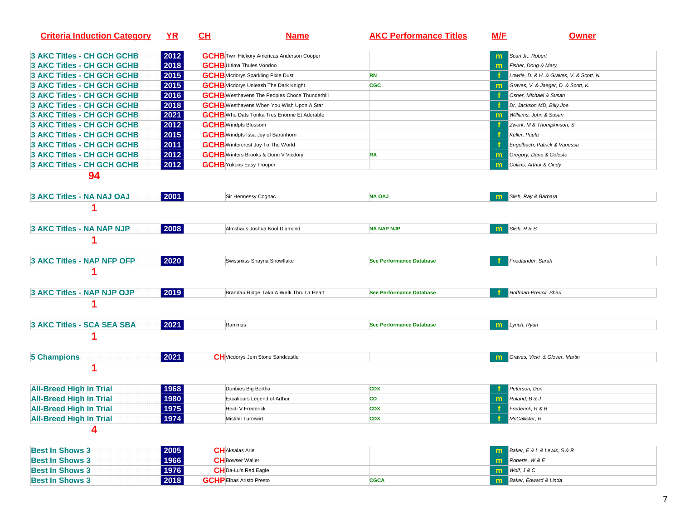| <b>Criteria Induction Category</b> | $YR$ | $CH$                                      | <u>Name</u>                                          | <b>AKC Performance Titles</b>   | <b>M/E</b>   | <b>Owner</b>                             |
|------------------------------------|------|-------------------------------------------|------------------------------------------------------|---------------------------------|--------------|------------------------------------------|
| 3 AKC Titles - CH GCH GCHB         | 2012 |                                           | <b>GCHB</b> Twin Hickory Americas Anderson Cooper    |                                 | $\mathbf{m}$ | Scarl Jr., Robert                        |
| 3 AKC Titles - CH GCH GCHB         | 2018 | <b>GCHB</b> Ultima Thules Voodoo          |                                                      |                                 | m            | Fisher, Doug & Mary                      |
| <b>3 AKC Titles - CH GCH GCHB</b>  | 2015 | <b>GCHB</b> Vicdorys Sparkling Pixie Dust |                                                      | <b>RN</b>                       |              | Lowrie, D. & H. & Graves, V. & Scott, N. |
| 3 AKC Titles - CH GCH GCHB         | 2015 |                                           | <b>GCHB</b> Vicdorys Unleash The Dark Knight         | <b>CGC</b>                      | m            | Graves, V. & Jaeger, D. & Scott, K.      |
| <b>3 AKC Titles - CH GCH GCHB</b>  | 2016 |                                           | <b>GCHB</b> Westhavens The Peoples Choce Thunderhill |                                 |              | Osher, Michael & Susan                   |
| <b>3 AKC Titles - CH GCH GCHB</b>  | 2018 |                                           | <b>GCHB</b> Westhavens When You Wish Upon A Star     |                                 |              | Dr, Jackson MD, Billy Joe                |
| 3 AKC Titles - CH GCH GCHB         | 2021 |                                           | <b>GCHB</b> Who Dats Tonka Tres Enorme Et Adorable   |                                 | m            | Williams, John & Susan                   |
| 3 AKC Titles - CH GCH GCHB         | 2012 | <b>GCHB</b> Windpts Blossom               |                                                      |                                 |              | Zwerk, M & Thompkinson, S                |
| <b>3 AKC Titles - CH GCH GCHB</b>  | 2015 | <b>GCHB</b> Windpts Issa Joy of Baronhorn |                                                      |                                 | f            | Keller, Paula                            |
| <b>3 AKC Titles - CH GCH GCHB</b>  | 2011 | <b>GCHB</b> Wintercrest Joy To The World  |                                                      |                                 |              | Engelbach, Patrick & Vanessa             |
| <b>3 AKC Titles - CH GCH GCHB</b>  | 2012 |                                           | <b>GCHB</b> Winters Brooks & Dunn V Vicdory          | <b>RA</b>                       | m            | Gregory, Dana & Celeste                  |
| <b>3 AKC Titles - CH GCH GCHB</b>  | 2012 | <b>GCHB</b> Yukons Easy Trooper           |                                                      |                                 | m            | Collins, Arthur & Cindy                  |
| 94                                 |      |                                           |                                                      |                                 |              |                                          |
| 3 AKC Titles - NA NAJ OAJ          | 2001 |                                           | Sir Hennessy Cognac                                  | <b>NA OAJ</b>                   | m            | Slish, Ray & Barbara                     |
|                                    |      |                                           |                                                      |                                 |              |                                          |
| 3 AKC Titles - NA NAP NJP          | 2008 |                                           | Almshaus Joshua Kool Diamond                         | <b>NA NAP NJP</b>               | $\mathsf{m}$ | Slish, R & B                             |
|                                    |      |                                           |                                                      |                                 |              |                                          |
| 3 AKC Titles - NAP NFP OFP         | 2020 |                                           | Swissmiss Shayna Snowflake                           | <b>See Performance Database</b> |              | Friedlander, Sarah                       |
|                                    |      |                                           |                                                      |                                 |              |                                          |
| 3 AKC Titles - NAP NJP OJP         | 2019 |                                           | Brandau Ridge Takn A Walk Thru Ur Heart              | <b>See Performance Database</b> |              | Hoffman-Preucil, Shari                   |
|                                    |      |                                           |                                                      |                                 |              |                                          |
| 3 AKC Titles - SCA SEA SBA         | 2021 | Rammus                                    |                                                      | <b>See Performance Database</b> |              | <b>m</b> Lynch, Ryan                     |
|                                    |      |                                           |                                                      |                                 |              |                                          |
| <b>5 Champions</b>                 | 2021 |                                           | <b>CH</b> Vicdorys Jem Stone Sandcastle              |                                 | $\mathsf{m}$ | Graves, Vicki & Glover, Martin           |
| 1                                  |      |                                           |                                                      |                                 |              |                                          |
| <b>All-Breed High In Trial</b>     | 1968 | Donbies Big Bertha                        |                                                      | <b>CDX</b>                      |              | Peterson, Don                            |
| <b>All-Breed High In Trial</b>     | 1980 |                                           | Excaliburs Legend of Arthur                          | CD                              | $\mathbf{m}$ | Roland, B & J                            |
| <b>All-Breed High In Trial</b>     | 1975 | Heidi V Frederick                         |                                                      | <b>CDX</b>                      |              | Frederick, R & B                         |
| <b>All-Breed High In Trial</b>     | 1974 | Mistihil Turmwirt                         |                                                      | <b>CDX</b>                      |              | McCallister, R                           |
|                                    |      |                                           |                                                      |                                 |              |                                          |
| <b>Best In Shows 3</b>             | 2005 | <b>CH</b> Aksalas Arie                    |                                                      |                                 | m            | Baker, E & L & Lewis, S & R              |
| <b>Best In Shows 3</b>             | 1966 | <b>CH</b> Bowser Waller                   |                                                      |                                 | m            | Roberts, W & E                           |
| <b>Best In Shows 3</b>             | 1976 | <b>CH</b> Da-Lu's Red Eagle               |                                                      |                                 | m            | Wolf, J & C                              |
| <b>Best In Shows 3</b>             | 2018 | <b>GCHPEIbas Aristo Presto</b>            |                                                      | <b>CGCA</b>                     | m            | Baker, Edward & Linda                    |
|                                    |      |                                           |                                                      |                                 |              |                                          |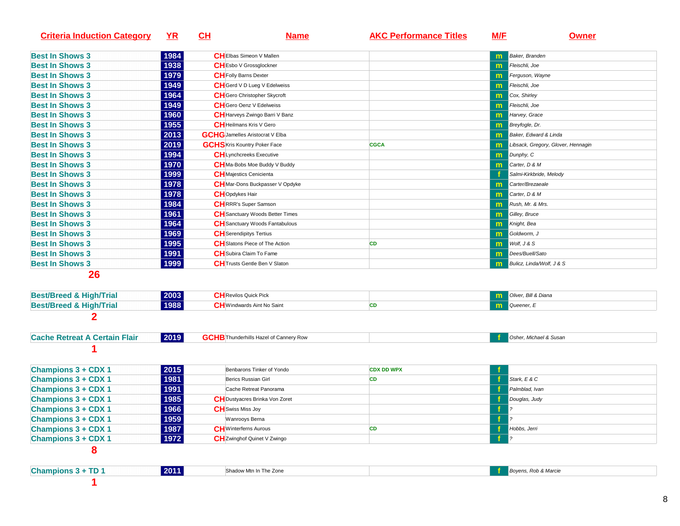| <b>Criteria Induction Category</b>   | <u>YR</u> | CL | <b>Name</b>                                   | <b>AKC Performance Titles</b> | M/F          | <b>Owner</b>                       |
|--------------------------------------|-----------|----|-----------------------------------------------|-------------------------------|--------------|------------------------------------|
| <b>Best In Shows 3</b>               | 1984      |    | <b>CH</b> Elbas Simeon V Mallen               |                               |              | Baker, Branden                     |
| <b>Best In Shows 3</b>               | 1938      |    | <b>CH</b> Esbo V Grossglockner                |                               | m            | Fleischli, Joe                     |
| <b>Best In Shows 3</b>               | 1979      |    | <b>CH</b> Folly Barns Dexter                  |                               | m            | Ferguson, Wayne                    |
| <b>Best In Shows 3</b>               | 1949      |    | CH Gerd V D Lueg V Edelweiss                  |                               | m            | Fleischli, Joe                     |
| <b>Best In Shows 3</b>               | 1964      |    | CH Gero Christopher Skycroft                  |                               | m            | Cox, Shirley                       |
| <b>Best In Shows 3</b>               | 1949      |    | <b>CH</b> Gero Oenz V Edelweiss               |                               | $\mathsf{m}$ | Fleischli, Joe                     |
| <b>Best In Shows 3</b>               | 1960      |    | CH Harveys Zwingo Barri V Banz                |                               | $\mathsf{m}$ | Harvey, Grace                      |
| <b>Best In Shows 3</b>               | 1955      |    | <b>CH</b> Heilmans Kris V Gero                |                               | m            | Breyfogle, Dr.                     |
| <b>Best In Shows 3</b>               | 2013      |    | <b>GCHG</b> Jamelles Aristocrat V Elba        |                               | m            | Baker, Edward & Linda              |
| <b>Best In Shows 3</b>               | 2019      |    | <b>GCHS</b> Kris Kountry Poker Face           | <b>CGCA</b>                   | m            | Libsack, Gregory, Glover, Hennagin |
| <b>Best In Shows 3</b>               | 1994      |    | <b>CH</b> Lynchcreeks Executive               |                               | m            | Dunphy, C                          |
| <b>Best In Shows 3</b>               | 1970      |    | CH Ma-Bobs Moe Buddy V Buddy                  |                               | m            | Carter, D & M                      |
| <b>Best In Shows 3</b>               | 1999      |    | <b>CH</b> Majestics Cenicienta                |                               |              | Salmi-Kirkbride, Melody            |
| <b>Best In Shows 3</b>               | 1978      |    | <b>CH</b> Mar-Dons Buckpasser V Opdyke        |                               | m            | Carter/Brezaeale                   |
| <b>Best In Shows 3</b>               | 1978      |    | <b>CH</b> Opdykes Hair                        |                               | m            | Carter, D & M                      |
| <b>Best In Shows 3</b>               | 1984      |    | <b>CH</b> IRRR's Super Samson                 |                               | m            | Rush, Mr. & Mrs.                   |
| <b>Best In Shows 3</b>               | 1961      |    | <b>CH</b> Sanctuary Woods Better Times        |                               | m            | Gilley, Bruce                      |
| <b>Best In Shows 3</b>               | 1964      |    | CH Sanctuary Woods Fantabulous                |                               | m            | Knight, Bea                        |
| <b>Best In Shows 3</b>               | 1969      |    | <b>CH</b> Serendipitys Tertius                |                               | m            | Goldworm, J                        |
| <b>Best In Shows 3</b>               | 1995      |    | <b>CH</b> Slatons Piece of The Action         | CD                            | m            | Wolf, J & S                        |
| <b>Best In Shows 3</b>               | 1991      |    | <b>CH</b> Subira Claim To Fame                |                               | m            | Dees/Buell/Sato                    |
| <b>Best In Shows 3</b>               | 1999      |    | <b>CH</b> Trusts Gentle Ben V Slaton          |                               | m            | Bulicz, Linda/Wolf, J & S          |
| 26                                   |           |    |                                               |                               |              |                                    |
| <b>Best/Breed &amp; High/Trial</b>   | 2003      |    | <b>CH</b> Revilos Quick Pick                  |                               | m            | Oliver, Bill & Diana               |
| <b>Best/Breed &amp; High/Trial</b>   | 1988      |    | <b>CH</b> Windwards Aint No Saint             | <b>CD</b>                     | m            | Queener, E                         |
| 2                                    |           |    |                                               |                               |              |                                    |
| <b>Cache Retreat A Certain Flair</b> | 2019      |    | <b>GCHB</b> Thunderhills Hazel of Cannery Row |                               |              | Osher, Michael & Susan             |
|                                      |           |    |                                               |                               |              |                                    |
| <b>Champions 3 + CDX 1</b>           | 2015      |    | Benbarons Tinker of Yondo                     | <b>CDX DD WPX</b>             |              |                                    |
| <b>Champions 3 + CDX 1</b>           | 1981      |    | Berics Russian Girl                           | CD                            |              | Stark, E & C                       |
| <b>Champions 3 + CDX 1</b>           | 1991      |    | Cache Retreat Panorama                        |                               |              | Palmblad, Ivan                     |
| <b>Champions 3 + CDX 1</b>           | 1985      |    | CH Dustyacres Brinka Von Zoret                |                               |              | Douglas, Judy                      |
| <b>Champions 3 + CDX 1</b>           | 1966      |    | <b>CH</b> Swiss Miss Joy                      |                               |              |                                    |
| <b>Champions 3 + CDX 1</b>           | 1959      |    | Wanrooys Berna                                |                               |              |                                    |
| <b>Champions 3 + CDX 1</b>           | 1987      |    | <b>CH</b> Winterferns Aurous                  | <b>CD</b>                     |              | Hobbs, Jerri                       |
| <b>Champions 3 + CDX 1</b>           | 1972      |    | <b>CH</b> Zwinghof Quinet V Zwingo            |                               | -1           | $ 2\rangle$                        |
| 8                                    |           |    |                                               |                               |              |                                    |
| <b>Champions 3 + TD 1</b>            | 2011      |    | Shadow Mtn In The Zone                        |                               |              | Boyens, Rob & Marcie               |
|                                      |           |    |                                               |                               |              |                                    |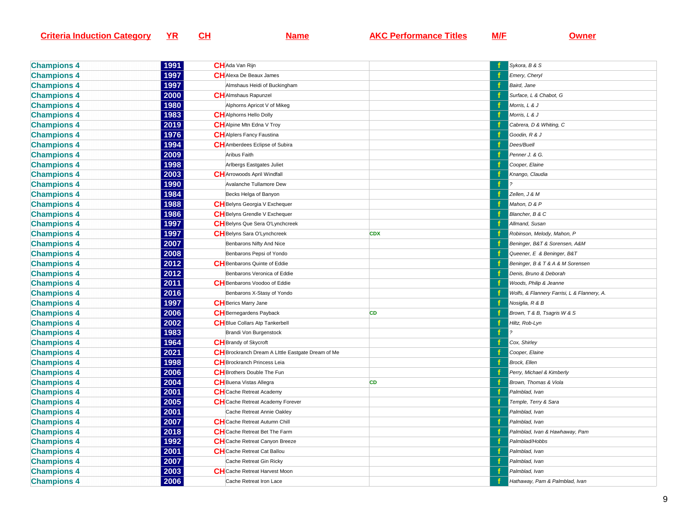| <b>Criteria Induction Category</b> |  |  |
|------------------------------------|--|--|
|                                    |  |  |

**Name AKC Performance Titles M/F Owner** 

| <b>Champions 4</b> | 1991 | CH Ada Van Rijn                                   |            | Sykora, B & S                               |
|--------------------|------|---------------------------------------------------|------------|---------------------------------------------|
| <b>Champions 4</b> | 1997 | CH Alexa De Beaux James                           |            | Emery, Cheryl                               |
| <b>Champions 4</b> | 1997 | Almshaus Heidi of Buckingham                      |            | Baird, Jane                                 |
| <b>Champions 4</b> | 2000 | <b>CH</b> AImshaus Rapunzel                       |            | Surface, L & Chabot, G                      |
| <b>Champions 4</b> | 1980 | Alphorns Apricot V of Mikeg                       |            | Morris, L & J                               |
| <b>Champions 4</b> | 1983 | <b>CH</b> Alphorns Hello Dolly                    | f          | Morris, L & J                               |
| <b>Champions 4</b> | 2019 | <b>CH</b> Alpine Mtn Edna V Troy                  |            | Cabrera, D & Whiting, C                     |
| <b>Champions 4</b> | 1976 | <b>CH</b> Alplers Fancy Faustina                  |            | Goodin, R & J                               |
| <b>Champions 4</b> | 1994 | CH Amberdees Eclipse of Subira                    |            | Dees/Buell                                  |
| <b>Champions 4</b> | 2009 | Aribus Faith                                      |            | Penner J. & G.                              |
| <b>Champions 4</b> | 1998 | Arlbergs Eastgates Juliet                         |            | Cooper, Elaine                              |
| <b>Champions 4</b> | 2003 | <b>CH</b> Arrowoods April Windfall                |            | Knango, Claudia                             |
| <b>Champions 4</b> | 1990 | Avalanche Tullamore Dew                           | f          |                                             |
| <b>Champions 4</b> | 1984 | Becks Helga of Banyon                             |            | Zellen, J & M                               |
| <b>Champions 4</b> | 1988 | CH Belyns Georgia V Exchequer                     |            | Mahon, D & P                                |
| <b>Champions 4</b> | 1986 | CH Belyns Grendle V Exchequer                     |            | Blancher, B & C                             |
| <b>Champions 4</b> | 1997 | CH Belyns Que Sera O'Lynchcreek                   |            | Allmand, Susan                              |
| <b>Champions 4</b> | 1997 | <b>CH</b> Belyns Sara O'Lynchcreek                | <b>CDX</b> | Robinson, Melody, Mahon, P                  |
| <b>Champions 4</b> | 2007 | Benbarons Nifty And Nice                          |            | Beninger, B&T & Sorensen, A&M               |
| <b>Champions 4</b> | 2008 | Benbarons Pepsi of Yondo                          |            | Queener, E & Beninger, B&T                  |
| <b>Champions 4</b> | 2012 | <b>CH</b> Benbarons Quinte of Eddie               |            | Beninger, B & T & A & M Sorensen            |
| <b>Champions 4</b> | 2012 | Benbarons Veronica of Eddie                       |            | Denis, Bruno & Deborah                      |
| <b>Champions 4</b> | 2011 | CH Benbarons Voodoo of Eddie                      |            | Woods, Philip & Jeanne                      |
| <b>Champions 4</b> | 2016 | Benbarons X-Stasy of Yondo                        |            | Wolfs, & Flannery Farrisi, L & Flannery, A. |
| <b>Champions 4</b> | 1997 | <b>CH</b> Berics Marry Jane                       |            | Nosiglia, R & B                             |
| <b>Champions 4</b> | 2006 | <b>CH</b> Bernegardens Payback                    | CD         | Brown, T & B, Tsagris W & S                 |
| <b>Champions 4</b> | 2002 | <b>CH</b> Blue Collars Atp Tankerbell             |            | Hiltz, Rob-Lyn                              |
| <b>Champions 4</b> | 1983 | Brandi Von Burgenstock                            | Ŧ          |                                             |
| <b>Champions 4</b> | 1964 | <b>CH</b> Brandy of Skycroft                      |            | Cox, Shirley                                |
| <b>Champions 4</b> | 2021 | CH Brockranch Dream A Little Eastgate Dream of Me |            | Cooper, Elaine                              |
| <b>Champions 4</b> | 1998 | <b>CH</b> Brockranch Princess Leia                |            | Brock, Ellen                                |
| <b>Champions 4</b> | 2006 | <b>CH</b> Brothers Double The Fun                 |            | Perry, Michael & Kimberly                   |
| <b>Champions 4</b> | 2004 | <b>CH</b> Buena Vistas Allegra                    | <b>CD</b>  | Brown, Thomas & Viola                       |
| <b>Champions 4</b> | 2001 | <b>CH</b> Cache Retreat Academy                   |            | Palmblad, Ivan                              |
| <b>Champions 4</b> | 2005 | CH Cache Retreat Academy Forever                  |            | Temple, Terry & Sara                        |
| <b>Champions 4</b> | 2001 | Cache Retreat Annie Oakley                        |            | Palmblad, Ivan                              |
| <b>Champions 4</b> | 2007 | CH Cache Retreat Autumn Chill                     |            | Palmblad, Ivan                              |
| <b>Champions 4</b> | 2018 | <b>CH</b> Cache Retreat Bet The Farm              |            | Palmblad, Ivan & Hawhaway, Pam              |
| <b>Champions 4</b> | 1992 | CH Cache Retreat Canyon Breeze                    |            | Palmblad/Hobbs                              |
| <b>Champions 4</b> | 2001 | <b>CH</b> Cache Retreat Cat Ballou                |            | Palmblad, Ivan                              |
| <b>Champions 4</b> | 2007 | Cache Retreat Gin Ricky                           |            | Palmblad, Ivan                              |
| <b>Champions 4</b> | 2003 | CH Cache Retreat Harvest Moon                     |            | Palmblad, Ivan                              |
| <b>Champions 4</b> | 2006 | Cache Retreat Iron Lace                           |            | Hathaway, Pam & Palmblad, Ivan              |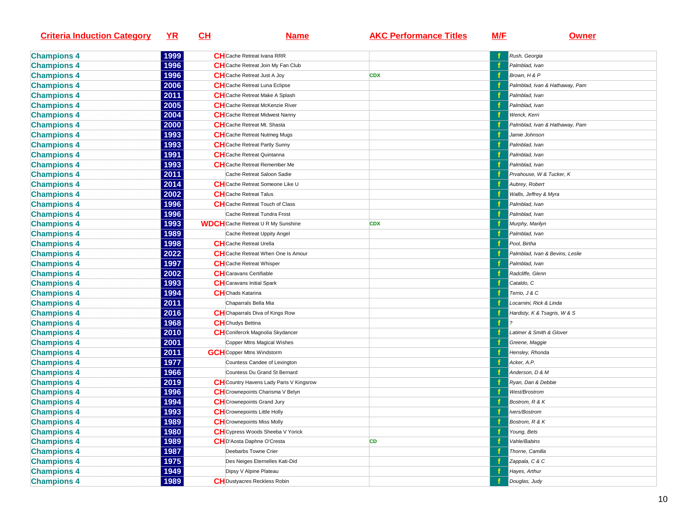| <b>Criteria Induction Category</b> | <u>YR</u> | <u>CH</u> | <b>Name</b>                                                  | <b>AKC Performance Titles</b> | <u>M/E</u> | <u>Owner</u>                    |
|------------------------------------|-----------|-----------|--------------------------------------------------------------|-------------------------------|------------|---------------------------------|
| <b>Champions 4</b>                 | 1999      |           | <b>CH</b> Cache Retreat Ivana RRR                            |                               |            | Rush, Georgia                   |
| <b>Champions 4</b>                 | 1996      |           | <b>CH</b> Cache Retreat Join My Fan Club                     |                               |            | Palmblad, Ivan                  |
| <b>Champions 4</b>                 | 1996      |           | <b>CH</b> Cache Retreat Just A Joy                           | <b>CDX</b>                    |            | Brown, H & P                    |
| <b>Champions 4</b>                 | 2006      |           | CH Cache Retreat Luna Eclipse                                |                               |            | Palmblad, Ivan & Hathaway, Pam  |
| <b>Champions 4</b>                 | 2011      |           | CH Cache Retreat Make A Splash                               |                               |            | Palmblad, Ivan                  |
| <b>Champions 4</b>                 | 2005      |           | <b>CH</b> Cache Retreat McKenzie River                       |                               |            | Palmblad, Ivan                  |
| <b>Champions 4</b>                 | 2004      |           | <b>CH</b> Cache Retreat Midwest Nanny                        |                               |            | Wenck, Kerri                    |
| <b>Champions 4</b>                 | 2000      |           | <b>CH</b> Cache Retreat Mt. Shasta                           |                               |            | Palmblad, Ivan & Hathaway, Pam  |
| <b>Champions 4</b>                 | 1993      |           | <b>CH</b> Cache Retreat Nutmeg Mugs                          |                               |            | Jamie Johnson                   |
| <b>Champions 4</b>                 | 1993      |           | <b>CH</b> Cache Retreat Partly Sunny                         |                               |            | Palmblad, Ivan                  |
| <b>Champions 4</b>                 | 1991      |           | <b>CH</b> Cache Retreat Quintanna                            |                               |            | Palmblad, Ivan                  |
| <b>Champions 4</b>                 | 1993      |           | <b>CH</b> Cache Retreat Remember Me                          |                               |            | Palmblad, Ivan                  |
| <b>Champions 4</b>                 | 2011      |           | Cache Retreat Saloon Sadie                                   |                               |            | Prvahouse, W & Tucker, K        |
| <b>Champions 4</b>                 | 2014      |           | <b>CH</b> Cache Retreat Someone Like U                       |                               |            | Aubrey, Robert                  |
| <b>Champions 4</b>                 | 2002      |           | <b>CH</b> Cache Retreat Talus                                |                               |            | Wallis, Jeffrey & Myra          |
| <b>Champions 4</b>                 | 1996      |           | <b>CH</b> Cache Retreat Touch of Class                       |                               |            | Palmblad, Ivan                  |
| <b>Champions 4</b>                 | 1996      |           | Cache Retreat Tundra Frost                                   |                               |            | Palmblad, Ivan                  |
|                                    | 1993      |           | <b>WDCH</b> Cache Retreat U R My Sunshine                    | <b>CDX</b>                    |            | Murphy, Marilyn                 |
| <b>Champions 4</b>                 | 1989      |           |                                                              |                               |            |                                 |
| <b>Champions 4</b>                 | 1998      |           | Cache Retreat Uppity Angel<br><b>CH</b> Cache Retreat Urella |                               |            | Palmblad, Ivan<br>Pool, Birtha  |
| <b>Champions 4</b>                 | 2022      |           | CH Cache Retreat When One Is Amour                           |                               |            |                                 |
| <b>Champions 4</b>                 |           |           |                                                              |                               |            | Palmblad, Ivan & Bevins, Leslie |
| <b>Champions 4</b>                 | 1997      |           | <b>CH</b> Cache Retreat Whisper                              |                               |            | Palmblad, Ivan                  |
| <b>Champions 4</b>                 | 2002      |           | <b>CH</b> Caravans Certifiable                               |                               |            | Radcliffe, Glenn                |
| <b>Champions 4</b>                 | 1993      |           | <b>CH</b> Caravans Initial Spark                             |                               |            | Cataldo, C                      |
| <b>Champions 4</b>                 | 1994      |           | <b>CH</b> Chads Katarina                                     |                               |            | Terrio, J & C                   |
| <b>Champions 4</b>                 | 2011      |           | Chaparrals Bella Mia                                         |                               |            | Locarnini, Rick & Linda         |
| <b>Champions 4</b>                 | 2016      |           | <b>CH</b> Chaparrals Diva of Kings Row                       |                               |            | Hardisty, K & Tsagris, W & S    |
| <b>Champions 4</b>                 | 1968      |           | <b>CH</b> Chudys Bettina                                     |                               |            |                                 |
| <b>Champions 4</b>                 | 2010      |           | CH Conifercrk Magnolia Skydancer                             |                               |            | Latimer & Smith & Glover        |
| <b>Champions 4</b>                 | 2001      |           | Copper Mtns Magical Wishes                                   |                               |            | Greene, Maggie                  |
| <b>Champions 4</b>                 | 2011      |           | <b>GCH</b> Copper Mtns Windstorm                             |                               |            | Hensley, Rhonda                 |
| <b>Champions 4</b>                 | 1977      |           | Countess Candee of Lexington                                 |                               |            | Acker, A.P.                     |
| <b>Champions 4</b>                 | 1966      |           | Countess Du Grand St Bernard                                 |                               |            | Anderson, D & M                 |
| <b>Champions 4</b>                 | 2019      |           | <b>CH</b> Country Havens Lady Paris V Kingsrow               |                               |            | Ryan, Dan & Debbie              |
| <b>Champions 4</b>                 | 1996      |           | CH Crownepoints Charisma V Belyn                             |                               |            | West/Brostrom                   |
| <b>Champions 4</b>                 | 1994      |           | <b>CH</b> Crownepoints Grand Jury                            |                               |            | Bostrom, R & K                  |
| <b>Champions 4</b>                 | 1993      |           | <b>CH</b> Crownepoints Little Holly                          |                               |            | Ivers/Bostrom                   |
| <b>Champions 4</b>                 | 1989      |           | <b>CH</b> Crownepoints Miss Molly                            |                               |            | Bostrom, R & K                  |
| <b>Champions 4</b>                 | 1980      |           | <b>CH</b> Cypress Woods Sheeba V Yorick                      |                               |            | Young, Bets                     |
| <b>Champions 4</b>                 | 1989      |           | CHD'Aosta Daphne O'Cresta                                    | CD                            |            | Vahle/Babins                    |
| <b>Champions 4</b>                 | 1987      |           | Deebarbs Towne Crier                                         |                               |            | Thorne, Camilla                 |
| <b>Champions 4</b>                 | 1975      |           | Des Neiges Eternelles Kati-Did                               |                               |            | Zappala, C & C                  |
| <b>Champions 4</b>                 | 1949      |           | Dipsy V Alpine Plateau                                       |                               |            | Hayes, Arthur                   |
| <b>Champions 4</b>                 | 1989      |           | <b>CH</b> Dustyacres Reckless Robin                          |                               |            | Douglas, Judy                   |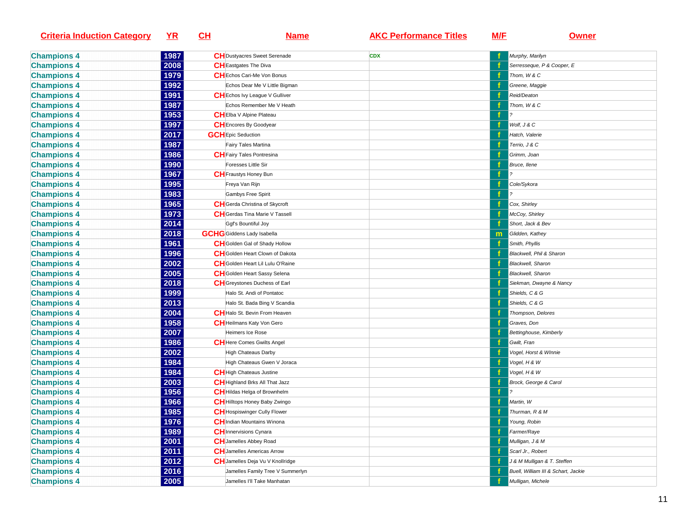| <b>Criteria Induction Category</b> | <u>YR</u> | <u>CH</u> | <u>Name</u>                           | <b>AKC Performance Titles</b> | <u>M/E</u> | <b>Owner</b>                        |
|------------------------------------|-----------|-----------|---------------------------------------|-------------------------------|------------|-------------------------------------|
| <b>Champions 4</b>                 | 1987      |           | <b>CH</b> Dustyacres Sweet Serenade   | <b>CDX</b>                    |            | Murphy, Marilyn                     |
| <b>Champions 4</b>                 | 2008      |           | <b>CH</b> Eastgates The Diva          |                               |            | Serresseque, P & Cooper, E          |
| <b>Champions 4</b>                 | 1979      |           | CHEchos Cari-Me Von Bonus             |                               |            | Thom, W & C                         |
| <b>Champions 4</b>                 | 1992      |           | Echos Dear Me V Little Bigman         |                               |            | Greene, Maggie                      |
| <b>Champions 4</b>                 | 1991      |           | <b>CH</b> Echos Ivy League V Gulliver |                               |            | Reid/Deaton                         |
| <b>Champions 4</b>                 | 1987      |           | Echos Remember Me V Heath             |                               |            | Thom, W & C                         |
| <b>Champions 4</b>                 | 1953      |           | <b>CHEIba V Alpine Plateau</b>        |                               |            |                                     |
| <b>Champions 4</b>                 | 1997      |           | <b>CH</b> Encores By Goodyear         |                               |            | Wolf, J & C                         |
| <b>Champions 4</b>                 | 2017      |           | <b>GCH</b> Epic Seduction             |                               |            | Hatch, Valerie                      |
| <b>Champions 4</b>                 | 1987      |           | Fairy Tales Martina                   |                               |            | Terrio, J & C                       |
| <b>Champions 4</b>                 | 1986      |           | <b>CH</b> Fairy Tales Pontresina      |                               |            | Grimm, Joan                         |
| <b>Champions 4</b>                 | 1990      |           | Foresses Little Sir                   |                               |            | Bruce, Ilene                        |
| <b>Champions 4</b>                 | 1967      |           | <b>CH</b> Fraustys Honey Bun          |                               |            |                                     |
| <b>Champions 4</b>                 | 1995      |           | Freya Van Rijn                        |                               |            | Cole/Sykora                         |
| <b>Champions 4</b>                 | 1983      |           | Gambys Free Spirit                    |                               |            |                                     |
| <b>Champions 4</b>                 | 1965      |           | CH Gerda Christina of Skycroft        |                               |            | Cox, Shirley                        |
| <b>Champions 4</b>                 | 1973      |           | <b>CH</b> Gerdas Tina Marie V Tassell |                               |            | McCoy, Shirley                      |
| <b>Champions 4</b>                 | 2014      |           | Ggf's Bountiful Joy                   |                               |            | Short, Jack & Bev                   |
| <b>Champions 4</b>                 | 2018      |           | <b>GCHG</b> Giddens Lady Isabella     |                               | m          | Glidden, Kathey                     |
| <b>Champions 4</b>                 | 1961      |           | CH Golden Gal of Shady Hollow         |                               |            | Smith, Phyllis                      |
| <b>Champions 4</b>                 | 1996      |           | CH Golden Heart Clown of Dakota       |                               |            | Blackwell, Phil & Sharon            |
| <b>Champions 4</b>                 | 2002      |           | CHGolden Heart Lil Lulu O'Raine       |                               |            | Blackwell, Sharon                   |
| <b>Champions 4</b>                 | 2005      |           | <b>CH</b> Golden Heart Sassy Selena   |                               |            | Blackwell, Sharon                   |
| <b>Champions 4</b>                 | 2018      |           | CH Greystones Duchess of Earl         |                               |            | Siekman, Dwayne & Nancy             |
| <b>Champions 4</b>                 | 1999      |           | Halo St. Andi of Pontatoc             |                               |            | Shields, C & G                      |
| <b>Champions 4</b>                 | 2013      |           | Halo St. Bada Bing V Scandia          |                               |            | Shields, C & G                      |
| <b>Champions 4</b>                 | 2004      |           | CH Halo St. Bevin From Heaven         |                               |            | Thompson, Delores                   |
| <b>Champions 4</b>                 | 1958      |           | <b>CH</b> Heilmans Katy Von Gero      |                               |            | Graves, Don                         |
| <b>Champions 4</b>                 | 2007      |           | Heimers Ice Rose                      |                               |            | Bettinghouse, Kimberly              |
| <b>Champions 4</b>                 | 1986      |           | <b>CH</b> Here Comes Gwilts Angel     |                               |            | Gwilt, Fran                         |
| <b>Champions 4</b>                 | 2002      |           | High Chateaus Darby                   |                               |            | Vogel, Horst & WInnie               |
| <b>Champions 4</b>                 | 1984      |           | High Chateaus Gwen V Joraca           |                               |            | Vogel, H & W                        |
| <b>Champions 4</b>                 | 1984      |           | CH High Chateaus Justine              |                               |            | Vogel, H & W                        |
| <b>Champions 4</b>                 | 2003      |           | CH Highland Brks All That Jazz        |                               |            | Brock, George & Carol               |
| <b>Champions 4</b>                 | 1956      |           | CH Hildas Helga of Brownhelm          |                               | -f         |                                     |
| <b>Champions 4</b>                 | 1966      |           | CH Hilltops Honey Baby Zwingo         |                               |            | Martin, W                           |
| <b>Champions 4</b>                 | 1985      |           | <b>CH</b> Hospiswinger Cully Flower   |                               |            | Thurman, R & M                      |
| <b>Champions 4</b>                 | 1976      |           | <b>CH</b> Indian Mountains Winona     |                               |            | Young, Robin                        |
| <b>Champions 4</b>                 | 1989      |           | <b>CH</b> Innervisions Cynara         |                               |            | Farmer/Raye                         |
| <b>Champions 4</b>                 | 2001      |           | <b>CH</b> Jamelles Abbey Road         |                               |            | Mulligan, J & M                     |
| <b>Champions 4</b>                 | 2011      |           | <b>CH</b> Jamelles Americas Arrow     |                               |            | Scarl Jr., Robert                   |
| <b>Champions 4</b>                 | 2012      |           | CH Jamelles Deja Vu V Knollridge      |                               |            | J & M Mulligan & T. Steffen         |
| <b>Champions 4</b>                 | 2016      |           | Jamelles Family Tree V Summerlyn      |                               |            | Buell, William III & Schart, Jackie |
| <b>Champions 4</b>                 | 2005      |           | Jamelles I'll Take Manhatan           |                               |            | Mulligan, Michele                   |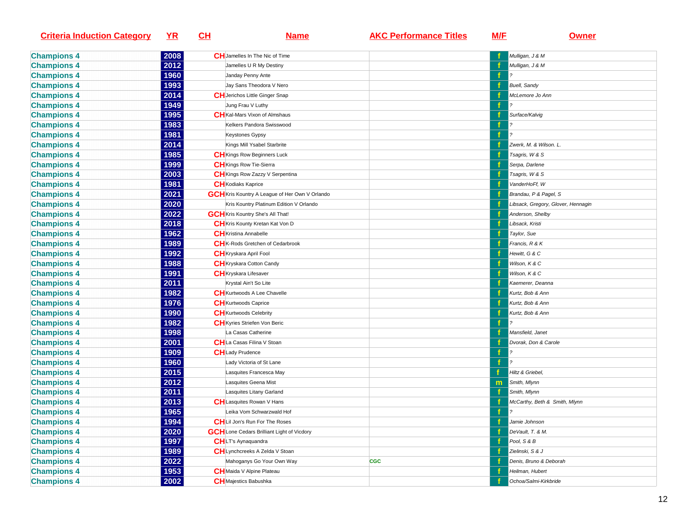| <b>Criteria Induction Category</b> | $YR$ | <u>СН</u> | <u>Name</u>                                           | <b>AKC Performance Titles</b> | M/F          | Owner                              |
|------------------------------------|------|-----------|-------------------------------------------------------|-------------------------------|--------------|------------------------------------|
| <b>Champions 4</b>                 | 2008 |           | CH Jamelles In The Nic of Time                        |                               |              | Mulligan, J & M                    |
| <b>Champions 4</b>                 | 2012 |           | Jamelles U R My Destiny                               |                               |              | Mulligan, J & M                    |
| <b>Champions 4</b>                 | 1960 |           | Janday Penny Ante                                     |                               |              |                                    |
| <b>Champions 4</b>                 | 1993 |           | Jay Sans Theodora V Nero                              |                               |              | <b>Buell, Sandy</b>                |
| <b>Champions 4</b>                 | 2014 |           | <b>CH</b> Jerichos Little Ginger Snap                 |                               |              | McLemore Jo Ann                    |
| <b>Champions 4</b>                 | 1949 |           | Jung Frau V Luthy                                     |                               |              |                                    |
| <b>Champions 4</b>                 | 1995 |           | <b>CH</b> Kal-Mars Vixon of Almshaus                  |                               |              | Surface/Kalvig                     |
| <b>Champions 4</b>                 | 1983 |           | Kelkers Pandora Swisswood                             |                               |              |                                    |
| <b>Champions 4</b>                 | 1981 |           | <b>Keystones Gypsy</b>                                |                               |              |                                    |
| <b>Champions 4</b>                 | 2014 |           | Kings Mill Ysabel Starbrite                           |                               |              | Zwerk, M. & Wilson. L.             |
| <b>Champions 4</b>                 | 1985 |           | <b>CH</b> Kings Row Beginners Luck                    |                               |              | Tsagris, W & S                     |
| <b>Champions 4</b>                 | 1999 |           | <b>CH</b> Kings Row Tie-Sierra                        |                               |              | Serpa, Darlene                     |
| <b>Champions 4</b>                 | 2003 |           | <b>CH</b> Kings Row Zazzy V Serpentina                |                               |              | Tsagris, W & S                     |
| <b>Champions 4</b>                 | 1981 |           | <b>CH</b> Kodiaks Kaprice                             |                               |              | VanderHoFf, W                      |
| <b>Champions 4</b>                 | 2021 |           | <b>GCH</b> Kris Kountry A League of Her Own V Orlando |                               |              | Brandau, P & Pagel, S              |
| <b>Champions 4</b>                 | 2020 |           | Kris Kountry Platinum Edition V Orlando               |                               |              | Libsack, Gregory, Glover, Hennagin |
| <b>Champions 4</b>                 | 2022 |           | <b>GCH</b> Kris Kountry She's All That!               |                               |              | Anderson, Shelby                   |
| <b>Champions 4</b>                 | 2018 |           | CH Kris Kounty Kretan Kat Von D                       |                               |              | Libsack, Kristi                    |
| <b>Champions 4</b>                 | 1962 |           | <b>CH</b> Kristina Annabelle                          |                               |              | Taylor, Sue                        |
| <b>Champions 4</b>                 | 1989 |           | CH <sub>K</sub> -Rods Gretchen of Cedarbrook          |                               |              | Francis, R & K                     |
| <b>Champions 4</b>                 | 1992 |           | <b>CH</b> Kryskara April Fool                         |                               |              | Hewitt, G & C                      |
| <b>Champions 4</b>                 | 1988 |           | <b>CH</b> Kryskara Cotton Candy                       |                               |              | Wilson, K & C                      |
| <b>Champions 4</b>                 | 1991 |           | CH Kryskara Lifesaver                                 |                               |              | Wilson, K & C                      |
| <b>Champions 4</b>                 | 2011 |           | Krystal Ain't So Lite                                 |                               |              | Kaemerer, Deanna                   |
| <b>Champions 4</b>                 | 1982 |           | <b>CH</b> Kurtwoods A Lee Chavelle                    |                               |              | Kurtz, Bob & Ann                   |
| <b>Champions 4</b>                 | 1976 |           | <b>CH</b> Kurtwoods Caprice                           |                               |              | Kurtz, Bob & Ann                   |
| <b>Champions 4</b>                 | 1990 |           | <b>CH</b> Kurtwoods Celebrity                         |                               |              | Kurtz, Bob & Ann                   |
| <b>Champions 4</b>                 | 1982 |           | <b>CH</b> Kyries Striefen Von Beric                   |                               |              |                                    |
| <b>Champions 4</b>                 | 1998 |           | La Casas Catherine                                    |                               |              | Mansfield, Janet                   |
| <b>Champions 4</b>                 | 2001 |           | CHLa Casas Filina V Stoan                             |                               |              | Dvorak, Don & Carole               |
| <b>Champions 4</b>                 | 1909 |           | <b>CH</b> Lady Prudence                               |                               |              |                                    |
| <b>Champions 4</b>                 | 1960 |           | Lady Victoria of St Lane                              |                               |              |                                    |
| <b>Champions 4</b>                 | 2015 |           | Lasquites Francesca May                               |                               |              | Hiltz & Griebel,                   |
| <b>Champions 4</b>                 | 2012 |           | Lasquites Geena Mist                                  |                               | $\mathsf{m}$ | Smith, Mlynn                       |
| <b>Champions 4</b>                 | 2011 |           | Lasquites Litany Garland                              |                               |              | Smith, Mlynn                       |
| <b>Champions 4</b>                 | 2013 |           | <b>CH</b> Lasquites Rowan V Hans                      |                               |              | McCarthy, Beth & Smith, Mlynn      |
| <b>Champions 4</b>                 | 1965 |           | Leika Vom Schwarzwald Hof                             |                               | f            | $\boldsymbol{\mathcal{P}}$         |
| <b>Champions 4</b>                 | 1994 |           | <b>CH</b> Lil Jon's Run For The Roses                 |                               |              | Jamie Johnson                      |
| <b>Champions 4</b>                 | 2020 |           | <b>GCH</b> Lone Cedars Brilliant Light of Vicdory     |                               |              | DeVault, T. & M.                   |
| <b>Champions 4</b>                 | 1997 |           | <b>CH</b> LT's Aynaquandra                            |                               |              | Pool, S & B                        |
| <b>Champions 4</b>                 | 1989 |           | CHLynchcreeks A Zelda V Stoan                         |                               |              | Zielinski, S & J                   |
| <b>Champions 4</b>                 | 2022 |           | Mahoganys Go Your Own Way                             | <b>CGC</b>                    |              | Denis, Bruno & Deborah             |
| <b>Champions 4</b>                 | 1953 |           | CH Maida V Alpine Plateau                             |                               |              | Heilman, Hubert                    |
|                                    |      |           |                                                       |                               |              | Ochoa/Salmi-Kirkbride              |
| <b>Champions 4</b>                 | 2002 |           | <b>CH</b> Majestics Babushka                          |                               |              |                                    |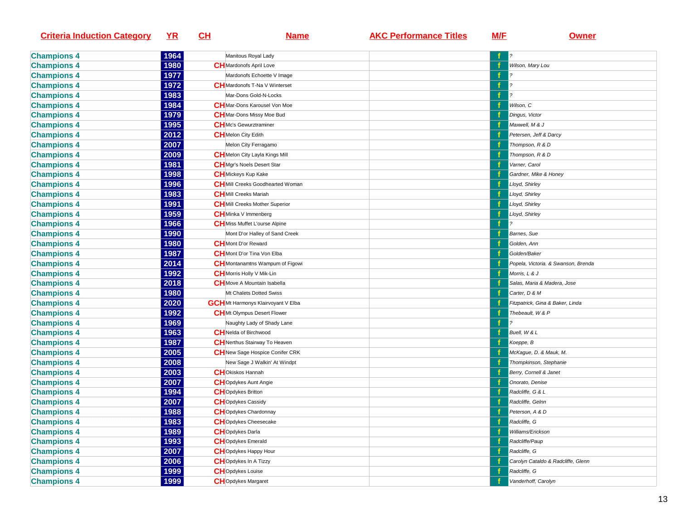| <b>Criteria Induction Category</b> | YR   | CL | <u>Name</u>                               | <b>AKC Performance Titles</b> | M/F | <b>Owner</b>                        |
|------------------------------------|------|----|-------------------------------------------|-------------------------------|-----|-------------------------------------|
| <b>Champions 4</b>                 | 1964 |    | Manitous Royal Lady                       |                               |     |                                     |
| <b>Champions 4</b>                 | 1980 |    | <b>CH</b> Mardonofs April Love            |                               |     | Wilson, Mary Lou                    |
| <b>Champions 4</b>                 | 1977 |    | Mardonofs Echoette V Image                |                               |     |                                     |
| <b>Champions 4</b>                 | 1972 |    | <b>CH</b> Mardonofs T-Na V Winterset      |                               | f   |                                     |
| <b>Champions 4</b>                 | 1983 |    | Mar-Dons Gold-N-Locks                     |                               | -f  | 2                                   |
| <b>Champions 4</b>                 | 1984 |    | <b>CH</b> Mar-Dons Karousel Von Moe       |                               |     | Wilson, C                           |
| <b>Champions 4</b>                 | 1979 |    | <b>CH</b> Mar-Dons Missy Moe Bud          |                               |     | Dingus, Victor                      |
| <b>Champions 4</b>                 | 1995 |    | <b>CH</b> Mc's Gewurztraminer             |                               |     | Maxwell, M & J                      |
| <b>Champions 4</b>                 | 2012 |    | <b>CH</b> Melon City Edith                |                               |     | Petersen, Jeff & Darcy              |
| <b>Champions 4</b>                 | 2007 |    | Melon City Ferragamo                      |                               |     | Thompson, R & D                     |
| <b>Champions 4</b>                 | 2009 |    | <b>CH</b> Melon City Layla Kings Mill     |                               |     | Thompson, R & D                     |
| <b>Champions 4</b>                 | 1981 |    | <b>CH</b> Mgr's Noels Desert Star         |                               |     | Varner, Carol                       |
| <b>Champions 4</b>                 | 1998 |    | <b>CH</b> Mickeys Kup Kake                |                               |     | Gardner, Mike & Honey               |
| <b>Champions 4</b>                 | 1996 |    | CHMill Creeks Goodhearted Woman           |                               |     | Lloyd, Shirley                      |
| <b>Champions 4</b>                 | 1983 |    | <b>CH</b> Mill Creeks Mariah              |                               |     | Lloyd, Shirley                      |
| <b>Champions 4</b>                 | 1991 |    | <b>CH</b> Mill Creeks Mother Superior     |                               |     | Lloyd, Shirley                      |
| <b>Champions 4</b>                 | 1959 |    | <b>CH</b> Minka V Immenberg               |                               |     | Lloyd, Shirley                      |
| <b>Champions 4</b>                 | 1966 |    | <b>CH</b> Miss Muffet L'ourse Alpine      |                               |     |                                     |
| <b>Champions 4</b>                 | 1990 |    | Mont D'or Halley of Sand Creek            |                               |     | Barnes, Sue                         |
| <b>Champions 4</b>                 | 1980 |    | <b>CH</b> Mont D'or Reward                |                               |     | Golden, Ann                         |
| <b>Champions 4</b>                 | 1987 |    | <b>CH</b> Mont D'or Tina Von Elba         |                               |     | Golden/Baker                        |
| <b>Champions 4</b>                 | 2014 |    | CHMontanamtns Wampum of Figowi            |                               |     | Popela, Victoria. & Swanson, Brenda |
| <b>Champions 4</b>                 | 1992 |    | <b>CH</b> Morris Holly V Mik-Lin          |                               |     | Morris, L & J                       |
| <b>Champions 4</b>                 | 2018 |    | <b>CH</b> Move A Mountain Isabella        |                               |     | Salas, Maria & Madera, Jose         |
| <b>Champions 4</b>                 | 1980 |    | Mt Chalets Dotted Swiss                   |                               |     | Carter, D & M                       |
| <b>Champions 4</b>                 | 2020 |    | <b>GCH</b> Mt Harmonys Klairvoyant V Elba |                               |     | Fitzpatrick, Gina & Baker, Linda    |
| <b>Champions 4</b>                 | 1992 |    | <b>CH</b> Mt Olympus Desert Flower        |                               |     | Thebeault, W & P                    |
| <b>Champions 4</b>                 | 1969 |    | Naughty Lady of Shady Lane                |                               |     |                                     |
| <b>Champions 4</b>                 | 1963 |    | <b>CH</b> Nelda of Birchwood              |                               |     | Buell, W & L                        |
| <b>Champions 4</b>                 | 1987 |    | <b>CH</b> Nerthus Stairway To Heaven      |                               |     | Koeppe, B                           |
| <b>Champions 4</b>                 | 2005 |    | <b>CH</b> New Sage Hospice Conifer CRK    |                               |     | McKague, D. & Mauk, M.              |
| <b>Champions 4</b>                 | 2008 |    | New Sage J Walkin' At Windpt              |                               |     | Thompkinson, Stephanie              |
| <b>Champions 4</b>                 | 2003 |    | <b>CH</b> Okiskos Hannah                  |                               |     | Berry, Cornell & Janet              |
| <b>Champions 4</b>                 | 2007 |    | <b>CH</b> Opdykes Aunt Angie              |                               |     | Onorato, Denise                     |
| <b>Champions 4</b>                 | 1994 |    | <b>CH</b> Opdykes Britton                 |                               |     | Radcliffe, G & L                    |
| <b>Champions 4</b>                 | 2007 |    | <b>CH</b> Opdykes Cassidy                 |                               |     | Radcliffe, Gelnn                    |
| <b>Champions 4</b>                 | 1988 |    | <b>CH</b> Opdykes Chardonnay              |                               |     | Peterson, A & D                     |
| <b>Champions 4</b>                 | 1983 |    | <b>CH</b> Opdykes Cheesecake              |                               |     | Radcliffe, G                        |
| <b>Champions 4</b>                 | 1989 |    | <b>CH</b> Opdykes Darla                   |                               |     | Williams/Erickson                   |
| <b>Champions 4</b>                 | 1993 |    | <b>CH</b> Opdykes Emerald                 |                               |     | Radcliffe/Paup                      |
| <b>Champions 4</b>                 | 2007 |    | <b>CH</b> Opdykes Happy Hour              |                               |     | Radcliffe, G                        |
| <b>Champions 4</b>                 | 2006 |    | <b>CH</b> Opdykes In A Tizzy              |                               |     | Carolyn Cataldo & Radcliffe, Glenn  |
| <b>Champions 4</b>                 | 1999 |    | <b>CH</b> Opdykes Louise                  |                               |     | Radcliffe, G                        |
| <b>Champions 4</b>                 | 1999 |    | <b>CH</b> Opdykes Margaret                |                               |     | Vanderhoff, Carolyn                 |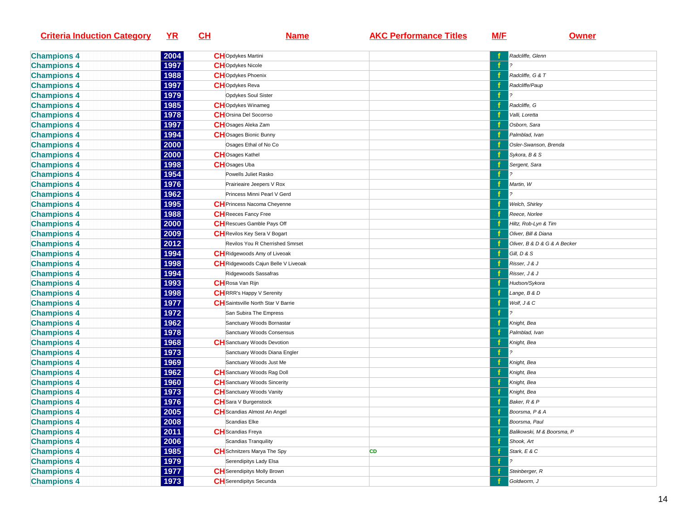| <b>Criteria Induction Category</b>       | $YR$         | CH | <b>Name</b>                               | <b>AKC Performance Titles</b> | M/F | <b>Owner</b>                 |
|------------------------------------------|--------------|----|-------------------------------------------|-------------------------------|-----|------------------------------|
|                                          | 2004         |    | <b>CH</b> Opdykes Martini                 |                               |     | Radcliffe, Glenn             |
| <b>Champions 4</b><br><b>Champions 4</b> | 1997         |    | <b>CH</b> Opdykes Nicole                  |                               | f   |                              |
|                                          | 1988         |    | <b>CH</b> Opdykes Phoenix                 |                               |     | Radcliffe, G & T             |
| <b>Champions 4</b>                       |              |    |                                           |                               |     |                              |
| <b>Champions 4</b>                       | 1997         |    | <b>CH</b> Opdykes Reva                    |                               |     | Radcliffe/Paup               |
| <b>Champions 4</b>                       | 1979         |    | <b>Opdykes Soul Sister</b>                |                               |     |                              |
| <b>Champions 4</b>                       | 1985<br>1978 |    | <b>CH</b> Opdykes Winameg                 |                               |     | Radcliffe, G                 |
| <b>Champions 4</b>                       |              |    | <b>CH</b> Orsina Del Socorrso             |                               |     | Valli, Loretta               |
| <b>Champions 4</b>                       | 1997         |    | CHOsages Aleka Zam                        |                               |     | Osborn, Sara                 |
| <b>Champions 4</b>                       | 1994         |    | <b>CH</b> Osages Bionic Bunny             |                               |     | Palmblad, Ivan               |
| <b>Champions 4</b>                       | 2000         |    | Osages Ethal of No Co                     |                               |     | Osler-Swanson, Brenda        |
| <b>Champions 4</b>                       | 2000         |    | <b>CH</b> Osages Kathel                   |                               |     | Sykora, B & S                |
| <b>Champions 4</b>                       | 1998         |    | <b>CH</b> Osages Uba                      |                               |     | Sergent, Sara                |
| <b>Champions 4</b>                       | 1954         |    | Powells Juliet Rasko                      |                               |     |                              |
| <b>Champions 4</b>                       | 1976         |    | Prairieaire Jeepers V Rox                 |                               |     | Martin, W                    |
| <b>Champions 4</b>                       | 1962         |    | Princess Minni Pearl V Gerd               |                               | f   |                              |
| <b>Champions 4</b>                       | 1995         |    | CH Princess Nacoma Cheyenne               |                               |     | Welch, Shirley               |
| <b>Champions 4</b>                       | 1988         |    | <b>CH</b> Reeces Fancy Free               |                               |     | Reece, Norlee                |
| <b>Champions 4</b>                       | 2000         |    | <b>CH</b> Rescues Gamble Pays Off         |                               |     | Hiltz, Rob-Lyn & Tim         |
| <b>Champions 4</b>                       | 2009         |    | <b>CH</b> Revilos Key Sera V Bogart       |                               |     | Oliver, Bill & Diana         |
| <b>Champions 4</b>                       | 2012         |    | Revilos You R Cherrished Smrset           |                               |     | Oliver, B & D & G & A Becker |
| <b>Champions 4</b>                       | 1994         |    | CHRidgewoods Amy of Liveoak               |                               |     | Gill, D & S                  |
| <b>Champions 4</b>                       | 1998         |    | CH Ridgewoods Cajun Belle V Liveoak       |                               |     | Risser, J & J                |
| <b>Champions 4</b>                       | 1994         |    | Ridgewoods Sassafras                      |                               |     | Risser, J & J                |
| <b>Champions 4</b>                       | 1993         |    | <b>CH</b> Rosa Van Rijn                   |                               |     | Hudson/Sykora                |
| <b>Champions 4</b>                       | 1998         |    | <b>CH</b> RRR's Happy V Serenity          |                               |     | Lange, B & D                 |
| <b>Champions 4</b>                       | 1977         |    | <b>CH</b> Saintsville North Star V Barrie |                               | f   | Wolf, J & C                  |
| <b>Champions 4</b>                       | 1972         |    | San Subira The Empress                    |                               | f   |                              |
| <b>Champions 4</b>                       | 1962         |    | Sanctuary Woods Bornastar                 |                               |     | Knight, Bea                  |
| <b>Champions 4</b>                       | 1978         |    | Sanctuary Woods Consensus                 |                               |     | Palmblad, Ivan               |
| <b>Champions 4</b>                       | 1968         |    | <b>CH</b> Sanctuary Woods Devotion        |                               |     | Knight, Bea                  |
| <b>Champions 4</b>                       | 1973         |    | Sanctuary Woods Diana Engler              |                               | f   |                              |
| <b>Champions 4</b>                       | 1969         |    | Sanctuary Woods Just Me                   |                               |     | Knight, Bea                  |
| <b>Champions 4</b>                       | 1962         |    | <b>CH</b> Sanctuary Woods Rag Doll        |                               |     | Knight, Bea                  |
| <b>Champions 4</b>                       | 1960         |    | <b>CH</b> Sanctuary Woods Sincerity       |                               |     | Knight, Bea                  |
| <b>Champions 4</b>                       | 1973         |    | <b>CH</b> Sanctuary Woods Vanity          |                               |     | Knight, Bea                  |
| <b>Champions 4</b>                       | 1976         |    | CH Sara V Burgenstock                     |                               |     | Baker, R & P                 |
| <b>Champions 4</b>                       | 2005         |    | <b>CH</b> Scandias Almost An Angel        |                               |     | Boorsma, P & A               |
| <b>Champions 4</b>                       | 2008         |    | Scandias Elke                             |                               |     | Boorsma, Paul                |
| <b>Champions 4</b>                       | 2011         |    | <b>CH</b> Scandias Freya                  |                               |     | Balikowski, M & Boorsma, P   |
| <b>Champions 4</b>                       | 2006         |    | Scandias Tranquility                      |                               | f   | Shook, Art                   |
| <b>Champions 4</b>                       | 1985         |    | <b>CH</b> Schnitzers Marya The Spy        | <b>CD</b>                     |     | Stark, E & C                 |
| <b>Champions 4</b>                       | 1979         |    | Serendipitys Lady Elsa                    |                               |     |                              |
|                                          |              |    |                                           |                               |     |                              |
| <b>Champions 4</b>                       | 1977         |    | <b>CH</b> Serendipitys Molly Brown        |                               |     | Steinberger, R               |
| <b>Champions 4</b>                       | 1973         |    | <b>CH</b> Serendipitys Secunda            |                               |     | Goldworm, J                  |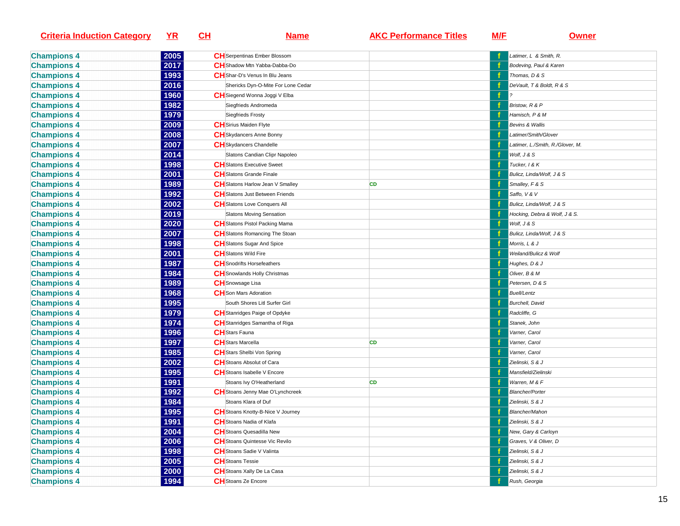| <b>Criteria Induction Category</b> | <u>YR</u>   | <u>CH</u> | <b>Name</b>                            | <b>AKC Performance Titles</b> | <b>M/E</b> | <b>Owner</b>                     |
|------------------------------------|-------------|-----------|----------------------------------------|-------------------------------|------------|----------------------------------|
| <b>Champions 4</b>                 | 2005        |           | <b>CH</b> Serpentinas Ember Blossom    |                               |            | Latimer, L & Smith, R.           |
| <b>Champions 4</b>                 | 2017        |           | CH Shadow Mtn Yabba-Dabba-Do           |                               |            | Bodeving, Paul & Karen           |
| <b>Champions 4</b>                 | 1993        |           | CH Shar-D's Venus In Blu Jeans         |                               |            | Thomas, D & S                    |
| <b>Champions 4</b>                 | 2016        |           | Shericks Dyn-O-Mite For Lone Cedar     |                               |            | DeVault, T & Boldt, R & S        |
| <b>Champions 4</b>                 | 1960        |           | CHSiegend Wonna Joggi V Elba           |                               |            |                                  |
| <b>Champions 4</b>                 | 1982        |           | Siegfrieds Andromeda                   |                               |            | Bristow, R & P                   |
| <b>Champions 4</b>                 | 1979        |           | Siegfrieds Frosty                      |                               |            | Hamisch, P & M                   |
| <b>Champions 4</b>                 | 2009        |           | <b>CH</b> Sirius Maiden Flyte          |                               |            | Bevins & Wallis                  |
| <b>Champions 4</b>                 | 2008        |           | <b>CH</b> Skydancers Anne Bonny        |                               |            | Latimer/Smith/Glover             |
| <b>Champions 4</b>                 | 2007        |           | <b>CH</b> Skydancers Chandelle         |                               |            | Latimer, L./Smith, R./Glover, M. |
| <b>Champions 4</b>                 | 2014        |           | Slatons Candian Clipr Napoleo          |                               |            | Wolf, J & S                      |
| <b>Champions 4</b>                 | 1998        |           | <b>CH</b> Slatons Executive Sweet      |                               |            | Tucker, I & K                    |
| <b>Champions 4</b>                 | 2001        |           | <b>CH</b> Slatons Grande Finale        |                               |            | Bulicz, Linda/Wolf, J & S        |
| <b>Champions 4</b>                 | 1989        |           | CH Slatons Harlow Jean V Smalley       | <b>CD</b>                     |            | Smalley, F & S                   |
| <b>Champions 4</b>                 | 1992        |           | <b>CH</b> Slatons Just Between Friends |                               |            | Saffo, V & V                     |
| <b>Champions 4</b>                 | 2002        |           | <b>CH</b> Slatons Love Conquers All    |                               |            | Bulicz, Linda/Wolf, J & S        |
| <b>Champions 4</b>                 | 2019        |           | Slatons Moving Sensation               |                               |            | Hocking, Debra & Wolf, J & S.    |
| <b>Champions 4</b>                 | 2020        |           | CH Slatons Pistol Packing Mama         |                               |            | Wolf, J & S                      |
| <b>Champions 4</b>                 | 2007        |           | CHSlatons Romancing The Stoan          |                               |            | Bulicz, Linda/Wolf, J & S        |
| <b>Champions 4</b>                 | 1998        |           | <b>CH</b> Slatons Sugar And Spice      |                               |            | Morris, L & J                    |
| <b>Champions 4</b>                 | 2001        |           | <b>CH</b> Slatons Wild Fire            |                               |            | Weiland/Bulicz & Wolf            |
| <b>Champions 4</b>                 | 1987        |           | <b>CH</b> Snodrifts Horsefeathers      |                               |            | Hughes, D & J                    |
| <b>Champions 4</b>                 | 1984        |           | CH Snowlands Holly Christmas           |                               |            | Oliver, B & M                    |
| <b>Champions 4</b>                 | 1989        |           | <b>CH</b> Snowsage Lisa                |                               |            | Petersen, D & S                  |
| <b>Champions 4</b>                 | 1968        |           | <b>CH</b> Son Mars Adoration           |                               |            | <b>Buell/Lentz</b>               |
| <b>Champions 4</b>                 | 1995        |           | South Shores Litl Surfer Girl          |                               |            | Burchell, David                  |
| <b>Champions 4</b>                 | 1979        |           | CH Stanridges Paige of Opdyke          |                               |            | Radcliffe, G                     |
| <b>Champions 4</b>                 | 1974        |           | CH Stanridges Samantha of Riga         |                               |            | Stanek, John                     |
| <b>Champions 4</b>                 | 1996        |           | <b>CH</b> Stars Fauna                  |                               |            | Varner, Carol                    |
| <b>Champions 4</b>                 | 1997        |           | <b>CH</b> Stars Marcella               | <b>CD</b>                     |            | Varner, Carol                    |
| <b>Champions 4</b>                 | 1985        |           | <b>CH</b> Stars Shelbi Von Spring      |                               |            | Varner, Carol                    |
| <b>Champions 4</b>                 | 2002        |           | <b>CH</b> Stoans Absolut of Cara       |                               |            | Zielinski, S & J                 |
| <b>Champions 4</b>                 | 1995        |           | CH Stoans Isabelle V Encore            |                               |            | Mansfield/Zielinski              |
| <b>Champions 4</b>                 | 1991        |           | Stoans Ivy O'Heatherland               | CD                            |            | Warren, M & F                    |
| <b>Champions 4</b>                 | 1992        |           | CH Stoans Jenny Mae O'Lynchcreek       |                               |            | <b>Blancher/Porter</b>           |
| <b>Champions 4</b>                 | 1984        |           | Stoans Klara of Duf                    |                               |            | Zielinski, S & J                 |
| <b>Champions 4</b>                 | <u>1995</u> |           | CH Stoans Knotty-B-Nice V Journey      |                               |            | <b>Blancher/Mahon</b>            |
| <b>Champions 4</b>                 | 1991        |           | <b>CH</b> Stoans Nadia of Klafa        |                               |            | Zielinski, S & J                 |
| <b>Champions 4</b>                 | 2004        |           | <b>CH</b> Stoans Quesadilla New        |                               |            | New, Gary & Carloyn              |
| <b>Champions 4</b>                 | 2006        |           | CH Stoans Quintesse Vic Revilo         |                               |            | Graves, V & Oliver, D            |
| <b>Champions 4</b>                 | 1998        |           | <b>CH</b> Stoans Sadie V Valinta       |                               |            | Zielinski, S & J                 |
| <b>Champions 4</b>                 | 2005        |           | <b>CH</b> Stoans Tessie                |                               |            | Zielinski, S & J                 |
| <b>Champions 4</b>                 | 2000        |           | CH Stoans Xally De La Casa             |                               |            | Zielinski, S & J                 |
| <b>Champions 4</b>                 | 1994        |           | <b>CH</b> Stoans Ze Encore             |                               |            | Rush, Georgia                    |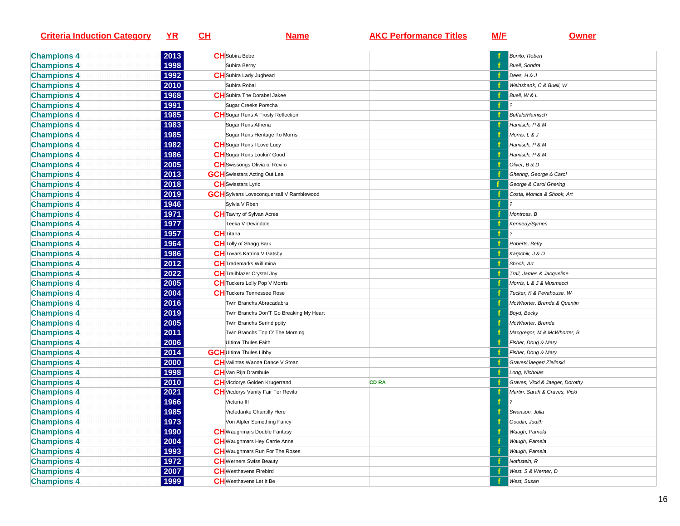| <b>Criteria Induction Category</b> | $YR$ | CL | <b>Name</b>                                     | <b>AKC Performance Titles</b> | M/E | <b>Owner</b>                    |
|------------------------------------|------|----|-------------------------------------------------|-------------------------------|-----|---------------------------------|
| <b>Champions 4</b>                 | 2013 |    | <b>CH</b> Subira Bebe                           |                               |     | Bonito, Robert                  |
| <b>Champions 4</b>                 | 1998 |    | Subira Berny                                    |                               |     | <b>Buell</b> , Sondra           |
| <b>Champions 4</b>                 | 1992 |    | <b>CH</b> Subira Lady Jughead                   |                               |     | Dees, H & J                     |
| <b>Champions 4</b>                 | 2010 |    | Subira Robal                                    |                               |     | Weinshank, C & Buell, W         |
| <b>Champions 4</b>                 | 1968 |    | <b>CH</b> Subira The Dorabel Jakee              |                               | f   | Buell, W & L                    |
| <b>Champions 4</b>                 | 1991 |    | Sugar Creeks Porscha                            |                               | f   |                                 |
| <b>Champions 4</b>                 | 1985 |    | <b>CH</b> Sugar Runs A Frosty Reflection        |                               |     | Buffalo/Hamisch                 |
| <b>Champions 4</b>                 | 1983 |    | Sugar Runs Athena                               |                               |     | Hamisch, P & M                  |
| <b>Champions 4</b>                 | 1985 |    | Sugar Runs Heritage To Morris                   |                               |     | Morris, L & J                   |
| <b>Champions 4</b>                 | 1982 |    | <b>CH</b> Sugar Runs I Love Lucy                |                               |     | Hamisch, P & M                  |
| <b>Champions 4</b>                 | 1986 |    | <b>CH</b> Sugar Runs Lookin' Good               |                               |     | Hamisch, P & M                  |
| <b>Champions 4</b>                 | 2005 |    | <b>CH</b> Swissongs Olivia of Revilo            |                               |     | Oliver, B & D                   |
| <b>Champions 4</b>                 | 2013 |    | <b>GCH</b> Swisstars Acting Out Lea             |                               |     | Ghering, George & Carol         |
| <b>Champions 4</b>                 | 2018 |    | <b>CH</b> Swisstars Lyric                       |                               |     | George & Carol Ghering          |
| <b>Champions 4</b>                 | 2019 |    | <b>GCH</b> Sylvans Loveconquersall V Ramblewood |                               |     | Costa, Monica & Shook, Art      |
| <b>Champions 4</b>                 | 1946 |    | Sylvia V Rben                                   |                               | f   |                                 |
| <b>Champions 4</b>                 | 1971 |    | <b>CH</b> Tawny of Sylvan Acres                 |                               |     | Montross, B                     |
| <b>Champions 4</b>                 | 1977 |    | Teeka V Devindale                               |                               |     | Kennedy/Byrnes                  |
| <b>Champions 4</b>                 | 1957 |    | <b>CH</b> Titana                                |                               | f   |                                 |
| <b>Champions 4</b>                 | 1964 |    | <b>CH</b> Tolly of Shagg Bark                   |                               |     | Roberts, Betty                  |
| <b>Champions 4</b>                 | 1986 |    | <b>CH</b> Tovars Katrina V Gatsby               |                               |     | Karpchik, J & D                 |
| <b>Champions 4</b>                 | 2012 |    | <b>CH</b> Trademarks Willimina                  |                               |     | Shook, Art                      |
| <b>Champions 4</b>                 | 2022 |    | <b>CH</b> Trailblazer Crystal Joy               |                               |     | Trail, James & Jacqueline       |
| <b>Champions 4</b>                 | 2005 |    | <b>CH</b> Tuckers Lolly Pop V Morris            |                               |     | Morris, L & J & Musmecci        |
| <b>Champions 4</b>                 | 2004 |    | <b>CH</b> Tuckers Tennessee Rose                |                               |     | Tucker, K & Pevahouse, W        |
| <b>Champions 4</b>                 | 2016 |    | Twin Branchs Abracadabra                        |                               |     | McWhorter, Brenda & Quentin     |
| <b>Champions 4</b>                 | 2019 |    | Twin Branchs Don'T Go Breaking My Heart         |                               |     | Boyd, Becky                     |
| <b>Champions 4</b>                 | 2005 |    | Twin Branchs Serindippity                       |                               |     | McWhorter, Brenda               |
| <b>Champions 4</b>                 | 2011 |    | Twin Branchs Top O' The Morning                 |                               |     | Macgregor, M & McWhorter, B     |
| <b>Champions 4</b>                 | 2006 |    | Ultima Thules Faith                             |                               |     | Fisher, Doug & Mary             |
| <b>Champions 4</b>                 | 2014 |    | <b>GCH</b> Ultima Thules Libby                  |                               |     | Fisher, Doug & Mary             |
| <b>Champions 4</b>                 | 2000 |    | <b>CH</b> Valintas Wanna Dance V Stoan          |                               |     | Graves/Jaeger/Zielinski         |
| <b>Champions 4</b>                 | 1998 |    | <b>CH</b> Van Rijn Drambuie                     |                               |     | Long, Nicholas                  |
| <b>Champions 4</b>                 | 2010 |    | <b>CH</b> Vicdorys Golden Krugerrand            | <b>CD RA</b>                  |     | Graves, Vicki & Jaeger, Dorothy |
| <b>Champions 4</b>                 | 2021 |    | CH Vicdorys Vanity Fair For Revilo              |                               |     | Martin, Sarah & Graves, Vicki   |
| <b>Champions 4</b>                 | 1966 |    | Victoria III                                    |                               | f   |                                 |
| <b>Champions 4</b>                 | 1985 |    | Vieledanke Chantilly Here                       |                               | f   | Swanson, Julia                  |
| <b>Champions 4</b>                 | 1973 |    | Von Alpler Something Fancy                      |                               |     | Goodin, Judith                  |
| <b>Champions 4</b>                 | 1990 |    | <b>CH</b> Waughmars Double Fantasy              |                               |     | Waugh, Pamela                   |
| <b>Champions 4</b>                 | 2004 |    | <b>CH</b> Waughmars Hey Carrie Anne             |                               |     | Waugh, Pamela                   |
| <b>Champions 4</b>                 | 1993 |    | <b>CH</b> Waughmars Run For The Roses           |                               |     | Waugh, Pamela                   |
| <b>Champions 4</b>                 | 1972 |    | <b>CH</b> Werners Swiss Beauty                  |                               |     | Nothstein, R                    |
| <b>Champions 4</b>                 | 2007 |    | <b>CH</b> Westhavens Firebird                   |                               |     | West. S & Werner, D             |
| <b>Champions 4</b>                 | 1999 |    | <b>CH</b> Westhavens Let It Be                  |                               |     | West, Susan                     |
|                                    |      |    |                                                 |                               |     |                                 |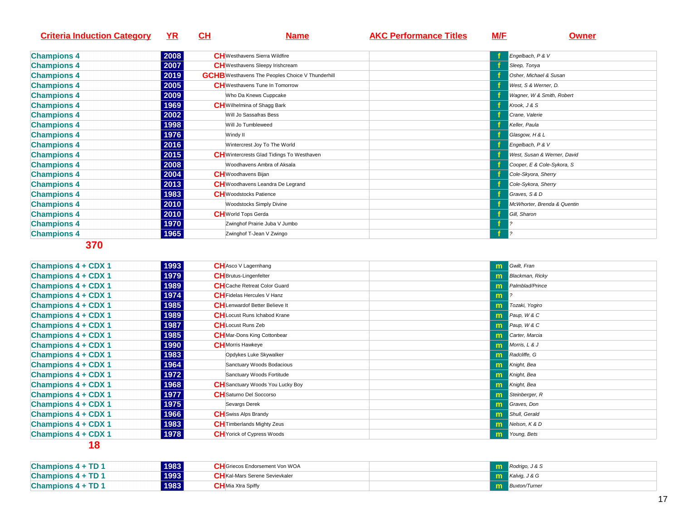| <b>Criteria Induction Category</b> | ΥR   | CН | <b>Name</b>                                             | <b>AKC Performance Titles</b> | M/F | <b>Owner</b>                |
|------------------------------------|------|----|---------------------------------------------------------|-------------------------------|-----|-----------------------------|
|                                    |      |    |                                                         |                               |     |                             |
| <b>Champions 4</b>                 | 2008 |    | <b>CH</b> Westhavens Sierra Wildfire                    |                               |     | Engelbach, P & V            |
| <b>Champions 4</b>                 | 2007 |    | <b>CH</b> Westhavens Sleepy Irishcream                  |                               |     | Sleep, Tonya                |
| <b>Champions 4</b>                 | 2019 |    | <b>GCHB</b> Westhavens The Peoples Choice V Thunderhill |                               |     | Osher, Michael & Susan      |
| <b>Champions 4</b>                 | 2005 |    | <b>CH</b> Westhavens Tune In Tomorrow                   |                               |     | West, S & Werner, D.        |
| <b>Champions 4</b>                 | 2009 |    | Who Da Knews Cuppcake                                   |                               |     | Wagner, W & Smith, Robert   |
| <b>Champions 4</b>                 | 1969 |    | <b>CH</b> Wilhelmina of Shagg Bark                      |                               |     | Krook, J & S                |
| <b>Champions 4</b>                 | 2002 |    | Will Jo Sassafras Bess                                  |                               |     | Crane, Valerie              |
| <b>Champions 4</b>                 | 1998 |    | Will Jo Tumbleweed                                      |                               |     | Keller, Paula               |
| <b>Champions 4</b>                 | 1976 |    | Windy II                                                |                               |     | Glasgow, H & L              |
| <b>Champions 4</b>                 | 2016 |    | Wintercrest Joy To The World                            |                               |     | Engelbach, P & V            |
| <b>Champions 4</b>                 | 2015 |    | <b>CH</b> Wintercrests Glad Tidings To Westhaven        |                               |     | West, Susan & Werner, David |
| <b>Champions 4</b>                 | 2008 |    | Woodhavens Ambra of Aksala                              |                               |     | Cooper, E & Cole-Sykora, S  |
| <b>Champions 4</b>                 | 2004 |    | <b>CH</b> Woodhavens Bijan                              |                               |     | Cole-Skyora, Sherry         |
| <b>Champions 4</b>                 | 2013 |    | <b>CH</b> Woodhavens Leandra De Legrand                 |                               |     | Cole-Sykora, Sherry         |
| <b>Champions 4</b>                 | 1983 |    | <b>CH</b> Woodstocks Patience                           |                               |     | Graves, S & D               |
| <b>Champions 4</b>                 | 2010 |    | Woodstocks Simply Divine                                |                               |     | McWhorter, Brenda & Quentin |
| <b>Champions 4</b>                 | 2010 |    | <b>CH</b> World Tops Gerda                              |                               |     | Gill, Sharon                |
| <b>Champions 4</b>                 | 1970 |    | Zwinghof Prairie Juba V Jumbo                           |                               |     |                             |
| <b>Champions 4</b>                 | 1965 |    | Zwinghof T-Jean V Zwingo                                |                               |     | $ 2\rangle$                 |

| <b>Champions 4 + CDX 1</b> | 1993 | <b>CH</b> Asco V Lagernhang             |   | <b>In</b> Gwilt, Fran      |
|----------------------------|------|-----------------------------------------|---|----------------------------|
| Champions 4 + CDX 1        | 1979 | <b>CH</b> Brutus-Lingenfelter           |   | <b>m</b> Blackman, Ricky   |
| <b>Champions 4 + CDX 1</b> | 1989 | <b>CH</b> Cache Retreat Color Guard     |   | <b>Im</b> Palmblad/Prince  |
| <b>Champions 4 + CDX 1</b> | 1974 | <b>CH</b> Fidelas Hercules V Hanz       | m |                            |
| Champions 4 + CDX 1        | 1985 | <b>CH</b> Lenwardof Better Believe It   |   | <b>In Tozaki, Yogiro</b>   |
| Champions 4 + CDX 1        | 1989 | <b>CH</b> Locust Runs Ichabod Krane     |   | $\mathbf{m}$ Paup, W & C   |
| <b>Champions 4 + CDX 1</b> | 1987 | <b>CH</b> Locust Runs Zeb               |   | $\mathbf{m}$ Paup, W & C   |
| Champions 4 + CDX 1        | 1985 | <b>CH</b> Mar-Dons King Cottonbear      |   | <b>To Carter, Marcia</b>   |
| <b>Champions 4 + CDX 1</b> | 1990 | <b>CH</b> Morris Hawkeye                |   | $\mathbf{m}$ Morris, L & J |
| <b>Champions 4 + CDX 1</b> | 1983 | Opdykes Luke Skywalker                  |   | <b>m</b> Radcliffe, G      |
| <b>Champions 4 + CDX 1</b> | 1964 | Sanctuary Woods Bodacious               |   | <b>In Knight</b> , Bea     |
| <b>Champions 4 + CDX 1</b> | 1972 | Sanctuary Woods Fortitude               |   | <b>In Knight</b> , Bea     |
| <b>Champions 4 + CDX 1</b> | 1968 | <b>CH</b> Sanctuary Woods You Lucky Boy |   | <b>In Knight</b> , Bea     |
| <b>Champions 4 + CDX 1</b> | 1977 | <b>CH</b> Saturno Del Soccorso          |   | <b>m</b> Steinberger, R    |
| <b>Champions 4 + CDX 1</b> | 1975 | Sevargs Derek                           |   | <b>m</b> Graves, Don       |
| <b>Champions 4 + CDX 1</b> | 1966 | <b>CH</b> Swiss Alps Brandy             |   | <b>m</b> Shull, Gerald     |
| <b>Champions 4 + CDX 1</b> | 1983 | <b>CH</b> Timberlands Mighty Zeus       |   | $\mathbf{m}$ Nelson, K & D |
| <b>Champions 4 + CDX 1</b> | 1978 | <b>CH</b> Yorick of Cypress Woods       | m | Young, Bets                |

| 1983<br>Champions $4 + TD 1$ | <b>CH</b> Griecos Endorsement Von WOA | <b>m</b> Rodrigo, J & S     |
|------------------------------|---------------------------------------|-----------------------------|
| 1993<br>Champions $4 + TD 1$ | <b>CH</b> Kal-Mars Serene Sevievkaler | <b>In Kalvig, J &amp; G</b> |
| 1983<br>Champions 4 + TD 1   | <b>CH</b> Mia Xtra Spiffy             | <b>11</b> Buxton/Turner     |
|                              |                                       |                             |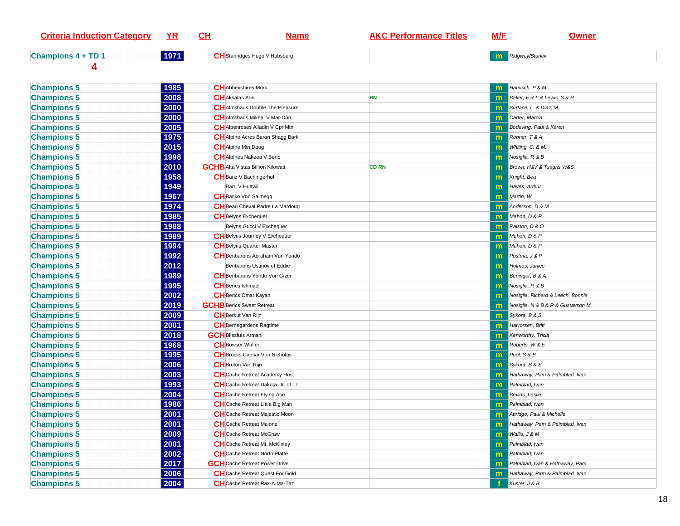| <b>Criteria Induction Category</b> | $YR$ | <u>CH</u> | <u>Name</u>                              | <b>AKC Performance Titles</b> | M/E          | <u>Owner</u>                       |
|------------------------------------|------|-----------|------------------------------------------|-------------------------------|--------------|------------------------------------|
| <b>Champions 4 + TD 1</b>          | 1971 |           | <b>CH</b> Stanridges Hugo V Habsburg     |                               | m            | Ridgway/Stanek                     |
| 4                                  |      |           |                                          |                               |              |                                    |
| <b>Champions 5</b>                 | 1985 |           | <b>CH</b> Abbeyshires Mork               |                               | m            | Hamisch, P & M                     |
| <b>Champions 5</b>                 | 2008 |           | <b>CH</b> Aksalas Arie                   | <b>RN</b>                     | m            | Baker, E & L & Lewis, S & R        |
| <b>Champions 5</b>                 | 2000 |           | <b>CH</b> Almshaus Double The Pleasure   |                               | m            | Surface, L. & Diaz, M.             |
| <b>Champions 5</b>                 | 2000 |           | <b>CH</b> Almshaus Mikeal V Mar-Don      |                               | m            | Carter, Marcia                     |
| <b>Champions 5</b>                 | 2005 |           | <b>CH</b> Alpenroses Alladin V Cpr Mtn   |                               | m            | Bodeving, Paul & Karen             |
| <b>Champions 5</b>                 | 1975 |           | CH Alpine Acres Baron Shagg Bark         |                               | m            | Renner, T & A                      |
| <b>Champions 5</b>                 | 2015 |           | <b>CH</b> Alpine Mtn Doug                |                               | m            | Whiting, C. & M.                   |
| <b>Champions 5</b>                 | 1998 |           | <b>CH</b> Alpines Nakeea V Beric         |                               | m            | Nosiglia, R & B                    |
| <b>Champions 5</b>                 | 2010 |           | <b>GCHB</b> Alta Vistas Billion Kilowatt | <b>CD RN</b>                  | m            | Brown, H&V & Tsagris W&S           |
| <b>Champions 5</b>                 | 1958 |           | CH Banz V Bachingerhof                   |                               | m            | Knight, Bea                        |
| <b>Champions 5</b>                 | 1949 |           | Barri V Huttwil                          |                               | m            | Hayes, Arthur                      |
| <b>Champions 5</b>                 | 1967 |           | <b>CH</b> Basko Von Salmegg              |                               | m            | Martin, W                          |
| <b>Champions 5</b>                 | 1974 |           | CH Beau Cheval Padre La Mardoug          |                               | m            | Anderson, D & M                    |
| <b>Champions 5</b>                 | 1985 |           | <b>CH</b> Belyns Exchequer               |                               | m            | Mahon, D & P                       |
| <b>Champions 5</b>                 | 1988 |           | Belyns Gucci V Exchequer                 |                               | m            | Ralston, D & O                     |
| <b>Champions 5</b>                 | 1989 |           | CH Belyns Journey V Exchequer            |                               | m            | Mahon, D & P                       |
| <b>Champions 5</b>                 | 1994 |           | <b>CH</b> Belyns Quarter Master          |                               | m            | Mahon, D & P                       |
| <b>Champions 5</b>                 | 1992 |           | <b>CH</b> Benbarons Abraham Von Yondo    |                               | m            | Postma, J & P                      |
| <b>Champions 5</b>                 | 2012 |           | Benbarons Ustinov of Eddie               |                               | m            | Holmes, Janice                     |
| <b>Champions 5</b>                 | 1989 |           | <b>CH</b> Benbarons Yondo Von Gizer      |                               | $\mathsf{m}$ | Beninger, B & A                    |
| <b>Champions 5</b>                 | 1995 |           | <b>CH</b> Berics Ishmael                 |                               | m            | Nosiglia, R & B                    |
| <b>Champions 5</b>                 | 2002 |           | <b>CH</b> Berics Omar Kayan              |                               | m            | Nosiglia, Richard & Leech, Bonnie  |
| <b>Champions 5</b>                 | 2019 |           | <b>GCHB</b> Berics Sweet Retreat         |                               | $\mathsf{m}$ | Nosiglia, N & B & R & Gustavson M. |
| <b>Champions 5</b>                 | 2009 |           | <b>CH</b> Berkut Van Rijn                |                               | m            | Sykora, B & S                      |
| <b>Champions 5</b>                 | 2001 |           | <b>CH</b> Bernegardens Ragtime           |                               | m            | Halvorsen, Britt                   |
| <b>Champions 5</b>                 | 2018 |           | <b>GCH</b> Blissfuls Armani              |                               | m            | Kenworthy, Tricia                  |
| <b>Champions 5</b>                 | 1968 |           | <b>CH</b> Bowser Waller                  |                               | m            | Roberts, W & E                     |
| <b>Champions 5</b>                 | 1995 |           | <b>CH</b> Brocks Caesar Von Nicholas     |                               | m            | Pool, S & B                        |
| <b>Champions 5</b>                 | 2006 |           | <b>CH</b> Bruton Van Rijn                |                               | m            | Sykora, B & S                      |
| <b>Champions 5</b>                 | 2003 |           | CH Cache Retreat Academy Host            |                               | m            | Hathaway, Pam & Palmblad, Ivan     |
| <b>Champions 5</b>                 | 1993 |           | CH Cache Retreat Dakota Dr. of LT        |                               | m            | Palmblad, Ivan                     |
| <b>Champions 5</b>                 | 2004 |           | CH Cache Retreat Flying Ace              |                               |              | Bevins, Leslie                     |
| <b>Champions 5</b>                 | 1986 |           | CH Cache Retreat Little Big Man          |                               | m            | Palmblad, Ivan                     |
| <b>Champions 5</b>                 | 2001 |           | CH Cache Retreat Majestic Moon           |                               |              | <b>n</b> Attridge, Paul & Michelle |
| <b>Champions 5</b>                 | 2001 |           | <b>CH</b> Cache Retreat Malone           |                               | m            | Hathaway, Pam & Palmblad, Ivan     |
| <b>Champions 5</b>                 | 2009 |           | <b>CH</b> Cache Retreat McGraw           |                               | m            | Wallis, J & M                      |
| <b>Champions 5</b>                 | 2001 |           | CH Cache Retreat Mt. McKinley            |                               | m            | Palmblad, Ivan                     |
| <b>Champions 5</b>                 | 2002 |           | <b>CH</b> Cache Retreat North Platte     |                               | m            | Palmblad, Ivan                     |
| <b>Champions 5</b>                 | 2017 |           | <b>GCH</b> Cache Retreat Power Drive     |                               | $\mathbf{m}$ | Palmblad, Ivan & Hathaway, Pam     |
| <b>Champions 5</b>                 | 2006 |           | <b>CH</b> Cache Retreat Quest For Gold   |                               | m            | Hathaway, Pam & Palmblad, Ivan     |
| <b>Champions 5</b>                 | 2004 |           | CH Cache Retreat Raz-A-Ma-Taz            |                               |              | Kuster, J & B                      |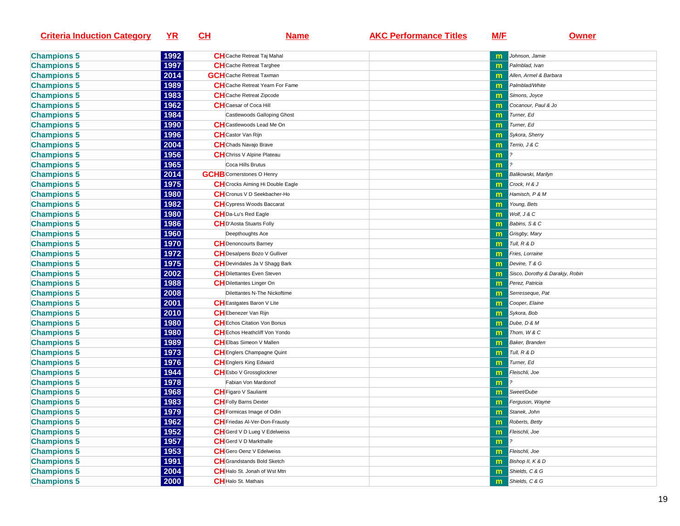| <b>Criteria Induction Category</b> | <u>YR</u> | <u>СН</u> | <u>Name</u>                            | <b>AKC Performance Titles</b> | <u>M/E</u>   | <u>Owner</u>                    |
|------------------------------------|-----------|-----------|----------------------------------------|-------------------------------|--------------|---------------------------------|
| <b>Champions 5</b>                 | 1992      |           | <b>CH</b> Cache Retreat Taj Mahal      |                               | $\mathsf{m}$ | Johnson, Jamie                  |
| <b>Champions 5</b>                 | 1997      |           | <b>CH</b> Cache Retreat Targhee        |                               | m            | Palmblad, Ivan                  |
| <b>Champions 5</b>                 | 2014      |           | <b>GCH</b> Cache Retreat Taxman        |                               |              | Allen, Armel & Barbara          |
| <b>Champions 5</b>                 | 1989      |           | <b>CH</b> Cache Retreat Yearn For Fame |                               | $\mathsf{m}$ | Palmblad/White                  |
| <b>Champions 5</b>                 | 1983      |           | <b>CH</b> Cache Retreat Zipcode        |                               | $\mathbf{m}$ | Simons, Joyce                   |
| <b>Champions 5</b>                 | 1962      |           | <b>CH</b> Caesar of Coca Hill          |                               | $\mathsf{m}$ | Cocanour, Paul & Jo             |
| <b>Champions 5</b>                 | 1984      |           | Castlewoods Galloping Ghost            |                               | $\mathsf{m}$ | Turner, Ed                      |
| <b>Champions 5</b>                 | 1990      |           | <b>CH</b> Castlewoods Lead Me On       |                               | $\mathbf{m}$ | Turner, Ed                      |
| <b>Champions 5</b>                 | 1996      |           | <b>CH</b> Castor Van Rijn              |                               | $\mathsf{m}$ | Sykora, Sherry                  |
| <b>Champions 5</b>                 | 2004      |           | <b>CH</b> Chads Navajo Brave           |                               | m            | Terrio, J & C                   |
| <b>Champions 5</b>                 | 1956      |           | <b>CH</b> Chriss V Alpine Plateau      |                               | m            |                                 |
| <b>Champions 5</b>                 | 1965      |           | Coca Hills Brutus                      |                               | m            |                                 |
| <b>Champions 5</b>                 | 2014      |           | <b>GCHB</b> Cornerstones O Henry       |                               | $\mathsf{m}$ | Balikowski, Marilyn             |
| <b>Champions 5</b>                 | 1975      |           | CH Crocks Aiming Hi Double Eagle       |                               | m            | Crock, H & J                    |
| <b>Champions 5</b>                 | 1980      |           | CHCronus V D Seekbacher-Ho             |                               |              | Hamisch, P & M                  |
| <b>Champions 5</b>                 | 1982      |           | <b>CH</b> Cypress Woods Baccarat       |                               |              | Young, Bets                     |
| <b>Champions 5</b>                 | 1980      |           | CHDa-Lu's Red Eagle                    |                               | m            | Wolf, J & C                     |
| <b>Champions 5</b>                 | 1986      |           | <b>CH</b> D'Aosta Stuarts Folly        |                               | $\mathsf{m}$ | Babins, S & C                   |
| <b>Champions 5</b>                 | 1960      |           | Deepthoughts Ace                       |                               | $\mathsf{m}$ | Grisgby, Mary                   |
| <b>Champions 5</b>                 | 1970      |           | <b>CH</b> Denoncourts Barney           |                               | $\mathsf{m}$ | Tull, R & D                     |
| <b>Champions 5</b>                 | 1972      |           | CH Desalpens Bozo V Gulliver           |                               | $\mathsf{m}$ | Fries, Lorraine                 |
| <b>Champions 5</b>                 | 1975      |           | CH Devindales Ja V Shagg Bark          |                               | $\mathsf{m}$ | Devine, T & G                   |
| <b>Champions 5</b>                 | 2002      |           | CH Dilettantes Even Steven             |                               | $\mathsf{m}$ | Sisco, Dorothy & Darakjy, Robin |
| <b>Champions 5</b>                 | 1988      |           | <b>CH</b> Dilettantes Linger On        |                               | m            | Perez, Patricia                 |
| <b>Champions 5</b>                 | 2008      |           | Dilettantes N-The Nickoftime           |                               | $\mathsf{m}$ | Serresseque, Pat                |
| <b>Champions 5</b>                 | 2001      |           | <b>CH</b> Eastgates Baron V Lite       |                               | m            | Cooper, Elaine                  |
| <b>Champions 5</b>                 | 2010      |           | <b>CH</b> Ebenezer Van Rijn            |                               | m            | Sykora, Bob                     |
| <b>Champions 5</b>                 | 1980      |           | <b>CH</b> Echos Citation Von Bonus     |                               | $\mathsf{m}$ | Dube, D & M                     |
| <b>Champions 5</b>                 | 1980      |           | <b>CH</b> Echos Heathcliff Von Yondo   |                               | m            | Thom, W & C                     |
| <b>Champions 5</b>                 | 1989      |           | CHEIbas Simeon V Mallen                |                               | m            | Baker, Branden                  |
| <b>Champions 5</b>                 | 1973      |           | <b>CH</b> Englers Champagne Quint      |                               | $\mathsf{m}$ | Tull, R & D                     |
| <b>Champions 5</b>                 | 1976      |           | <b>CH</b> Englers King Edward          |                               | $\mathsf{m}$ | Turner, Ed                      |
| <b>Champions 5</b>                 | 1944      |           | <b>CHEsbo V Grossglockner</b>          |                               | $\mathsf{m}$ | Fleischli, Joe                  |
| <b>Champions 5</b>                 | 1978      |           | Fabian Von Mardonof                    |                               | m            |                                 |
| <b>Champions 5</b>                 | 1968      |           | <b>CH</b> Figaro V Sauliamt            |                               | m            | Sweet/Dube                      |
| <b>Champions 5</b>                 | 1983      |           | <b>CH</b> Folly Barns Dexter           |                               | m            | Ferguson, Wayne                 |
| <b>Champions 5</b>                 | 1979      |           | CH Formicas Image of Odin              |                               | m            | Stanek, John                    |
| <b>Champions 5</b>                 | 1962      |           | CH Friedas Al-Ver-Don-Frausty          |                               |              | <b>m</b> Roberts, Betty         |
| <b>Champions 5</b>                 | 1952      |           | CH Gerd V D Lueg V Edelweiss           |                               | m            | Fleischli, Joe                  |
| <b>Champions 5</b>                 | 1957      |           | <b>CH</b> Gerd V D Markthalle          |                               | m            |                                 |
| <b>Champions 5</b>                 | 1953      |           | <b>CH</b> Gero Oenz V Edelweiss        |                               | m            | Fleischli, Joe                  |
| <b>Champions 5</b>                 | 1991      |           | <b>CH</b> Grandstands Bold Sketch      |                               | m            | Bishop II, K & D                |
| <b>Champions 5</b>                 | 2004      |           | CH Halo St. Jonah of Wst Mtn           |                               | m            | Shields, C & G                  |
| <b>Champions 5</b>                 | 2000      |           | <b>CH</b> Halo St. Mathais             |                               | m            | Shields, C & G                  |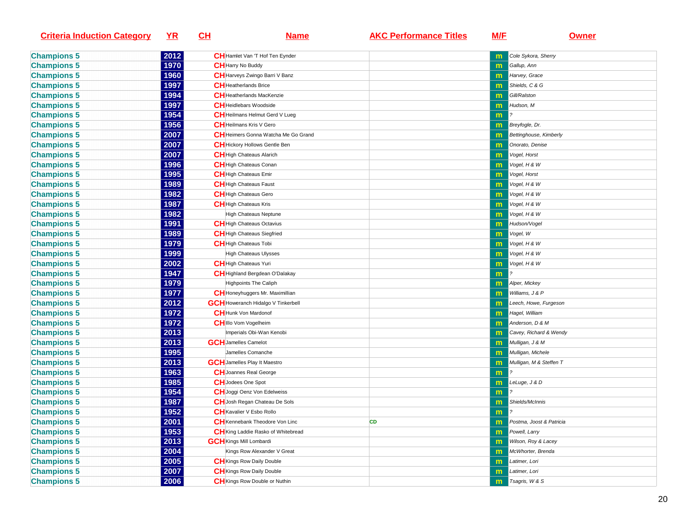| <b>Criteria Induction Category</b> | <u>YR</u><br><u>CH</u> | <u>Name</u>                               | <b>AKC Performance Titles</b> | <u>M/E</u>   | <b>Owner</b>                  |
|------------------------------------|------------------------|-------------------------------------------|-------------------------------|--------------|-------------------------------|
| <b>Champions 5</b>                 | 2012                   | CH Hamlet Van 'T Hof Ten Eynder           |                               |              | Cole Sykora, Sherry           |
| <b>Champions 5</b>                 | 1970                   | <b>CH</b> Harry No Buddy                  |                               | m            | Gallup, Ann                   |
| <b>Champions 5</b>                 | 1960                   | CH Harveys Zwingo Barri V Banz            |                               | $\mathsf{m}$ | Harvey, Grace                 |
| <b>Champions 5</b>                 | 1997                   | <b>CH</b> Heatherlands Brice              |                               | m            | Shields, C & G                |
| <b>Champions 5</b>                 | 1994                   | <b>CH</b> Heatherlands MacKenzie          |                               | m            | Gill/Ralston                  |
| <b>Champions 5</b>                 | 1997                   | <b>CH</b> Heidlebars Woodside             |                               | $\mathsf{m}$ | Hudson, M                     |
| <b>Champions 5</b>                 | 1954                   | <b>CH</b> Heilmans Helmut Gerd V Lueg     |                               | $\mathbf{m}$ |                               |
| <b>Champions 5</b>                 | 1956                   | <b>CH</b> Heilmans Kris V Gero            |                               | $\mathsf{m}$ | Breyfogle, Dr.                |
| <b>Champions 5</b>                 | 2007                   | CH Heimers Gonna Watcha Me Go Grand       |                               | $\mathbf{m}$ | <b>Bettinghouse, Kimberly</b> |
| <b>Champions 5</b>                 | 2007                   | CH Hickory Hollows Gentle Ben             |                               | m            | Onorato, Denise               |
| <b>Champions 5</b>                 | 2007                   | CH High Chateaus Alarich                  |                               | m            | Vogel, Horst                  |
| <b>Champions 5</b>                 | 1996                   | <b>CH</b> High Chateaus Conan             |                               | m            | Vogel, H & W                  |
| <b>Champions 5</b>                 | 1995                   | <b>CH</b> High Chateaus Emir              |                               | $\mathbf{m}$ | Vogel, Horst                  |
| <b>Champions 5</b>                 | 1989                   | <b>CH</b> High Chateaus Faust             |                               | m            | Vogel, H & W                  |
| <b>Champions 5</b>                 | 1982                   | <b>CH</b> High Chateaus Gero              |                               |              | Vogel, H & W                  |
| <b>Champions 5</b>                 | 1987                   | <b>CH</b> High Chateaus Kris              |                               | $\mathsf{m}$ | Vogel, H & W                  |
| <b>Champions 5</b>                 | 1982                   | <b>High Chateaus Neptune</b>              |                               | m            | Vogel, H & W                  |
| <b>Champions 5</b>                 | 1991                   | <b>CH</b> High Chateaus Octavius          |                               | $\mathsf{m}$ | Hudson/Vogel                  |
| <b>Champions 5</b>                 | 1989                   | CH High Chateaus Siegfried                |                               | $\mathsf{m}$ | Vogel, W                      |
| <b>Champions 5</b>                 | 1979                   | <b>CH</b> High Chateaus Tobi              |                               | $\mathsf{m}$ | Vogel, H & W                  |
| <b>Champions 5</b>                 | 1999                   | <b>High Chateaus Ulysses</b>              |                               | $\mathsf{m}$ | Vogel, H & W                  |
| <b>Champions 5</b>                 | 2002                   | <b>CH</b> High Chateaus Yuri              |                               | $\mathbf{m}$ | Vogel, H & W                  |
| <b>Champions 5</b>                 | 1947                   | CH Highland Bergdean O'Dalakay            |                               | m            |                               |
| <b>Champions 5</b>                 | 1979                   | <b>Highpoints The Caliph</b>              |                               | m            | Alper, Mickey                 |
| <b>Champions 5</b>                 | 1977                   | CH Honeyhuggers Mr. Maximillian           |                               | $\mathsf{m}$ | Williams, J & P               |
| <b>Champions 5</b>                 | 2012                   | <b>GCH</b> Howeranch Hidalgo V Tinkerbell |                               | m            | Leech, Howe, Furgeson         |
| <b>Champions 5</b>                 | 1972                   | <b>CH</b> Hunk Von Mardonof               |                               | m            | Hagel, William                |
| <b>Champions 5</b>                 | 1972                   | CHIIIo Vom Vogelheim                      |                               | $\mathsf{m}$ | Anderson, D & M               |
| <b>Champions 5</b>                 | 2013                   | Imperials Obi-Wan Kenobi                  |                               | m            | Cavey, Richard & Wendy        |
| <b>Champions 5</b>                 | 2013                   | <b>GCH</b> Jamelles Camelot               |                               | m            | Mulligan, J & M               |
| <b>Champions 5</b>                 | 1995                   | Jamelles Comanche                         |                               | m            | Mulligan, Michele             |
| <b>Champions 5</b>                 | 2013                   | <b>GCH</b> Jamelles Play It Maestro       |                               | $\mathsf{m}$ | Mulligan, M & Steffen T       |
| <b>Champions 5</b>                 | 1963                   | <b>CH</b> Joannes Real George             |                               | m            |                               |
| <b>Champions 5</b>                 | 1985                   | <b>CH</b> Jodees One Spot                 |                               | $\mathsf{m}$ | LeLuge, J & D                 |
| <b>Champions 5</b>                 | 1954                   | CH Joggi Oenz Von Edelweiss               |                               | m            |                               |
| <b>Champions 5</b>                 | 1987                   | CH Josh Regan Chateau De Sols             |                               | m            | Shields/McInnis               |
| <b>Champions 5</b>                 | 1952                   | <b>CH</b> Kavalier V Esbo Rollo           |                               | m            | 2                             |
| <b>Champions 5</b>                 | 2001                   | <b>CH</b> Kennebank Theodore Von Linc     | CD                            | m            | Postma, Joost & Patricia      |
| <b>Champions 5</b>                 | 1953                   | CH King Laddie Rasko of Whitebread        |                               | m            | Powell, Larry                 |
| <b>Champions 5</b>                 | 2013                   | <b>GCH</b> Kings Mill Lombardi            |                               | m            | Wilson, Roy & Lacey           |
| <b>Champions 5</b>                 | 2004                   | Kings Row Alexander V Great               |                               | m            | McWhorter, Brenda             |
| <b>Champions 5</b>                 | 2005                   | <b>CH</b> Kings Row Daily Double          |                               | m            | Latimer, Lori                 |
| <b>Champions 5</b>                 | 2007                   | <b>CH</b> Kings Row Daily Double          |                               | $\mathsf{m}$ | Latimer, Lori                 |
| <b>Champions 5</b>                 | 2006                   | CH Kings Row Double or Nuthin             |                               | m            | Tsagris, W & S                |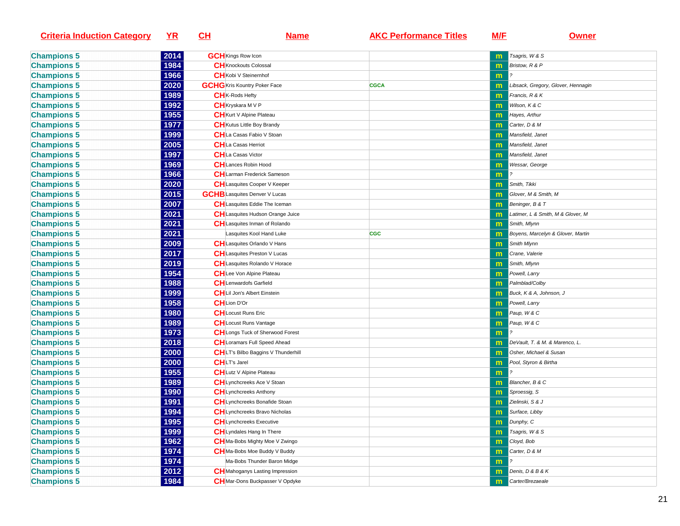| <b>Criteria Induction Category</b>       | <u>YR</u>    | <u>СН</u>                                                         | <u>Name</u>                             | <b>AKC Performance Titles</b> | <u>M/E</u>   | <u>Owner</u>                       |
|------------------------------------------|--------------|-------------------------------------------------------------------|-----------------------------------------|-------------------------------|--------------|------------------------------------|
| <b>Champions 5</b>                       | 2014         | <b>GCH</b> Kings Row Icon                                         |                                         |                               | $\mathsf{m}$ | Tsagris, W & S                     |
| <b>Champions 5</b>                       | 1984         | <b>CH</b> Knockouts Colossal                                      |                                         |                               | m            | Bristow, R & P                     |
| <b>Champions 5</b>                       | 1966         | <b>CH</b> Kobi V Steinernhof                                      |                                         |                               | m            |                                    |
| <b>Champions 5</b>                       | 2020         | <b>GCHG</b> Kris Kountry Poker Face                               |                                         | <b>CGCA</b>                   | $\mathbf{m}$ | Libsack, Gregory, Glover, Hennagin |
| <b>Champions 5</b>                       | 1989         | <b>CH</b> <sub>K-Rods</sub> Hefty                                 |                                         |                               | m            | Francis, R & K                     |
| <b>Champions 5</b>                       | 1992         | <b>CH</b> Kryskara M V P                                          |                                         |                               | $\mathsf{m}$ | Wilson, K & C                      |
| <b>Champions 5</b>                       | 1955         | <b>CH</b> Kurt V Alpine Plateau                                   |                                         |                               | $\mathsf{m}$ | Hayes, Arthur                      |
| <b>Champions 5</b>                       | 1977         | <b>CH</b> Kutus Little Boy Brandy                                 |                                         |                               | $\mathsf{m}$ | Carter, D & M                      |
| <b>Champions 5</b>                       | 1999         | CHLa Casas Fabio V Stoan                                          |                                         |                               | $\mathsf{m}$ | Mansfield, Janet                   |
| <b>Champions 5</b>                       | 2005         | CHLa Casas Herriot                                                |                                         |                               | m            | Mansfield, Janet                   |
| <b>Champions 5</b>                       | 1997         | <b>CH</b> La Casas Victor                                         |                                         |                               | m            | Mansfield, Janet                   |
| <b>Champions 5</b>                       | 1969         | <b>CH</b> Lances Robin Hood                                       |                                         |                               | m            | Wessar, George                     |
| <b>Champions 5</b>                       | 1966         |                                                                   | <b>CH</b> Larman Frederick Sameson      |                               | m            |                                    |
| <b>Champions 5</b>                       | 2020         |                                                                   | <b>CH</b> Lasquites Cooper V Keeper     |                               | m            | Smith, Tikki                       |
| <b>Champions 5</b>                       | 2015         | <b>GCHB</b> Lasquites Denver V Lucas                              |                                         |                               |              | Glover, M & Smith, M               |
| <b>Champions 5</b>                       | 2007         |                                                                   | <b>CH</b> Lasquites Eddie The Iceman    |                               |              | Beninger, B & T                    |
| <b>Champions 5</b>                       | 2021         |                                                                   | <b>CH</b> Lasquites Hudson Orange Juice |                               | $\mathsf{m}$ | Latimer, L & Smith, M & Glover, M  |
| <b>Champions 5</b>                       | 2021         |                                                                   | CH Lasquites Inman of Rolando           |                               |              | Smith, Mlynn                       |
|                                          | 2021         |                                                                   | Lasquites Kool Hand Luke                | <b>CGC</b>                    | $\mathsf{m}$ | Boyens, Marcelyn & Glover, Martin  |
| <b>Champions 5</b><br><b>Champions 5</b> | 2009         | <b>CH</b> Lasquites Orlando V Hans                                |                                         |                               | $\mathsf{m}$ | Smith Mlynn                        |
|                                          | 2017         | <b>CH</b> Lasquites Preston V Lucas                               |                                         |                               | $\mathsf{m}$ | Crane, Valerie                     |
| <b>Champions 5</b>                       | 2019         |                                                                   | <b>CH</b> Lasquites Rolando V Horace    |                               | $\mathsf{m}$ |                                    |
| <b>Champions 5</b>                       | 1954         |                                                                   |                                         |                               | $\mathsf{m}$ | Smith, Mlynn                       |
| <b>Champions 5</b>                       | 1988         | <b>CH</b> Lee Von Alpine Plateau<br><b>CH</b> Lenwardofs Garfield |                                         |                               | m            | Powell, Larry<br>Palmblad/Colby    |
| <b>Champions 5</b>                       |              | <b>CH</b> Lil Jon's Albert Einstein                               |                                         |                               | m            |                                    |
| <b>Champions 5</b>                       | 1999         | <b>CH</b> Lion D'Or                                               |                                         |                               | $\mathsf{m}$ | Buck, K & A, Johnson, J            |
| <b>Champions 5</b>                       | 1958<br>1980 | <b>CH</b> Locust Runs Eric                                        |                                         |                               | m            | Powell, Larry                      |
| <b>Champions 5</b>                       |              |                                                                   |                                         |                               | m            | Paup, W & C                        |
| <b>Champions 5</b>                       | 1989         | <b>CH</b> Locust Runs Vantage                                     |                                         |                               | m            | Paup, W & C                        |
| <b>Champions 5</b>                       | 1973         |                                                                   | CH Longs Tuck of Sherwood Forest        |                               | m            |                                    |
| <b>Champions 5</b>                       | 2018         |                                                                   | CH Loramars Full Speed Ahead            |                               | m            | DeVault, T. & M. & Marenco, L.     |
| <b>Champions 5</b>                       | 2000         |                                                                   | CHLT's Bilbo Baggins V Thunderhill      |                               | $\mathsf{m}$ | Osher, Michael & Susan             |
| <b>Champions 5</b>                       | 2000         | <b>CH</b> LT's Jarel                                              |                                         |                               | $\mathsf{m}$ | Pool, Styron & Birtha              |
| <b>Champions 5</b>                       | 1955         | <b>CH</b> Lutz V Alpine Plateau                                   |                                         |                               | m            |                                    |
| <b>Champions 5</b>                       | 1989         | <b>CH</b> Lynchcreeks Ace V Stoan                                 |                                         |                               | $\mathsf{m}$ | Blancher, B & C                    |
| <b>Champions 5</b>                       | 1990         | <b>CH</b> Lynchcreeks Anthony                                     |                                         |                               | $\mathsf{m}$ | Sproessig, S                       |
| <b>Champions 5</b>                       | 1991         |                                                                   | <b>CH</b> Lynchcreeks Bonafide Stoan    |                               | m            | Zielinski, S & J                   |
| <b>Champions 5</b>                       | 1994         |                                                                   | <b>CH</b> Lynchcreeks Bravo Nicholas    |                               | m            | Surface, Libby                     |
| <b>Champions 5</b>                       | 1995         | <b>CH</b> Lynchcreeks Executive                                   |                                         |                               |              | <b>m</b> Dunphy, C                 |
| <b>Champions 5</b>                       | 1999         | CHLyndales Hang In There                                          |                                         |                               | m            | Tsagris, W & S                     |
| <b>Champions 5</b>                       | 1962         |                                                                   | CH Ma-Bobs Mighty Moe V Zwingo          |                               | m            | Cloyd, Bob                         |
| <b>Champions 5</b>                       | 1974         |                                                                   | CHMa-Bobs Moe Buddy V Buddy             |                               | m            | Carter, D & M                      |
| <b>Champions 5</b>                       | 1974         |                                                                   | Ma-Bobs Thunder Baron Midge             |                               | m            |                                    |
| <b>Champions 5</b>                       | 2012         |                                                                   | <b>CH</b> Mahoganys Lasting Impression  |                               | m            | Denis, D & B & K                   |
| <b>Champions 5</b>                       | 1984         |                                                                   | CHMar-Dons Buckpasser V Opdyke          |                               | m            | Carter/Brezaeale                   |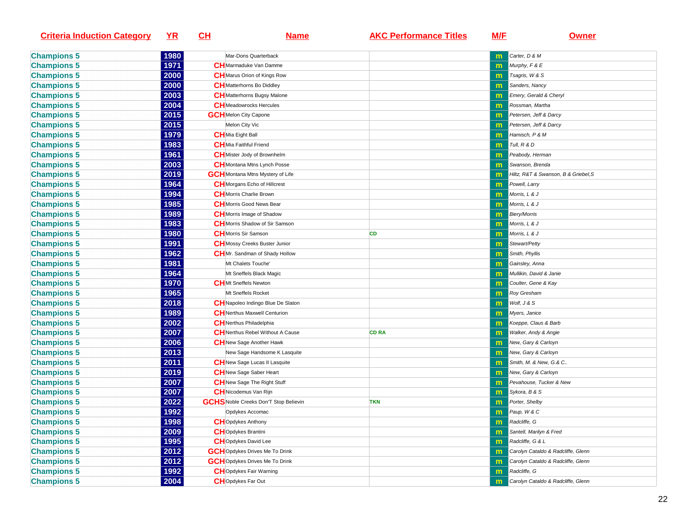| <b>Criteria Induction Category</b> | <u>YR</u> | <u>CH</u><br><u>Name</u>                     | <b>AKC Performance Titles</b> | <b>M/E</b>   | <b>Owner</b>                         |
|------------------------------------|-----------|----------------------------------------------|-------------------------------|--------------|--------------------------------------|
| <b>Champions 5</b>                 | 1980      | Mar-Dons Quarterback                         |                               | m            | Carter, D & M                        |
| <b>Champions 5</b>                 | 1971      | <b>CH</b> Marmaduke Van Damme                |                               |              | Murphy, F & E                        |
| <b>Champions 5</b>                 | 2000      | <b>CH</b> Marus Orion of Kings Row           |                               | m            | Tsagris, W & S                       |
| <b>Champions 5</b>                 | 2000      | <b>CH</b> Matterhorns Bo Diddley             |                               | m            | Sanders, Nancy                       |
| <b>Champions 5</b>                 | 2003      | <b>CH</b> Matterhorns Bugsy Malone           |                               | m            | Emery, Gerald & Cheryl               |
| <b>Champions 5</b>                 | 2004      | <b>CH</b> Meadowrocks Hercules               |                               | m            | Rossman, Martha                      |
| <b>Champions 5</b>                 | 2015      | <b>GCH</b> Melon City Capone                 |                               | m            | Petersen, Jeff & Darcy               |
| <b>Champions 5</b>                 | 2015      | Melon City Vic                               |                               | m            | Petersen, Jeff & Darcy               |
| <b>Champions 5</b>                 | 1979      | CHMia Eight Ball                             |                               | $\mathbf{m}$ | Hamisch, P & M                       |
| <b>Champions 5</b>                 | 1983      | CHMia Faithful Friend                        |                               | m            | Tull, R & D                          |
| <b>Champions 5</b>                 | 1961      | <b>CH</b> Mister Jody of Brownhelm           |                               | m            | Peabody, Herman                      |
| <b>Champions 5</b>                 | 2003      | <b>CH</b> Montana Mtns Lynch Posse           |                               | $\mathbf{m}$ | Swanson, Brenda                      |
| <b>Champions 5</b>                 | 2019      | <b>GCH</b> Montana Mtns Mystery of Life      |                               | m            | Hiltz, R&T & Swanson, B & Griebel, S |
| <b>Champions 5</b>                 | 1964      | <b>CH</b> Morgans Echo of Hillcrest          |                               | m            | Powell, Larry                        |
| <b>Champions 5</b>                 | 1994      | CHMorris Charlie Brown                       |                               |              | Morris, L & J                        |
| <b>Champions 5</b>                 | 1985      | CH Morris Good News Bear                     |                               | m            | Morris, L & J                        |
| <b>Champions 5</b>                 | 1989      | <b>CH</b> Morris Image of Shadow             |                               | m            | <b>Biery/Morris</b>                  |
| <b>Champions 5</b>                 | 1983      | CH Morris Shadow of Sir Samson               |                               | m            | Morris, L & J                        |
| <b>Champions 5</b>                 | 1980      | <b>CH</b> Morris Sir Samson                  | <b>CD</b>                     | m            | Morris, L & J                        |
| <b>Champions 5</b>                 | 1991      | <b>CH</b> Mossy Creeks Buster Junior         |                               | m            | Stewart/Petty                        |
| <b>Champions 5</b>                 | 1962      | CHMr. Sandman of Shady Hollow                |                               | m            | Smith, Phyllis                       |
| <b>Champions 5</b>                 | 1981      | Mt Chalets Touche'                           |                               |              | Gainsley, Anna                       |
| <b>Champions 5</b>                 | 1964      | Mt Sneffels Black Magic                      |                               | m            | Mullikin, David & Janie              |
| <b>Champions 5</b>                 | 1970      | <b>CH</b> Mt Sneffels Newton                 |                               | $\mathbf{m}$ | Coulter, Gene & Kay                  |
| <b>Champions 5</b>                 | 1965      | Mt Sneffels Rocket                           |                               | m            | <b>Roy Gresham</b>                   |
| <b>Champions 5</b>                 | 2018      | CHNapoleo Indingo Blue De Slaton             |                               | m            | Wolf, J & S                          |
| <b>Champions 5</b>                 | 1989      | <b>CH</b> Nerthus Maxwell Centurion          |                               | m            | Myers, Janice                        |
| <b>Champions 5</b>                 | 2002      | CHNerthus Philadelphia                       |                               | m            | Koeppe, Claus & Barb                 |
| <b>Champions 5</b>                 | 2007      | <b>CH</b> Nerthus Rebel Without A Cause      | <b>CD RA</b>                  | m            | <b>Walker, Andy &amp; Angie</b>      |
| <b>Champions 5</b>                 | 2006      | <b>CH</b> New Sage Another Hawk              |                               | m            | New, Gary & Carloyn                  |
| <b>Champions 5</b>                 | 2013      | New Sage Handsome K Lasquite                 |                               | m            | New, Gary & Carloyn                  |
| <b>Champions 5</b>                 | 2011      | <b>CH</b> New Sage Lucas II Lasquite         |                               | m            | Smith, M. & New, G.& C               |
| <b>Champions 5</b>                 | 2019      | <b>CH</b> New Sage Saber Heart               |                               | m            | New, Gary & Carloyn                  |
| <b>Champions 5</b>                 | 2007      | CHNew Sage The Right Stuff                   |                               |              | Pevahouse, Tucker & New              |
| <b>Champions 5</b>                 | 2007      | CH Nicodemus Van Rijn                        |                               | m            | Sykora, B & S                        |
| <b>Champions 5</b>                 | 2022      | <b>GCHS</b> Noble Creeks Don'T Stop Believin | <b>TKN</b>                    | m            | Porter, Shelby                       |
| <b>Champions 5</b>                 | 1992      | Opdykes Accomac                              |                               | m            | Paup, W & C                          |
| <b>Champions 5</b>                 | 1998      | <b>CH</b> Opdykes Anthony                    |                               |              | <b>m</b> Radcliffe, G                |
| <b>Champions 5</b>                 | 2009      | CHOpdykes Brantini                           |                               | m            | Santell, Marilyn & Fred              |
| <b>Champions 5</b>                 | 1995      | <b>CH</b> Opdykes David Lee                  |                               | m            | Radcliffe, G & L                     |
| <b>Champions 5</b>                 | 2012      | <b>GCH</b> Opdykes Drives Me To Drink        |                               | m            | Carolyn Cataldo & Radcliffe, Glenn   |
| <b>Champions 5</b>                 | 2012      | <b>GCH</b> Opdykes Drives Me To Drink        |                               | m            | Carolyn Cataldo & Radcliffe, Glenn   |
| <b>Champions 5</b>                 | 1992      | <b>CH</b> Opdykes Fair Warning               |                               | m            | Radcliffe, G                         |
| <b>Champions 5</b>                 | 2004      | <b>CH</b> Opdykes Far Out                    |                               |              | Carolyn Cataldo & Radcliffe, Glenn   |
|                                    |           |                                              |                               | m            |                                      |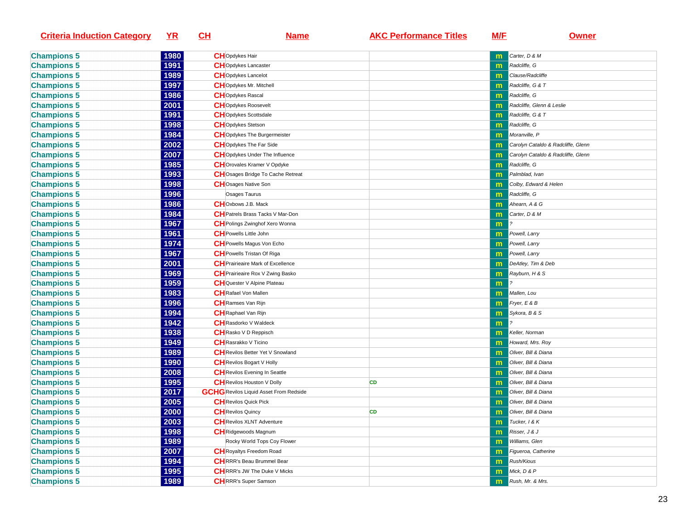| <b>Criteria Induction Category</b> | <u>YR</u> | <u>СН</u><br><u>Name</u>                      | <b>AKC Performance Titles</b> | <u>M/E</u>   | <u>Owner</u>                       |
|------------------------------------|-----------|-----------------------------------------------|-------------------------------|--------------|------------------------------------|
| <b>Champions 5</b>                 | 1980      | <b>CH</b> Opdykes Hair                        |                               | m            | Carter, D & M                      |
| <b>Champions 5</b>                 | 1991      | <b>CH</b> Opdykes Lancaster                   |                               | m            | Radcliffe, G                       |
| <b>Champions 5</b>                 | 1989      | <b>CH</b> Opdykes Lancelot                    |                               | m            | Clause/Radcliffe                   |
| <b>Champions 5</b>                 | 1997      | <b>CH</b> Opdykes Mr. Mitchell                |                               | m            | Radcliffe, G & T                   |
| <b>Champions 5</b>                 | 1986      | <b>CH</b> Opdykes Rascal                      |                               | m            | Radcliffe, G                       |
| <b>Champions 5</b>                 | 2001      | <b>CH</b> Opdykes Roosevelt                   |                               | $\mathsf{m}$ | Radcliffe, Glenn & Leslie          |
| <b>Champions 5</b>                 | 1991      | <b>CH</b> Opdykes Scottsdale                  |                               | m            | Radcliffe, G & T                   |
| <b>Champions 5</b>                 | 1998      | <b>CH</b> Opdykes Stetson                     |                               | $\mathsf{m}$ | Radcliffe, G                       |
| <b>Champions 5</b>                 | 1984      | <b>CH</b> Opdykes The Burgermeister           |                               | m            | Moranville, P                      |
| <b>Champions 5</b>                 | 2002      | <b>CH</b> Opdykes The Far Side                |                               | m            | Carolyn Cataldo & Radcliffe, Glenn |
| <b>Champions 5</b>                 | 2007      | CHOpdykes Under The Influence                 |                               | m            | Carolyn Cataldo & Radcliffe, Glenn |
| <b>Champions 5</b>                 | 1985      | CHOrovales Kramer V Opdyke                    |                               | m            | Radcliffe, G                       |
| <b>Champions 5</b>                 | 1993      | CHOsages Bridge To Cache Retreat              |                               | m            | Palmblad, Ivan                     |
| <b>Champions 5</b>                 | 1998      | <b>CH</b> Osages Native Son                   |                               | m            | Colby, Edward & Helen              |
| <b>Champions 5</b>                 | 1996      | Osages Taurus                                 |                               | m            | Radcliffe, G                       |
| <b>Champions 5</b>                 | 1986      | <b>CH</b> Oxbows J.B. Mack                    |                               | m            | Ahearn, A & G                      |
| <b>Champions 5</b>                 | 1984      | <b>CH</b> Patrels Brass Tacks V Mar-Don       |                               | m            | Carter, D & M                      |
| <b>Champions 5</b>                 | 1967      | <b>CH</b> Polings Zwinghof Xero Wonna         |                               | m            |                                    |
| <b>Champions 5</b>                 | 1961      | <b>CH</b> Powells Little John                 |                               | m            | Powell, Larry                      |
| <b>Champions 5</b>                 | 1974      | <b>CH</b> Powells Magus Von Echo              |                               | $\mathsf{m}$ | Powell, Larry                      |
| <b>Champions 5</b>                 | 1967      | <b>CH</b> Powells Tristan Of Riga             |                               | $\mathsf{m}$ | Powell, Larry                      |
| <b>Champions 5</b>                 | 2001      | CH Prairieaire Mark of Excellence             |                               | m            | DeAtley, Tim & Deb                 |
| <b>Champions 5</b>                 | 1969      | <b>CH</b> Prairieaire Rox V Zwing Basko       |                               | m            | Rayburn, H & S                     |
| <b>Champions 5</b>                 | 1959      | <b>CH</b> Quester V Alpine Plateau            |                               | m            |                                    |
| <b>Champions 5</b>                 | 1983      | <b>CH</b> Rafael Von Mallen                   |                               | m            | Mallen, Lou                        |
| <b>Champions 5</b>                 | 1996      | <b>CH</b> Ramses Van Rijn                     |                               | m            | Fryer, $E \& B$                    |
| <b>Champions 5</b>                 | 1994      | <b>CH</b> Raphael Van Rijn                    |                               | m            | Sykora, B & S                      |
| <b>Champions 5</b>                 | 1942      | <b>CH</b> Rasdorko V Waldeck                  |                               | m            |                                    |
| <b>Champions 5</b>                 | 1938      | <b>CH</b> Rasko V D Reppisch                  |                               | m            | Keller, Norman                     |
| <b>Champions 5</b>                 | 1949      | <b>CH</b> Rasrakko V Ticino                   |                               | m            | Howard, Mrs. Roy                   |
| <b>Champions 5</b>                 | 1989      | <b>CH</b> Revilos Better Yet V Snowland       |                               | m            | Oliver, Bill & Diana               |
| <b>Champions 5</b>                 | 1990      | <b>CH</b> Revilos Bogart V Holly              |                               | m            | Oliver, Bill & Diana               |
| <b>Champions 5</b>                 | 2008      | <b>CH</b> Revilos Evening In Seattle          |                               | m            | Oliver, Bill & Diana               |
| <b>Champions 5</b>                 | 1995      | <b>CH</b> Revilos Houston V Dolly             | CD                            | $\mathsf{m}$ | Oliver, Bill & Diana               |
| <b>Champions 5</b>                 | 2017      | <b>GCHG</b> Revilos Liquid Asset From Redside |                               | m            | Oliver, Bill & Diana               |
| <b>Champions 5</b>                 | 2005      | <b>CH</b> Revilos Quick Pick                  |                               | m            | Oliver, Bill & Diana               |
| <b>Champions 5</b>                 | 2000      | <b>CH</b> Revilos Quincy                      | CD                            | m            | Oliver, Bill & Diana               |
| <b>Champions 5</b>                 | 2003      | <b>CH</b> Revilos XLNT Adventure              |                               |              | $\boxed{\mathbf{m}}$ Tucker, 1 & K |
| <b>Champions 5</b>                 | 1998      | <b>CH</b> Ridgewoods Magnum                   |                               | m            | Risser, J & J                      |
| <b>Champions 5</b>                 | 1989      | Rocky World Tops Coy Flower                   |                               | m            | Williams, Glen                     |
| <b>Champions 5</b>                 | 2007      | <b>CH</b> Royaltys Freedom Road               |                               | m            | Figueroa, Catherine                |
| <b>Champions 5</b>                 | 1994      | CHRRR's Beau Brummel Bear                     |                               | m            | <b>Rush/Kious</b>                  |
| <b>Champions 5</b>                 | 1995      | <b>CH</b> RRR's JW The Duke V Micks           |                               | m            | Mick, D & P                        |
| <b>Champions 5</b>                 | 1989      | <b>CH</b> RRR's Super Samson                  |                               | m            | Rush, Mr. & Mrs.                   |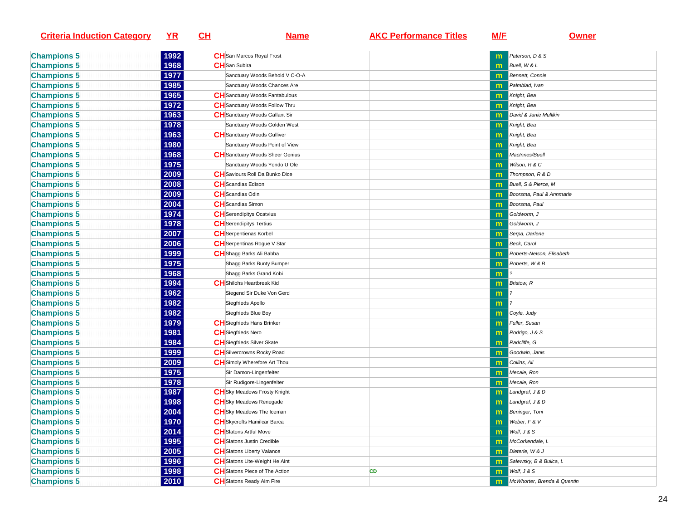| <b>Criteria Induction Category</b> | <u>YR</u> | <u>CH</u>                     | <u>Name</u>                            | <b>AKC Performance Titles</b> | <u>M/E</u>   | <u>Owner</u>                |
|------------------------------------|-----------|-------------------------------|----------------------------------------|-------------------------------|--------------|-----------------------------|
| <b>Champions 5</b>                 | 1992      |                               | <b>CH</b> San Marcos Royal Frost       |                               |              | Paterson, D & S             |
| <b>Champions 5</b>                 | 1968      | <b>CH</b> San Subira          |                                        |                               | m            | Buell, W & L                |
| <b>Champions 5</b>                 | 1977      |                               | Sanctuary Woods Behold V C-O-A         |                               | $\mathsf{m}$ | Bennett, Connie             |
| <b>Champions 5</b>                 | 1985      |                               | Sanctuary Woods Chances Are            |                               | m            | Palmblad, Ivan              |
| <b>Champions 5</b>                 | 1965      |                               | <b>CH</b> Sanctuary Woods Fantabulous  |                               | m            | Knight, Bea                 |
| <b>Champions 5</b>                 | 1972      |                               | <b>CH</b> Sanctuary Woods Follow Thru  |                               | $\mathsf{m}$ | Knight, Bea                 |
| <b>Champions 5</b>                 | 1963      |                               | <b>CH</b> Sanctuary Woods Gallant Sir  |                               | $\mathsf{m}$ | David & Janie Mullikin      |
| <b>Champions 5</b>                 | 1978      |                               | Sanctuary Woods Golden West            |                               | m            | Knight, Bea                 |
| <b>Champions 5</b>                 | 1963      |                               | <b>CH</b> Sanctuary Woods Gulliver     |                               | m            | Knight, Bea                 |
| <b>Champions 5</b>                 | 1980      |                               | Sanctuary Woods Point of View          |                               | $\mathbf{m}$ | Knight, Bea                 |
| <b>Champions 5</b>                 | 1968      |                               | <b>CH</b> Sanctuary Woods Sheer Genius |                               | $\mathsf{m}$ | MacInnes/Buell              |
| <b>Champions 5</b>                 | 1975      |                               | Sanctuary Woods Yondo U Ole            |                               | m            | Wilson, R & C               |
| <b>Champions 5</b>                 | 2009      |                               | <b>CH</b> Saviours Roll Da Bunko Dice  |                               | $\mathsf{m}$ | Thompson, R & D             |
| <b>Champions 5</b>                 | 2008      | <b>CH</b> Scandias Edison     |                                        |                               | $\mathsf{m}$ | Buell, S & Pierce, M        |
| <b>Champions 5</b>                 | 2009      | <b>CH</b> Scandias Odin       |                                        |                               | $\mathsf{m}$ | Boorsma, Paul & Annmarie    |
| <b>Champions 5</b>                 | 2004      | <b>CH</b> Scandias Simon      |                                        |                               | $\mathsf{m}$ | Boorsma, Paul               |
| <b>Champions 5</b>                 | 1974      |                               | <b>CH</b> Serendipitys Ocatvius        |                               | m            | Goldworm, J                 |
| <b>Champions 5</b>                 | 1978      |                               | <b>CH</b> Serendipitys Tertius         |                               | $\mathsf{m}$ | Goldworm, J                 |
| <b>Champions 5</b>                 | 2007      |                               | <b>CH</b> Serpentienas Korbel          |                               | $\mathsf{m}$ | Serpa, Darlene              |
| <b>Champions 5</b>                 | 2006      |                               | <b>CH</b> Serpentinas Rogue V Star     |                               | m            | Beck, Carol                 |
| <b>Champions 5</b>                 | 1999      |                               | CH Shagg Barks Ali Babba               |                               | $\mathsf{m}$ | Roberts-Nelson, Elisabeth   |
| <b>Champions 5</b>                 | 1975      |                               | Shagg Barks Bunty Bumper               |                               | $\mathbf{m}$ | Roberts, W & B              |
| <b>Champions 5</b>                 | 1968      |                               | Shagg Barks Grand Kobi                 |                               | m            |                             |
| <b>Champions 5</b>                 | 1994      |                               | <b>CH</b> Shilohs Heartbreak Kid       |                               | m            | <b>Bristow, R</b>           |
| <b>Champions 5</b>                 | 1962      |                               | Siegend Sir Duke Von Gerd              |                               | m            |                             |
| <b>Champions 5</b>                 | 1982      |                               | Siegfrieds Apollo                      |                               | m            |                             |
| <b>Champions 5</b>                 | 1982      |                               | Siegfrieds Blue Boy                    |                               | m            | Coyle, Judy                 |
| <b>Champions 5</b>                 | 1979      |                               | <b>CH</b> Siegfrieds Hans Brinker      |                               | m            | Fuller, Susan               |
| <b>Champions 5</b>                 | 1981      | <b>CH</b> Siegfrieds Nero     |                                        |                               | m            | Rodrigo, J & S              |
| <b>Champions 5</b>                 | 1984      |                               | <b>CH</b> Siegfrieds Silver Skate      |                               | m            | Radcliffe, G                |
| <b>Champions 5</b>                 | 1999      |                               | <b>CH</b> Silvercrowns Rocky Road      |                               | $\mathsf{m}$ | Goodwin, Janis              |
| <b>Champions 5</b>                 | 2009      |                               | <b>CH</b> Simply Wherefore Art Thou    |                               | m            | Collins, Ali                |
| <b>Champions 5</b>                 | 1975      |                               | Sir Damon-Lingenfelter                 |                               | $\mathsf{m}$ | Mecale, Ron                 |
| <b>Champions 5</b>                 | 1978      |                               | Sir Rudigore-Lingenfelter              |                               | m            | Mecale, Ron                 |
| <b>Champions 5</b>                 | 1987      |                               | <b>CH</b> Sky Meadows Frosty Knight    |                               | m            | Landgraf, J & D             |
| <b>Champions 5</b>                 | 1998      |                               | <b>CH</b> Sky Meadows Renegade         |                               | $\mathsf{m}$ | Landgraf, J & D             |
| <b>Champions 5</b>                 | 2004      |                               | <b>CH</b> Sky Meadows The Iceman       |                               | m            | Beninger, Toni              |
| <b>Champions 5</b>                 | 1970      |                               | <b>CH</b> Skycrofts Hamilcar Barca     |                               |              | $\mathbf{m}$ Weber, F & V   |
| <b>Champions 5</b>                 | 2014      | <b>CH</b> Slatons Artful Move |                                        |                               | m            | Wolf, J & S                 |
| <b>Champions 5</b>                 | 1995      |                               | <b>CH</b> Slatons Justin Credible      |                               | m            | McCorkendale, L             |
| <b>Champions 5</b>                 | 2005      |                               | <b>CH</b> Slatons Liberty Valance      |                               | m            | Dieterle, W & J             |
| <b>Champions 5</b>                 | 1996      |                               | CHSlatons Lite-Weight He Aint          |                               | m            | Salewsky, B & Bulica, L     |
| <b>Champions 5</b>                 | 1998      |                               | CH Slatons Piece of The Action         | CD                            | m            | Wolf, J & S                 |
| <b>Champions 5</b>                 | 2010      |                               | <b>CH</b> Slatons Ready Aim Fire       |                               | m            | McWhorter, Brenda & Quentin |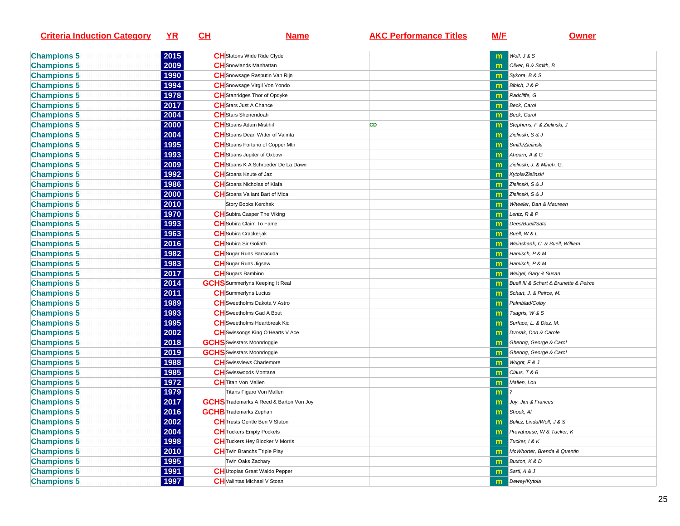| <b>Criteria Induction Category</b> | <u>YR</u> | <u>СН</u> | <u>Name</u>                                    | <b>AKC Performance Titles</b> | <u>M/E</u>   | <b>Owner</b>                           |
|------------------------------------|-----------|-----------|------------------------------------------------|-------------------------------|--------------|----------------------------------------|
| <b>Champions 5</b>                 | 2015      |           | CHSlatons Wide Ride Clyde                      |                               | m            | Wolf, J & S                            |
| <b>Champions 5</b>                 | 2009      |           | <b>CH</b> Snowlands Manhattan                  |                               |              | Oliver, B & Smith, B                   |
| <b>Champions 5</b>                 | 1990      |           | CH Snowsage Rasputin Van Rijn                  |                               | m            | Sykora, B & S                          |
| <b>Champions 5</b>                 | 1994      |           | CH Snowsage Virgil Von Yondo                   |                               | m            | Bibich, J & P                          |
| <b>Champions 5</b>                 | 1978      |           | <b>CH</b> Stanridges Thor of Opdyke            |                               | m            | Radcliffe, G                           |
| <b>Champions 5</b>                 | 2017      |           | <b>CH</b> Stars Just A Chance                  |                               | $\mathbf{m}$ | Beck, Carol                            |
| <b>Champions 5</b>                 | 2004      |           | <b>CH</b> Stars Shenendoah                     |                               | $\mathbf{m}$ | Beck, Carol                            |
| <b>Champions 5</b>                 | 2000      |           | <b>CH</b> Stoans Adam Mistihil                 | CD                            | m            | Stephens, F & Zielinski, J             |
| <b>Champions 5</b>                 | 2004      |           | <b>CH</b> Stoans Dean Witter of Valinta        |                               | $\mathsf{m}$ | Zielinski, S & J                       |
| <b>Champions 5</b>                 | 1995      |           | CH Stoans Fortuno of Copper Mtn                |                               | m            | Smith/Zielinski                        |
| <b>Champions 5</b>                 | 1993      |           | <b>CH</b> Stoans Jupiter of Oxbow              |                               | m            | Ahearn, A & G                          |
| <b>Champions 5</b>                 | 2009      |           | CH Stoans K A Schroeder De La Dawn             |                               | m            | Zielinski, J. & Minch, G.              |
| <b>Champions 5</b>                 | 1992      |           | <b>CH</b> Stoans Knute of Jaz                  |                               | m            | Kytola/Zielinski                       |
| <b>Champions 5</b>                 | 1986      |           | CH Stoans Nicholas of Klafa                    |                               | m            | Zielinski, S & J                       |
| <b>Champions 5</b>                 | 2000      |           | CH Stoans Valiant Bart of Mica                 |                               |              | Zielinski, S & J                       |
| <b>Champions 5</b>                 | 2010      |           | Story Books Kerchak                            |                               |              | Wheeler, Dan & Maureen                 |
| <b>Champions 5</b>                 | 1970      |           | <b>CH</b> Subira Casper The Viking             |                               | m            | Lentz, R & P                           |
| <b>Champions 5</b>                 | 1993      |           | <b>CH</b> Subira Claim To Fame                 |                               | m            | Dees/Buell/Sato                        |
| <b>Champions 5</b>                 | 1963      |           | <b>CH</b> Subira Crackerjak                    |                               | $\mathbf{m}$ | Buell, W & L                           |
| <b>Champions 5</b>                 | 2016      |           | <b>CH</b> Subira Sir Goliath                   |                               | $\mathsf{m}$ | Weinshank, C. & Buell, William         |
| <b>Champions 5</b>                 | 1982      |           | <b>CH</b> Sugar Runs Barracuda                 |                               | $\mathsf{m}$ | Hamisch, P & M                         |
| <b>Champions 5</b>                 | 1983      |           | <b>CH</b> Sugar Runs Jigsaw                    |                               | $\mathsf{m}$ | Hamisch, P & M                         |
| <b>Champions 5</b>                 | 2017      |           | <b>CH</b> Sugars Bambino                       |                               | m            | Weigel, Gary & Susan                   |
| <b>Champions 5</b>                 | 2014      |           | <b>GCHS</b> Summerlyns Keeping It Real         |                               | m            | Buell III & Schart & Brunette & Peirce |
| <b>Champions 5</b>                 | 2011      |           | <b>CH</b> Summerlyns Lucius                    |                               | m            | Schart, J. & Peirce, M.                |
| <b>Champions 5</b>                 | 1989      |           | <b>CH</b> Sweetholms Dakota V Astro            |                               | $\mathsf{m}$ | Palmblad/Colby                         |
| <b>Champions 5</b>                 | 1993      |           | CH Sweetholms Gad A Bout                       |                               |              | Tsagris, W & S                         |
| <b>Champions 5</b>                 | 1995      |           | CH Sweetholms Heartbreak Kid                   |                               |              | Surface, L. & Diaz, M.                 |
| <b>Champions 5</b>                 | 2002      |           | CH Swissongs King O'Hearts V Ace               |                               | m            | Dvorak, Don & Carole                   |
| <b>Champions 5</b>                 | 2018      |           | <b>GCHS</b> Swisstars Moondoggie               |                               | m            | Ghering, George & Carol                |
| <b>Champions 5</b>                 | 2019      |           | <b>GCHS</b> Swisstars Moondoggie               |                               | $\mathsf{m}$ | Ghering, George & Carol                |
| <b>Champions 5</b>                 | 1988      |           | <b>CH</b> Swissviews Charlemore                |                               | $\mathbf{m}$ | Wright, F & J                          |
| <b>Champions 5</b>                 | 1985      |           | CH Swisswoods Montana                          |                               | m            | Claus, T & B                           |
| <b>Champions 5</b>                 | 1972      |           | <b>CH</b> Titan Von Mallen                     |                               | m            | Mallen, Lou                            |
| <b>Champions 5</b>                 | 1979      |           | Titans Figaro Von Mallen                       |                               | m            |                                        |
| <b>Champions 5</b>                 | 2017      |           | <b>GCHS</b> Trademarks A Reed & Barton Von Joy |                               | m            | Joy, Jim & Frances                     |
| <b>Champions 5</b>                 | 2016      |           | <b>GCHB</b> Trademarks Zephan                  |                               | m            | Shook, Al                              |
| <b>Champions 5</b>                 | 2002      |           | <b>CH</b> Trusts Gentle Ben V Slaton           |                               | m            | Bulicz, Linda/Wolf, J & S              |
| <b>Champions 5</b>                 | 2004      |           | <b>CH</b> Tuckers Empty Pockets                |                               | m            | Prevahouse, W & Tucker, K              |
| <b>Champions 5</b>                 | 1998      |           | <b>CH</b> Tuckers Hey Blocker V Morris         |                               | m            | Tucker, 1 & K                          |
| <b>Champions 5</b>                 | 2010      |           | <b>CH</b> Twin Branchs Triple Play             |                               |              | McWhorter, Brenda & Quentin            |
| <b>Champions 5</b>                 | 1995      |           | Twin Oaks Zachary                              |                               | m            | Buxton, K & D                          |
| <b>Champions 5</b>                 | 1991      |           | CH Utopias Great Waldo Pepper                  |                               | $\mathbf{m}$ | Sarti, A & J                           |
| <b>Champions 5</b>                 | 1997      |           | <b>CH</b> Valintas Michael V Stoan             |                               | m            | Dewey/Kytola                           |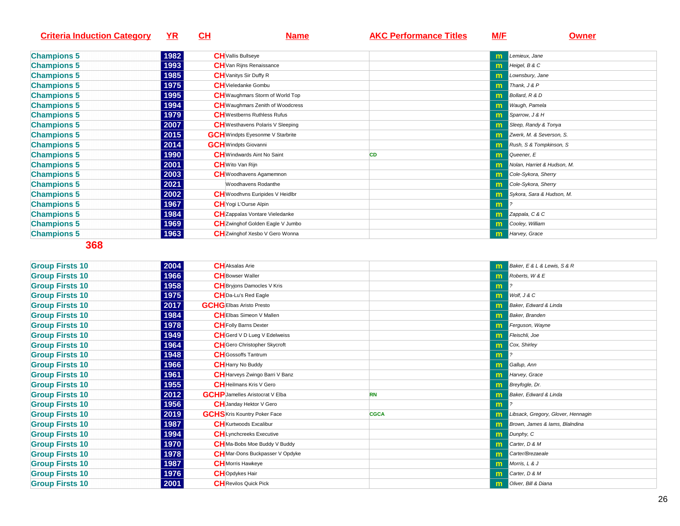| <b>YR</b> | <u>CH</u>    | Name | <b>AKC Performance Titles</b>                                                                                                                                                                                                                                                                                                                                                                                                                                                                                                                                                                                                                                                                 | <u>M/E</u> | <b>Owner</b>                  |
|-----------|--------------|------|-----------------------------------------------------------------------------------------------------------------------------------------------------------------------------------------------------------------------------------------------------------------------------------------------------------------------------------------------------------------------------------------------------------------------------------------------------------------------------------------------------------------------------------------------------------------------------------------------------------------------------------------------------------------------------------------------|------------|-------------------------------|
|           |              |      |                                                                                                                                                                                                                                                                                                                                                                                                                                                                                                                                                                                                                                                                                               |            |                               |
|           |              |      |                                                                                                                                                                                                                                                                                                                                                                                                                                                                                                                                                                                                                                                                                               | m          | Lemieux, Jane                 |
|           |              |      |                                                                                                                                                                                                                                                                                                                                                                                                                                                                                                                                                                                                                                                                                               | m.         | Heigel, B & C                 |
| 1985      |              |      |                                                                                                                                                                                                                                                                                                                                                                                                                                                                                                                                                                                                                                                                                               |            | Lownsbury, Jane               |
| 1975      |              |      |                                                                                                                                                                                                                                                                                                                                                                                                                                                                                                                                                                                                                                                                                               | m.         | $\blacksquare$ Thank, $J & P$ |
| 1995      |              |      |                                                                                                                                                                                                                                                                                                                                                                                                                                                                                                                                                                                                                                                                                               | m          | Bollard, R & D                |
| 1994      |              |      |                                                                                                                                                                                                                                                                                                                                                                                                                                                                                                                                                                                                                                                                                               | m.         | Waugh, Pamela                 |
| 1979      |              |      |                                                                                                                                                                                                                                                                                                                                                                                                                                                                                                                                                                                                                                                                                               | m.         | Sparrow, J & H                |
| 2007      |              |      |                                                                                                                                                                                                                                                                                                                                                                                                                                                                                                                                                                                                                                                                                               | m.         | Sleep, Randy & Tonya          |
| 2015      |              |      |                                                                                                                                                                                                                                                                                                                                                                                                                                                                                                                                                                                                                                                                                               | m          | Zwerk, M. & Severson, S.      |
| 2014      |              |      |                                                                                                                                                                                                                                                                                                                                                                                                                                                                                                                                                                                                                                                                                               | m          | Rush, S & Tompkinson, S       |
| 1990      |              |      | CD                                                                                                                                                                                                                                                                                                                                                                                                                                                                                                                                                                                                                                                                                            | m          | Queener, E                    |
| 2001      |              |      |                                                                                                                                                                                                                                                                                                                                                                                                                                                                                                                                                                                                                                                                                               |            | Nolan, Harriet & Hudson, M.   |
| 2003      |              |      |                                                                                                                                                                                                                                                                                                                                                                                                                                                                                                                                                                                                                                                                                               | m          | Cole-Sykora, Sherry           |
| 2021      |              |      |                                                                                                                                                                                                                                                                                                                                                                                                                                                                                                                                                                                                                                                                                               | m          | Cole-Sykora, Sherry           |
| 2002      |              |      |                                                                                                                                                                                                                                                                                                                                                                                                                                                                                                                                                                                                                                                                                               | m          | Sykora, Sara & Hudson, M.     |
| 1967      |              |      |                                                                                                                                                                                                                                                                                                                                                                                                                                                                                                                                                                                                                                                                                               | m          |                               |
| 1984      |              |      |                                                                                                                                                                                                                                                                                                                                                                                                                                                                                                                                                                                                                                                                                               | m          | Zappala, C & C                |
| 1969      |              |      |                                                                                                                                                                                                                                                                                                                                                                                                                                                                                                                                                                                                                                                                                               | m          | Cooley, William               |
| 1963      |              |      |                                                                                                                                                                                                                                                                                                                                                                                                                                                                                                                                                                                                                                                                                               | m          | Harvey, Grace                 |
|           | 1982<br>1993 |      | <b>CH</b> Vallis Bullseye<br><b>CH</b> Van Rijns Renaissance<br><b>CH</b> Vanitys Sir Duffy R<br><b>CH</b> Vieledanke Gombu<br><b>CH</b> Waughmars Storm of World Top<br><b>CH</b> Waughmars Zenith of Woodcress<br><b>CH</b> Westberns Ruthless Rufus<br><b>CH</b> Westhavens Polaris V Sleeping<br><b>GCH</b> Windpts Eyesonme V Starbrite<br><b>GCH</b> Windpts Giovanni<br><b>CH</b> Windwards Aint No Saint<br><b>CH</b> Wito Van Rijn<br><b>CH</b> Woodhavens Agamemnon<br>Woodhavens Rodanthe<br><b>CH</b> Woodhvns Euripides V Heidlbr<br><b>CH</b> Yogi L'Ourse Alpin<br><b>CH</b> Zappalas Vontare Vieledanke<br>CH Zwinghof Golden Eagle V Jumbo<br>CH Zwinghof Xesbo V Gero Wonna |            |                               |

| <b>Group Firsts 10</b> | 2004 | <b>CH</b> Aksalas Arie                 |             | m            | Baker, E & L & Lewis, S & R        |
|------------------------|------|----------------------------------------|-------------|--------------|------------------------------------|
| <b>Group Firsts 10</b> | 1966 | <b>CH</b> Bowser Waller                |             | m.           | Roberts, W & E                     |
| <b>Group Firsts 10</b> | 1958 | <b>CH</b> Bryjons Damocles V Kris      |             | m            |                                    |
| <b>Group Firsts 10</b> | 1975 | <b>CH</b> Da-Lu's Red Eagle            |             | m            | Wolf, J & C                        |
| <b>Group Firsts 10</b> | 2017 | <b>GCHGEIbas Aristo Presto</b>         |             | m            | Baker, Edward & Linda              |
| <b>Group Firsts 10</b> | 1984 | <b>CHEIbas Simeon V Mallen</b>         |             | m            | <b>Baker</b> , Branden             |
| <b>Group Firsts 10</b> | 1978 | <b>CH</b> Folly Barns Dexter           |             | m            | Ferguson, Wayne                    |
| <b>Group Firsts 10</b> | 1949 | <b>CH</b> Gerd V D Lueg V Edelweiss    |             | m.           | Fleischli, Joe                     |
| <b>Group Firsts 10</b> | 1964 | <b>CH</b> Gero Christopher Skycroft    |             | m.           | Cox, Shirley                       |
| <b>Group Firsts 10</b> | 1948 | <b>CH</b> Gossoffs Tantrum             |             | $\mathbf{m}$ |                                    |
| <b>Group Firsts 10</b> | 1966 | <b>CH</b> Harry No Buddy               |             | m            | Gallup, Ann                        |
| <b>Group Firsts 10</b> | 1961 | <b>CH</b> Harveys Zwingo Barri V Banz  |             | $\mathsf{m}$ | Harvey, Grace                      |
| <b>Group Firsts 10</b> | 1955 | <b>CH</b> Heilmans Kris V Gero         |             | m            | Breyfogle, Dr.                     |
| <b>Group Firsts 10</b> | 2012 | <b>GCHP</b> Jamelles Aristocrat V Elba | <b>RN</b>   | m            | Baker, Edward & Linda              |
| <b>Group Firsts 10</b> | 1956 | <b>CH</b> Janday Hektor V Gero         |             | m            |                                    |
| <b>Group Firsts 10</b> | 2019 | <b>GCHS</b> Kris Kountry Poker Face    | <b>CGCA</b> | $\mathsf{m}$ | Libsack, Gregory, Glover, Hennagin |
| <b>Group Firsts 10</b> | 1987 | <b>CH</b> Kurtwoods Excalibur          |             | m            | Brown, James & lams, BlaIndina     |
| <b>Group Firsts 10</b> | 1994 | <b>CH</b> Lynchcreeks Executive        |             | m            | Dunphy, C                          |
| <b>Group Firsts 10</b> | 1970 | CHMa-Bobs Moe Buddy V Buddy            |             | m            | Carter, D & M                      |
| <b>Group Firsts 10</b> | 1978 | <b>CH</b> Mar-Dons Buckpasser V Opdyke |             | m            | Carter/Brezaeale                   |
| <b>Group Firsts 10</b> | 1987 | <b>CH</b> Morris Hawkeye               |             | m            | Morris, L & J                      |
| <b>Group Firsts 10</b> | 1976 | <b>CH</b> Opdykes Hair                 |             | m            | Carter, D & M                      |
| <b>Group Firsts 10</b> | 2001 | <b>CH</b> Revilos Quick Pick           |             | m            | Oliver, Bill & Diana               |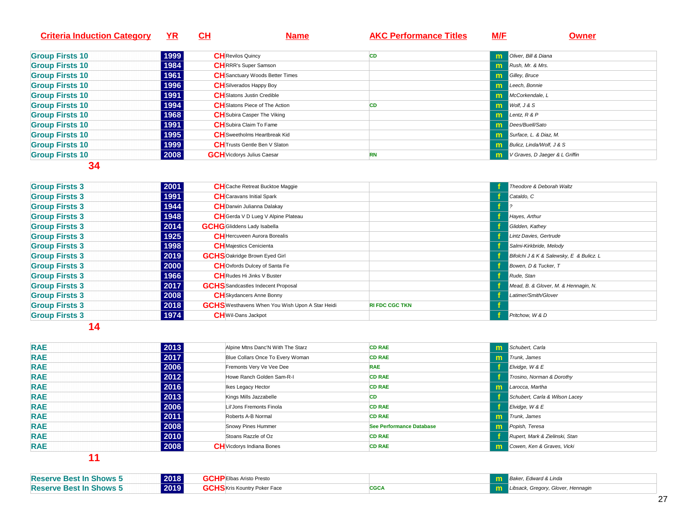| <b>Criteria Induction Category</b> | YR   | <u>CH</u><br><b>Name</b>               | <b>AKC Performance Titles</b> | <b>M/E</b> | <b>Owner</b>                            |
|------------------------------------|------|----------------------------------------|-------------------------------|------------|-----------------------------------------|
| <b>Group Firsts 10</b>             | 1999 | <b>CH</b> Revilos Quincy               | CD                            | m          | Oliver, Bill & Diana                    |
| <b>Group Firsts 10</b>             | 1984 | <b>CH</b> RRR's Super Samson           |                               |            | <b>m</b> Rush, Mr. & Mrs.               |
| <b>Group Firsts 10</b>             | 1961 | <b>CH</b> Sanctuary Woods Better Times |                               |            | <b>In Gilley, Bruce</b>                 |
| <b>Group Firsts 10</b>             | 1996 | <b>CH</b> Silverados Happy Boy         |                               |            | <b>Im</b> Leech, Bonnie                 |
| <b>Group Firsts 10</b>             | 1991 | <b>CH</b> Slatons Justin Credible      |                               |            | <b>m</b> McCorkendale, L                |
| <b>Group Firsts 10</b>             | 1994 | <b>CH</b> Slatons Piece of The Action  | <b>CD</b>                     |            | $W$ olf, $J & S$                        |
| <b>Group Firsts 10</b>             | 1968 | <b>CH</b> Subira Casper The Viking     |                               |            | $Im$ Lentz, $R$ & $P$                   |
| <b>Group Firsts 10</b>             | 1991 | <b>CH</b> Subira Claim To Fame         |                               |            | <b>Im</b> Dees/Buell/Sato               |
| <b>Group Firsts 10</b>             | 1995 | <b>CH</b> Sweetholms Heartbreak Kid    |                               | m          | Surface, L. & Diaz, M.                  |
| <b>Group Firsts 10</b>             | 1999 | <b>CH</b> Trusts Gentle Ben V Slaton   |                               |            | <b>In Bulicz, Linda/Wolf, J &amp; S</b> |
| <b>Group Firsts 10</b>             | 2008 | <b>GCH</b> Vicdorys Julius Caesar      | <b>RN</b>                     | m          | V Graves, D Jaeger & L Griffin          |
| $\sim$ $\sim$                      |      |                                        |                               |            |                                         |

| <b>Group Firsts 3</b> | 2001<br><b>CH</b> Cache Retreat Bucktoe Maggie                 |                       | Theodore & Deborah Waltz                 |
|-----------------------|----------------------------------------------------------------|-----------------------|------------------------------------------|
| <b>Group Firsts 3</b> | 1991<br><b>CH</b> Caravans Initial Spark                       |                       | Cataldo, C                               |
| <b>Group Firsts 3</b> | 1944<br><b>CH</b> Darwin Julianna Dalakay                      |                       |                                          |
| <b>Group Firsts 3</b> | 1948<br>CH Gerda V D Lueg V Alpine Plateau                     |                       | Hayes, Arthur                            |
| <b>Group Firsts 3</b> | 2014<br><b>GCHG</b> Gliddens Lady Isabella                     |                       | Glidden, Kathey                          |
| <b>Group Firsts 3</b> | 1925<br><b>CH</b> Hercuveen Aurora Borealis                    |                       | Lintz Davies, Gertrude                   |
| <b>Group Firsts 3</b> | 1998<br><b>CH</b> Majestics Cenicienta                         |                       | Salmi-Kirkbride, Melody                  |
| <b>Group Firsts 3</b> | 2019<br><b>GCHS</b> Oakridge Brown Eyed Girl                   |                       | Bifolchi J & K & Salewsky, E & Bulicz. L |
| <b>Group Firsts 3</b> | 2000<br><b>CH</b> Oxfords Dulcey of Santa Fe                   |                       | Bowen, D & Tucker, T                     |
| <b>Group Firsts 3</b> | 1966<br><b>CH</b> Rudes Hi Jinks V Buster                      |                       | Rude, Stan                               |
| <b>Group Firsts 3</b> | 2017<br><b>GCHS</b> Sandcastles Indecent Proposal              |                       | Mead, B. & Glover, M. & Hennagin, N.     |
| <b>Group Firsts 3</b> | 2008<br><b>CH</b> Skydancers Anne Bonny                        |                       | Latimer/Smith/Glover                     |
| <b>Group Firsts 3</b> | 2018<br><b>GCHS</b> Westhavens When You Wish Upon A Star Heidi | <b>RI FDC CGC TKN</b> |                                          |
| <b>Group Firsts 3</b> | 1974<br><b>CH</b> Wil-Dans Jackpot                             |                       | Pritchow, W & D                          |

**14** 

| <b>RAE</b> | 2013 | Alpine Mtns Danc'N With The Starz | <b>CD RAE</b>            |    | <b>m</b> Schubert, Carla       |
|------------|------|-----------------------------------|--------------------------|----|--------------------------------|
| <b>RAE</b> | 2017 | Blue Collars Once To Every Woman  | <b>CD RAE</b>            | m  | Trunk, James                   |
| <b>RAE</b> | 2006 | Fremonts Very Ve Vee Dee          | <b>RAE</b>               |    | Elvidge, $W & E$               |
| <b>RAE</b> | 2012 | Howe Ranch Golden Sam-R-I         | <b>CD RAE</b>            |    | Trosino, Norman & Dorothy      |
| <b>RAE</b> | 2016 | Ikes Legacy Hector                | <b>CD RAE</b>            | m  | Larocca, Martha                |
| <b>RAE</b> | 2013 | Kings Mills Jazzabelle            | CD                       |    | Schubert, Carla & Wilson Lacey |
| <b>RAE</b> | 2006 | Lil'Jons Fremonts Finola          | <b>CD RAE</b>            |    | Elvidge, W & E                 |
| <b>RAE</b> | 2011 | Roberts A-B Normal                | <b>CD RAE</b>            |    | <b>m</b> Trunk, James          |
| <b>RAE</b> | 2008 | Snowy Pines Hummer                | See Performance Database | m  | Popish, Teresa                 |
| <b>RAE</b> | 2010 | Stoans Razzle of Oz               | <b>CD RAE</b>            |    | Rupert, Mark & Zielinski, Stan |
| <b>RAE</b> | 2008 | <b>CH</b> Vicdorys Indiana Bones  | <b>CD RAE</b>            | m. | Cowen, Ken & Graves, Vicki     |
| - - -      |      |                                   |                          |    |                                |

| 2018<br><b>Reserve Best In Shows 5</b> | .<br><b>PEIbas Aristo Presto</b>    |             | Baker, Edward & Linda              |
|----------------------------------------|-------------------------------------|-------------|------------------------------------|
| 2019<br><b>Reserve Best In Shows 5</b> | <b>GCHS</b> Kris Kountry Poker Face | <b>CGCA</b> | Libsack, Gregory, Glover, Hennagin |
|                                        |                                     |             |                                    |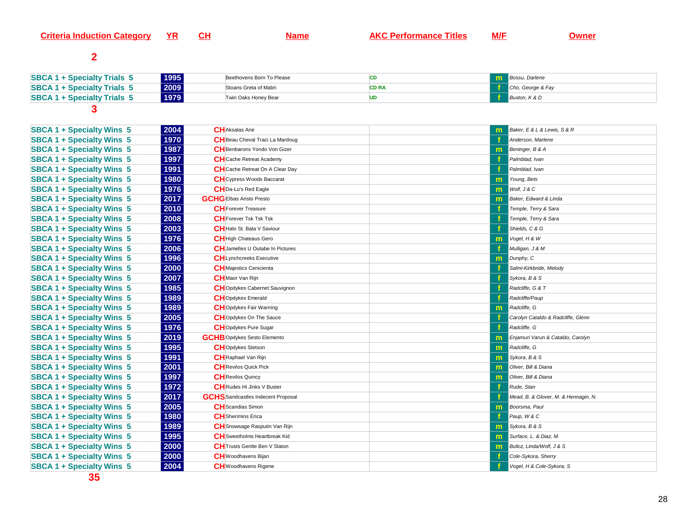#### **Criteria Induction Category YR**



**Name AKC Performance Titles M/F Owner** 

# **2**

| 1995<br><b>SBCA 1 + Specialty Trials 5</b> | Beethovens Born To Please |       | <b>The Bossu, Darlene</b> |
|--------------------------------------------|---------------------------|-------|---------------------------|
| 2009<br><b>SBCA 1 + Specialty Trials 5</b> | Stoans Greta of Mabri     | CD RA | Cho, George & Fay         |
| 1979<br><b>SBCA 1 + Specialty Trials 5</b> | Twin Oaks Honey Bear      |       | Buxton, K & D             |

| <b>SBCA 1 + Specialty Wins 5</b> | 2004<br><b>CH</b> Aksalas Arie                    |              | Baker, E & L & Lewis, S & R          |
|----------------------------------|---------------------------------------------------|--------------|--------------------------------------|
| <b>SBCA 1 + Specialty Wins 5</b> | 1970<br>CH Beau Cheval Traci La Mardoug           |              | Anderson, Marlene                    |
| <b>SBCA 1 + Specialty Wins 5</b> | 1987<br>CH Benbarons Yondo Von Gizer              | $\mathsf{m}$ | Beninger, B & A                      |
| <b>SBCA 1 + Specialty Wins 5</b> | 1997<br><b>CH</b> Cache Retreat Academy           |              | Palmblad, Ivan                       |
| <b>SBCA 1 + Specialty Wins 5</b> | 1991<br>CH Cache Retreat On A Clear Day           |              | Palmblad, Ivan                       |
| <b>SBCA 1 + Specialty Wins 5</b> | 1980<br><b>CH</b> Cypress Woods Baccarat          | m.           | Young, Bets                          |
| <b>SBCA 1 + Specialty Wins 5</b> | 1976<br>CH Da-Lu's Red Eagle                      | $\mathsf{m}$ | Wolf, J & C                          |
| <b>SBCA 1 + Specialty Wins 5</b> | 2017<br><b>GCHGEIbas Aristo Presto</b>            | m            | Baker, Edward & Linda                |
| <b>SBCA 1 + Specialty Wins 5</b> | 2010<br><b>CH</b> Forever Treasure                |              | Temple, Terry & Sara                 |
| <b>SBCA 1 + Specialty Wins 5</b> | 2008<br><b>CH</b> Forever Tsk Tsk Tsk             |              | Temple, Terry & Sara                 |
| <b>SBCA 1 + Specialty Wins 5</b> | 2003<br>CH Halo St. Bala V Saviour                |              | Shields, C & G                       |
| <b>SBCA 1 + Specialty Wins 5</b> | 1976<br><b>CH</b> High Chateaus Gero              | m            | Vogel, H & W                         |
| <b>SBCA 1 + Specialty Wins 5</b> | 2006<br><b>CH</b> Jamelles U Outabe In Pictures   |              | Mulligan, J & M                      |
| <b>SBCA 1 + Specialty Wins 5</b> | 1996<br><b>CH</b> Lynchcreeks Executive           | m            | Dunphy, C                            |
| <b>SBCA 1 + Specialty Wins 5</b> | 2000<br><b>CH</b> Majestics Cenicienta            |              | Salmi-Kirkbride, Melody              |
| <b>SBCA 1 + Specialty Wins 5</b> | 2007<br><b>CH</b> Maor Van Rijn                   |              | Sykora, B & S                        |
| <b>SBCA 1 + Specialty Wins 5</b> | 1985<br>CHOpdykes Cabernet Sauvignon              |              | Radcliffe, G & T                     |
| <b>SBCA 1 + Specialty Wins 5</b> | 1989<br><b>CH</b> Opdykes Emerald                 |              | Radcliffe/Paup                       |
| <b>SBCA 1 + Specialty Wins 5</b> | 1989<br><b>CH</b> Opdykes Fair Warning            | m            | Radcliffe, G                         |
| <b>SBCA 1 + Specialty Wins 5</b> | 2005<br><b>CH</b> Opdykes On The Sauce            |              | Carolyn Cataldo & Radcliffe, Glenn   |
| <b>SBCA 1 + Specialty Wins 5</b> | 1976<br><b>CH</b> Opdykes Pure Sugar              |              | Radcliffe, G                         |
| <b>SBCA 1 + Specialty Wins 5</b> | 2019<br><b>GCHB</b> Opdykes Sesto Elemento        | m            | Enjamuri Varun & Cataldo, Carolyn    |
| <b>SBCA 1 + Specialty Wins 5</b> | 1995<br><b>CH</b> Opdykes Stetson                 | $\mathsf{m}$ | Radcliffe, G                         |
| <b>SBCA 1 + Specialty Wins 5</b> | 1991<br><b>CH</b> Raphael Van Rijn                | $\mathsf{m}$ | Sykora, B & S                        |
| <b>SBCA 1 + Specialty Wins 5</b> | 2001<br><b>CH</b> Revilos Quick Pick              | $\mathsf{m}$ | Oliver, Bill & Diana                 |
| <b>SBCA 1 + Specialty Wins 5</b> | 1997<br><b>CH</b> Revilos Quincy                  | $\mathsf{m}$ | Oliver, Bill & Diana                 |
| <b>SBCA 1 + Specialty Wins 5</b> | 1972<br><b>CH</b> Rudes Hi Jinks V Buster         |              | Rude, Stan                           |
| <b>SBCA 1 + Specialty Wins 5</b> | 2017<br><b>GCHS</b> Sandcastles Indecent Proposal |              | Mead, B. & Glover, M. & Hennagin, N. |
| <b>SBCA 1 + Specialty Wins 5</b> | 2005<br><b>CH</b> Scandias Simon                  | m            | Boorsma, Paul                        |
| <b>SBCA 1 + Specialty Wins 5</b> | 1980<br><b>CH</b> Sherimins Erica                 |              | Paup, W & C                          |
| <b>SBCA 1 + Specialty Wins 5</b> | 1989<br><b>CH</b> Snowsage Rasputin Van Rijn      | m            | Sykora, B & S                        |
| <b>SBCA 1 + Specialty Wins 5</b> | 1995<br><b>CH</b> Sweetholms Heartbreak Kid       | $\mathsf{m}$ | Surface, L. & Diaz, M.               |
| <b>SBCA 1 + Specialty Wins 5</b> | 2000<br><b>CH</b> Trusts Gentle Ben V Slaton      | m            | Bulicz, Linda/Wolf, J & S            |
| <b>SBCA 1 + Specialty Wins 5</b> | 2000<br><b>CH</b> Woodhavens Bijan                |              | Cole-Sykora, Sherry                  |
| <b>SBCA 1 + Specialty Wins 5</b> | 2004<br><b>CH</b> Woodhavens Rigene               |              | Vogel, H & Cole-Sykora, S            |
|                                  |                                                   |              |                                      |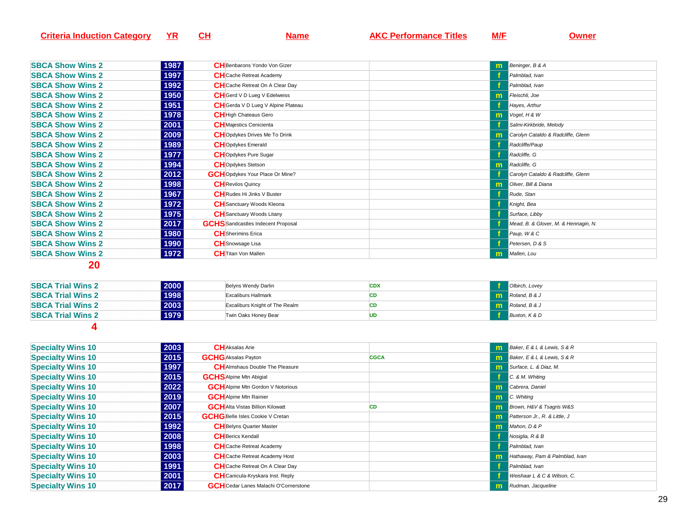| Criteria<br>r Induction 1<br>ategol. | . . | l Itles<br>rmance | M/F |  |
|--------------------------------------|-----|-------------------|-----|--|
|                                      |     |                   |     |  |

| <b>SBCA Show Wins 2</b> | 1987<br><b>CH</b> Benbarons Yondo Von Gizer       |    | <b>M</b> Beninger, B & A             |
|-------------------------|---------------------------------------------------|----|--------------------------------------|
| <b>SBCA Show Wins 2</b> | 1997<br><b>CH</b> Cache Retreat Academy           |    | Palmblad, Ivan                       |
| <b>SBCA Show Wins 2</b> | 1992<br><b>CH</b> Cache Retreat On A Clear Day    |    | Palmblad, Ivan                       |
| <b>SBCA Show Wins 2</b> | 1950<br><b>CH</b> Gerd V D Lueg V Edelweiss       | m. | Fleischli, Joe                       |
| <b>SBCA Show Wins 2</b> | 1951<br><b>CH</b> Gerda V D Lueg V Alpine Plateau |    | Hayes, Arthur                        |
| <b>SBCA Show Wins 2</b> | 1978<br><b>CH</b> High Chateaus Gero              |    | $\mathbf{m}$ Vogel, H & W            |
| <b>SBCA Show Wins 2</b> | 2001<br><b>CH</b> Majestics Cenicienta            |    | Salmi-Kirkbride, Melody              |
| <b>SBCA Show Wins 2</b> | 2009<br><b>CH</b> Opdykes Drives Me To Drink      | m  | Carolyn Cataldo & Radcliffe, Glenn   |
| <b>SBCA Show Wins 2</b> | 1989<br><b>CH</b> Opdykes Emerald                 |    | Radcliffe/Paup                       |
| <b>SBCA Show Wins 2</b> | 1977<br><b>CH</b> Opdykes Pure Sugar              |    | Radcliffe, G                         |
| <b>SBCA Show Wins 2</b> | 1994<br><b>CH</b> Opdykes Stetson                 | m  | Radcliffe, G                         |
| <b>SBCA Show Wins 2</b> | 2012<br><b>GCH</b> Opdykes Your Place Or Mine?    |    | Carolyn Cataldo & Radcliffe, Glenn   |
| <b>SBCA Show Wins 2</b> | 1998<br><b>CH</b> Revilos Quincy                  | m. | Oliver, Bill & Diana                 |
| <b>SBCA Show Wins 2</b> | 1967<br><b>CH</b> Rudes Hi Jinks V Buster         |    | Rude, Stan                           |
| <b>SBCA Show Wins 2</b> | 1972<br><b>CH</b> Sanctuary Woods Kleona          |    | Knight, Bea                          |
| <b>SBCA Show Wins 2</b> | 1975<br><b>CH</b> Sanctuary Woods Litany          |    | Surface, Libby                       |
| <b>SBCA Show Wins 2</b> | 2017<br><b>GCHS</b> Sandcastles Indecent Proposal |    | Mead, B. & Glover, M. & Hennagin, N. |
| <b>SBCA Show Wins 2</b> | 1980<br><b>CH</b> Sherimins Erica                 |    | Paup, W & C                          |
| <b>SBCA Show Wins 2</b> | 1990<br><b>CH</b> Snowsage Lisa                   |    | Petersen, D & S                      |
| <b>SBCA Show Wins 2</b> | 1972<br><b>CH</b> Titan Von Mallen                | m  | Mallen, Lou                          |
|                         |                                                   |    |                                      |

| 2000<br><b>SBCA Trial Wins 2</b> | Belyns Wendy Darlin            | <b>CDX</b> | Olbirch, Lovey         |
|----------------------------------|--------------------------------|------------|------------------------|
| 1998<br><b>SBCA Trial Wins 2</b> | Excaliburs Hallmark            | CD         | <b>n</b> Roland, B & J |
| 2003<br><b>SBCA Trial Wins 2</b> | Excaliburs Knight of The Realm | СD         | <b>m</b> Roland, B & J |
| 1979<br><b>SBCA Trial Wins 2</b> | Twin Oaks Honey Bear           | UD         | Buxton, K & D          |
|                                  |                                |            |                        |

| <b>Specialty Wins 10</b> | 2003 | <b>CH</b> Aksalas Arie                       |             | <b>m</b> Baker, E & L & Lewis, S & R   |
|--------------------------|------|----------------------------------------------|-------------|----------------------------------------|
| <b>Specialty Wins 10</b> | 2015 | <b>GCHG</b> Aksalas Payton                   | <b>CGCA</b> | <b>m</b> Baker, E & L & Lewis, S & R   |
| <b>Specialty Wins 10</b> | 1997 | <b>CH</b> Almshaus Double The Pleasure       |             | <b>Im</b> Surface, L. & Diaz, M.       |
| <b>Specialty Wins 10</b> | 2015 | <b>GCHS</b> Alpine Mtn Abigial               |             | C. & M. Whiting                        |
| <b>Specialty Wins 10</b> | 2022 | <b>GCH</b> Alpine Mtn Gordon V Notorious     |             | <b>m</b> Cabrera, Daniel               |
| <b>Specialty Wins 10</b> | 2019 | <b>GCH</b> Alpine Mtn Rainier                |             | <b>n</b> C. Whiting                    |
| <b>Specialty Wins 10</b> | 2007 | <b>GCH</b> Alta Vistas Billion Kilowatt      | CD          | <b>m</b> Brown, H&V & Tsagris W&S      |
| <b>Specialty Wins 10</b> | 2015 | <b>GCHG</b> Belle Isles Cookie V Cretan      |             | <b>M</b> Patterson Jr., R. & Little, J |
| <b>Specialty Wins 10</b> | 1992 | <b>CH</b> Belyns Quarter Master              |             | <b>Im</b> Mahon, D & P                 |
| <b>Specialty Wins 10</b> | 2008 | <b>CH</b> Berics Kendall                     |             | Nosiglia, R & B                        |
| <b>Specialty Wins 10</b> | 1998 | <b>CH</b> Cache Retreat Academy              |             | Palmblad, Ivan                         |
| <b>Specialty Wins 10</b> | 2003 | <b>CH</b> Cache Retreat Academy Host         |             | Hathaway, Pam & Palmblad, Ivan<br>m    |
| <b>Specialty Wins 10</b> | 1991 | <b>CH</b> Cache Retreat On A Clear Day       |             | Palmblad, Ivan                         |
| <b>Specialty Wins 10</b> | 2001 | <b>CH</b> Canicula-Kryskara Inst. Reply      |             | Weishaar L & C & Wilson, C.            |
| <b>Specialty Wins 10</b> | 2017 | <b>GCH</b> Cedar Lanes Malachi O'Cornerstone |             | <b>n</b> Rudman, Jacqueline            |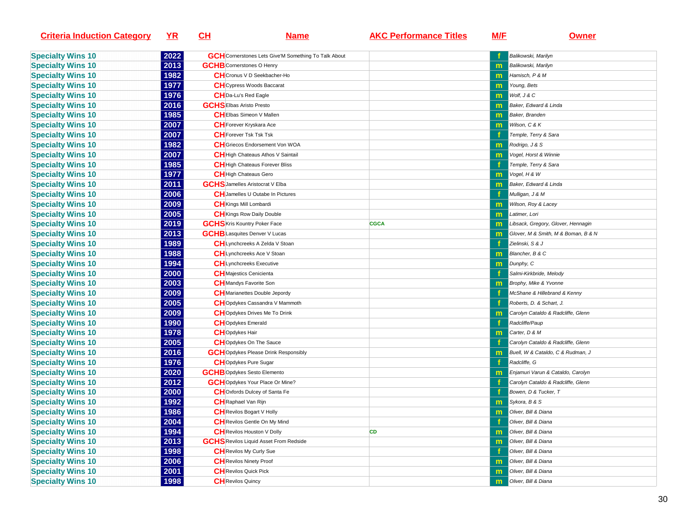| <b>Criteria Induction Category</b> | <u>YR</u> | <u>CH</u> | <u>Name</u>                                                 | <b>AKC Performance Titles</b> | <u>M/E</u>   | <b>Owner</b>                        |
|------------------------------------|-----------|-----------|-------------------------------------------------------------|-------------------------------|--------------|-------------------------------------|
| <b>Specialty Wins 10</b>           | 2022      |           | <b>GCH</b> Cornerstones Lets Give'M Something To Talk About |                               |              | Balikowski, Marilyn                 |
| <b>Specialty Wins 10</b>           | 2013      |           | <b>GCHB</b> Cornerstones O Henry                            |                               |              | Balikowski, Marilyn                 |
| <b>Specialty Wins 10</b>           | 1982      |           | <b>CH</b> Cronus V D Seekbacher-Ho                          |                               | m            | Hamisch, P & M                      |
| <b>Specialty Wins 10</b>           | 1977      |           | <b>CH</b> Cypress Woods Baccarat                            |                               | m            | Young, Bets                         |
| <b>Specialty Wins 10</b>           | 1976      |           | CH Da-Lu's Red Eagle                                        |                               | m            | Wolf, J & C                         |
| <b>Specialty Wins 10</b>           | 2016      |           | <b>GCHSEIbas Aristo Presto</b>                              |                               | m            | Baker, Edward & Linda               |
| <b>Specialty Wins 10</b>           | 1985      |           | <b>CHEIbas Simeon V Mallen</b>                              |                               | m            | <b>Baker, Branden</b>               |
| <b>Specialty Wins 10</b>           | 2007      |           | <b>CH</b> Forever Kryskara Ace                              |                               | m            | Wilson, C & K                       |
| <b>Specialty Wins 10</b>           | 2007      |           | <b>CH</b> Forever Tsk Tsk Tsk                               |                               |              | Temple, Terry & Sara                |
| <b>Specialty Wins 10</b>           | 1982      |           | <b>CH</b> Griecos Endorsement Von WOA                       |                               | $\mathbf{m}$ | Rodrigo, J & S                      |
| <b>Specialty Wins 10</b>           | 2007      |           | CH High Chateaus Athos V Saintail                           |                               | m            | Vogel, Horst & Winnie               |
| <b>Specialty Wins 10</b>           | 1985      |           | CH High Chateaus Forever Bliss                              |                               |              | Temple, Terry & Sara                |
| <b>Specialty Wins 10</b>           | 1977      |           | <b>CH</b> High Chateaus Gero                                |                               | m            | Vogel, H & W                        |
| <b>Specialty Wins 10</b>           | 2011      |           | <b>GCHS</b> Jamelles Aristocrat V Elba                      |                               | m            | Baker, Edward & Linda               |
| <b>Specialty Wins 10</b>           | 2006      |           | <b>CH</b> Jamelles U Outabe In Pictures                     |                               |              | Mulligan, J & M                     |
| <b>Specialty Wins 10</b>           | 2009      |           | <b>CH</b> Kings Mill Lombardi                               |                               | $\mathsf{m}$ | Wilson, Roy & Lacey                 |
| <b>Specialty Wins 10</b>           | 2005      |           | <b>CH</b> Kings Row Daily Double                            |                               | m            | Latimer, Lori                       |
| <b>Specialty Wins 10</b>           | 2019      |           | <b>GCHS</b> Kris Kountry Poker Face                         | <b>CGCA</b>                   | m            | Libsack, Gregory, Glover, Hennagin  |
| <b>Specialty Wins 10</b>           | 2013      |           | <b>GCHB</b> Lasquites Denver V Lucas                        |                               | m            | Glover, M & Smith, M & Boman, B & N |
| <b>Specialty Wins 10</b>           | 1989      |           | CH Lynchcreeks A Zelda V Stoan                              |                               |              | Zielinski, S & J                    |
| <b>Specialty Wins 10</b>           | 1988      |           | <b>CH</b> Lynchcreeks Ace V Stoan                           |                               | m            | Blancher, B & C                     |
| <b>Specialty Wins 10</b>           | 1994      |           | <b>CH</b> Lynchcreeks Executive                             |                               | $\mathbf{m}$ | Dunphy, C                           |
| <b>Specialty Wins 10</b>           | 2000      |           | <b>CH</b> Majestics Cenicienta                              |                               |              | Salmi-Kirkbride, Melody             |
| <b>Specialty Wins 10</b>           | 2003      |           | <b>CH</b> Mandys Favorite Son                               |                               | $\mathbf{m}$ | <b>Brophy, Mike &amp; Yvonne</b>    |
| <b>Specialty Wins 10</b>           | 2009      |           | <b>CH</b> Marianettes Double Jepordy                        |                               |              | McShane & Hillebrand & Kenny        |
| <b>Specialty Wins 10</b>           | 2005      |           | CHOpdykes Cassandra V Mammoth                               |                               |              | Roberts, D. & Schart, J.            |
| <b>Specialty Wins 10</b>           | 2009      |           | <b>CH</b> Opdykes Drives Me To Drink                        |                               |              | Carolyn Cataldo & Radcliffe, Glenn  |
| <b>Specialty Wins 10</b>           | 1990      |           | <b>CH</b> Opdykes Emerald                                   |                               |              | Radcliffe/Paup                      |
| <b>Specialty Wins 10</b>           | 1978      |           | <b>CH</b> Opdykes Hair                                      |                               | m            | Carter, D & M                       |
| <b>Specialty Wins 10</b>           | 2005      |           | <b>CH</b> Opdykes On The Sauce                              |                               |              | Carolyn Cataldo & Radcliffe, Glenn  |
| <b>Specialty Wins 10</b>           | 2016      |           | <b>GCH</b> Opdykes Please Drink Responsibly                 |                               | m            | Buell, W & Cataldo, C & Rudman, J   |
| <b>Specialty Wins 10</b>           | 1976      |           | <b>CH</b> Opdykes Pure Sugar                                |                               |              | Radcliffe, G                        |
| <b>Specialty Wins 10</b>           | 2020      |           | <b>GCHB</b> Opdykes Sesto Elemento                          |                               | $\mathsf{m}$ | Enjamuri Varun & Cataldo, Carolyn   |
| <b>Specialty Wins 10</b>           | 2012      |           | <b>GCH</b> Opdykes Your Place Or Mine?                      |                               |              | Carolyn Cataldo & Radcliffe, Glenn  |
| <b>Specialty Wins 10</b>           | 2000      |           | <b>CH</b> Oxfords Dulcey of Santa Fe                        |                               |              | Bowen, D & Tucker, T                |
| <b>Specialty Wins 10</b>           | 1992      |           | <b>CH</b> Raphael Van Rijn                                  |                               | m            | Sykora, B & S                       |
| <b>Specialty Wins 10</b>           | 1986      |           | <b>CH</b> Revilos Bogart V Holly                            |                               | m            | Oliver, Bill & Diana                |
| <b>Specialty Wins 10</b>           | 2004      |           | <b>CH</b> Revilos Gentle On My Mind                         |                               |              | Oliver, Bill & Diana                |
| <b>Specialty Wins 10</b>           | 1994      |           | <b>CH</b> Revilos Houston V Dolly                           | CD                            | m            | Oliver, Bill & Diana                |
| <b>Specialty Wins 10</b>           | 2013      |           | <b>GCHS</b> Revilos Liquid Asset From Redside               |                               | $\mathbf{m}$ | Oliver, Bill & Diana                |
| <b>Specialty Wins 10</b>           | 1998      |           | <b>CH</b> Revilos My Curly Sue                              |                               |              | Oliver, Bill & Diana                |
| <b>Specialty Wins 10</b>           | 2006      |           | <b>CH</b> Revilos Ninety Proof                              |                               | $\mathbf{m}$ | Oliver, Bill & Diana                |
| <b>Specialty Wins 10</b>           | 2001      |           | <b>CH</b> Revilos Quick Pick                                |                               | m            | Oliver, Bill & Diana                |
| <b>Specialty Wins 10</b>           | 1998      |           | <b>CH</b> Revilos Quincy                                    |                               | m            | Oliver, Bill & Diana                |